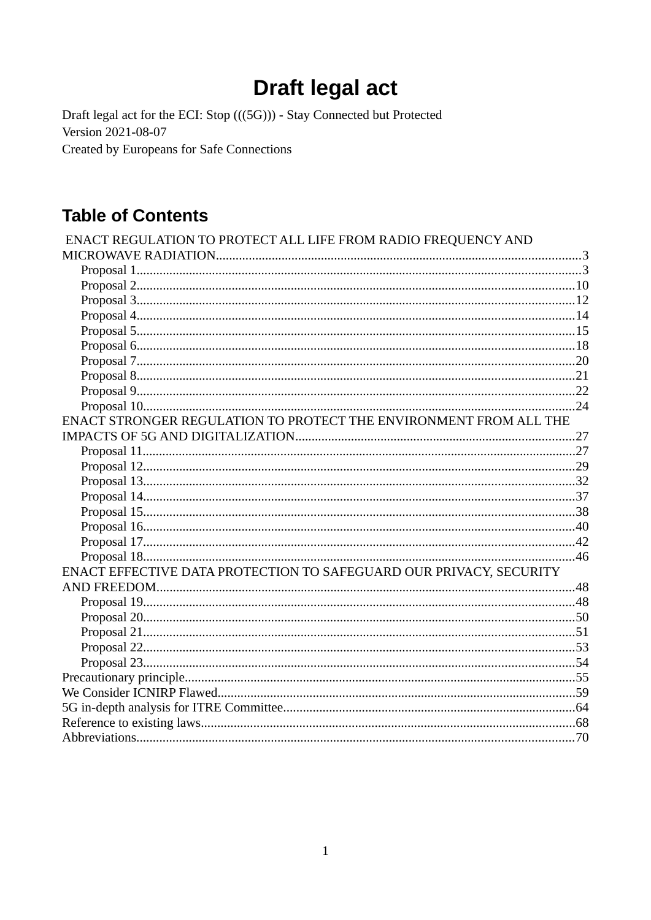# **Draft legal act**

Draft legal act for the ECI: Stop (((5G))) - Stay Connected but Protected Version 2021-08-07 **Created by Europeans for Safe Connections** 

# **Table of Contents**

| ENACT REGULATION TO PROTECT ALL LIFE FROM RADIO FREQUENCY AND      |  |
|--------------------------------------------------------------------|--|
|                                                                    |  |
|                                                                    |  |
|                                                                    |  |
|                                                                    |  |
|                                                                    |  |
|                                                                    |  |
|                                                                    |  |
|                                                                    |  |
|                                                                    |  |
|                                                                    |  |
|                                                                    |  |
| ENACT STRONGER REGULATION TO PROTECT THE ENVIRONMENT FROM ALL THE  |  |
|                                                                    |  |
|                                                                    |  |
|                                                                    |  |
|                                                                    |  |
|                                                                    |  |
|                                                                    |  |
|                                                                    |  |
|                                                                    |  |
|                                                                    |  |
| ENACT EFFECTIVE DATA PROTECTION TO SAFEGUARD OUR PRIVACY, SECURITY |  |
|                                                                    |  |
|                                                                    |  |
|                                                                    |  |
|                                                                    |  |
|                                                                    |  |
|                                                                    |  |
|                                                                    |  |
|                                                                    |  |
|                                                                    |  |
|                                                                    |  |
|                                                                    |  |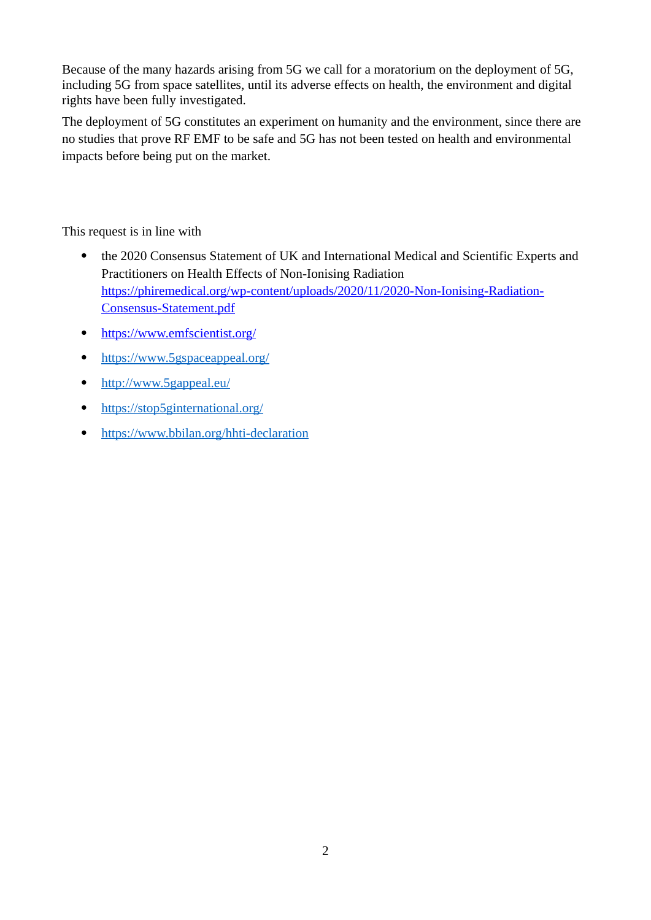Because of the many hazards arising from 5G we call for a moratorium on the deployment of 5G, including 5G from space satellites, until its adverse effects on health, the environment and digital rights have been fully investigated.

The deployment of 5G constitutes an experiment on humanity and the environment, since there are no studies that prove RF EMF to be safe and 5G has not been tested on health and environmental impacts before being put on the market.

This request is in line with

- the 2020 Consensus Statement of UK and International Medical and Scientific Experts and Practitioners on Health Effects of Non-Ionising Radiation [https://phiremedical.org/wp-content/uploads/2020/11/2020-Non-Ionising-Radiation-](https://phiremedical.org/wp-content/uploads/2020/11/2020-Non-Ionising-Radiation-Consensus-Statement.pdf)[Consensus-Statement.pdf](https://phiremedical.org/wp-content/uploads/2020/11/2020-Non-Ionising-Radiation-Consensus-Statement.pdf)
- <https://www.emfscientist.org/>
- <https://www.5gspaceappeal.org/>
- <http://www.5gappeal.eu/>
- https://stop5ginternational.org/
- <https://www.bbilan.org/hhti-declaration>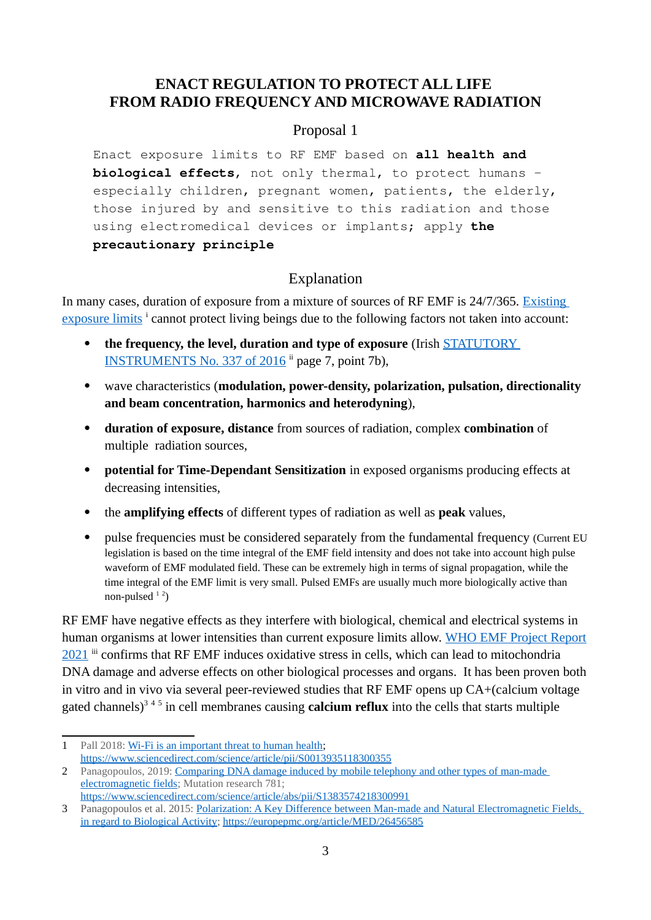### <span id="page-2-1"></span>**ENACT REGULATION TO PROTECT ALL LIFE FROM RADIO FREQUENCY AND MICROWAVE RADIATION**

#### <span id="page-2-0"></span>Proposal 1

Enact exposure limits to RF EMF based on **all health and biological effects**, not only thermal, to protect humans – especially children, pregnant women, patients, the elderly, those injured by and sensitive to this radiation and those using electromedical devices or implants; apply **the precautionary principle**

# <span id="page-2-5"></span>Explanation

In many cases, duration of exposure from a mixture of sources of RF EMF is 24/7/365. Existing [exposure limits](https://apps.who.int/gho/data/view.main.EMFLIMITSPUBCRADIOFREQUENCYv) i cannot protect living beings due to the following factors not taken into account:

- **the frequency, the level, duration and type of exposure** (Irish [STATUTORY](http://www.irishstatutebook.ie/eli/2016/si/337/made/en/pdf)  [INSTRUMENTS No. 337 of 2016](http://www.irishstatutebook.ie/eli/2016/si/337/made/en/pdf) <sup>ii</sup> page 7, point 7b),
- wave characteristics (**modulation, power-density, polarization, pulsation, directionality and beam concentration, harmonics and heterodyning**),
- **duration of exposure, distance** from sources of radiation, complex **combination** of multiple radiation sources,
- **potential for Time-Dependant Sensitization** in exposed organisms producing effects at decreasing intensities,
- the **amplifying effects** of different types of radiation as well as **peak** values,
- pulse frequencies must be considered separately from the fundamental frequency (Current EU legislation is based on the time integral of the EMF field intensity and does not take into account high pulse waveform of EMF modulated field. These can be extremely high in terms of signal propagation, while the time integral of the EMF limit is very small. Pulsed EMFs are usually much more biologically active than non-pulsed  $12$  $12$ )

RF EMF have negative effects as they interfere with biological, chemical and electrical systems in human organisms at lower intensities than current exposure limits allow. [WHO EMF Project Report](https://www.academia.edu/49209568/World_Health_Organization_International_EMF_Project_International_Advisory_Committee_IAC_25th_anniversary_of_the_International_EMF_Project_and_the_10th_Optical_Radiation_meeting_South_Africa_National_Report_2021) [2021](https://www.academia.edu/49209568/World_Health_Organization_International_EMF_Project_International_Advisory_Committee_IAC_25th_anniversary_of_the_International_EMF_Project_and_the_10th_Optical_Radiation_meeting_South_Africa_National_Report_2021) iii confirms that RF EMF induces oxidative stress in cells, which can lead to mitochondria DNA damage and adverse effects on other biological processes and organs. It has been proven both in vitro and in vivo via several peer-reviewed studies that RF EMF opens up CA+(calcium voltage gated channels)<sup>[3](#page-2-4)45</sup> in cell membranes causing **calcium reflux** into the cells that starts multiple

<span id="page-2-2"></span><sup>1</sup> Pall 2018: [Wi-Fi is an important threat to human health](https://www.sciencedirect.com/science/article/pii/S0013935118300355); <https://www.sciencedirect.com/science/article/pii/S0013935118300355>

<span id="page-2-3"></span><sup>2</sup> Panagopoulos, 2019: [Comparing DNA damage induced by mobile telephony and other types of man-made](https://www.sciencedirect.com/science/article/abs/pii/S1383574218300991)  [electromagnetic fields](https://www.sciencedirect.com/science/article/abs/pii/S1383574218300991); Mutation research 781; <https://www.sciencedirect.com/science/article/abs/pii/S1383574218300991>

<span id="page-2-4"></span><sup>3</sup> Panagopoulos et al. 2015: [Polarization: A Key Difference between Man-made and Natural Electromagnetic Fields,](https://europepmc.org/article/MED/26456585)  [in regard to Biological Activity;](https://europepmc.org/article/MED/26456585) <https://europepmc.org/article/MED/26456585>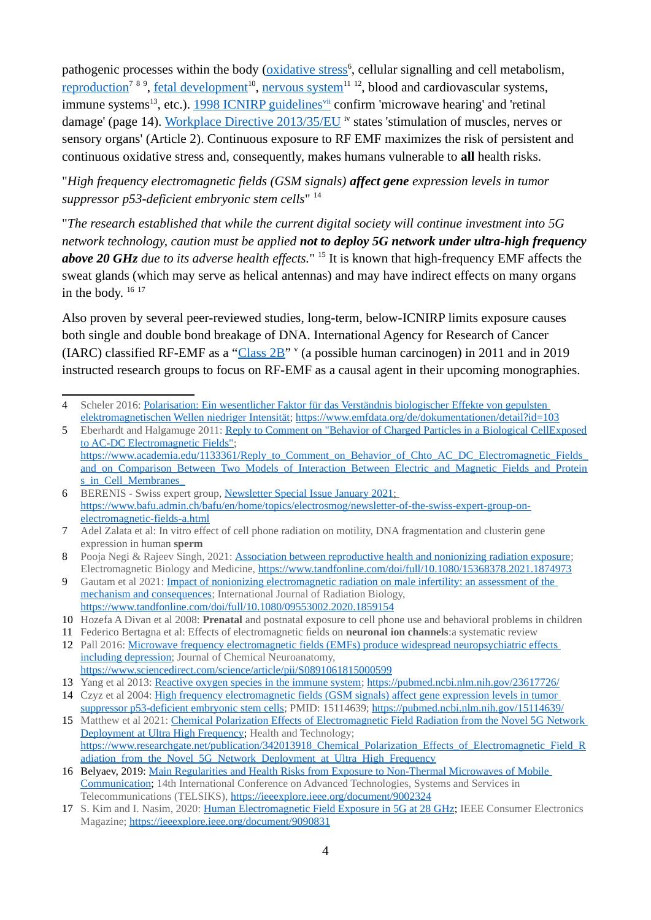pathogenic processes within the body (*oxidative stress*<sup>[6](#page-3-0)</sup>, cellular signalling and cell metabolism, <u>reproduction<sup>[7](#page-3-1) [8](#page-3-2) [9](#page-3-3)</sup>, fetal development<sup>[10](#page-3-4)</sup>, nervous system<sup>[11](#page-3-5) [12](#page-3-6)</sup>, blood and cardiovascular systems,</u> immune systems<sup>[13](#page-3-7)</sup>,etc.). <u>1998 ICNIRP guidelines<sup>vii</sup> confirm 'microwave hearing' and 'retinal</u> damage' (page 14). Workplace Directive 2013/35/EU iv states 'stimulation of muscles, nerves or sensory organs' (Article 2). Continuous exposure to RF EMF maximizes the risk of persistent and continuous oxidative stress and, consequently, makes humans vulnerable to **all** health risks.

"*High frequency electromagnetic fields (GSM signals) affect gene expression levels in tumor suppressor p53-deficient embryonic stem cells*" [14](#page-3-8)

"*The research established that while the current digital society will continue investment into 5G network technology, caution must be applied not to deploy 5G network under ultra-high frequency above 20 GHz due to its adverse health effects.*" [15](#page-3-9) It is known that high-frequency EMF affects the sweat glands (which may serve as helical antennas) and may have indirect effects on many organs in the body.  $16\,17$  $16\,17$  $16\,17$ 

Also proven by several peer-reviewed studies, long-term, below-ICNIRP limits exposure causes both single and double bond breakage of DNA. International Agency for Research of Cancer (IARC) classified RF-EMF as a "Class  $2B''$ " (a possible human carcinogen) in 2011 and in 2019 instructed research groups to focus on RF-EMF as a causal agent in their upcoming monographies.

<sup>4</sup> Scheler 2016: Polarisation: Ein wesentlicher Faktor für das Verständnis biologischer Effekte von gepulsten [elektromagnetischen Wellen niedriger Intensität](https://www.emfdata.org/de/dokumentationen/detail?id=103);<https://www.emfdata.org/de/dokumentationen/detail?id=103>

<sup>5</sup> Eberhardt and Halgamuge 2011: [Reply to Comment on "Behavior of Charged Particles in a Biological CellExposed](https://www.academia.edu/1133361/Reply_to_Comment_on_Behavior_of_Chto_AC_DC_Electromagnetic_Fields_and_on_Comparison_Between_Two_Models_of_Interaction_Between_Electric_and_Magnetic_Fields_and_Proteins_in_Cell_Membranes_) [to AC-DC Electromagnetic Fields";](https://www.academia.edu/1133361/Reply_to_Comment_on_Behavior_of_Chto_AC_DC_Electromagnetic_Fields_and_on_Comparison_Between_Two_Models_of_Interaction_Between_Electric_and_Magnetic_Fields_and_Proteins_in_Cell_Membranes_) https://www.academia.edu/1133361/Reply\_to\_Comment\_on\_Behavior\_of\_Chto\_AC\_DC\_Electromagnetic\_Fields [and\\_on\\_Comparison\\_Between\\_Two\\_Models\\_of\\_Interaction\\_Between\\_Electric\\_and\\_Magnetic\\_Fields\\_and\\_Protein](https://www.academia.edu/1133361/Reply_to_Comment_on_Behavior_of_Chto_AC_DC_Electromagnetic_Fields_and_on_Comparison_Between_Two_Models_of_Interaction_Between_Electric_and_Magnetic_Fields_and_Proteins_in_Cell_Membranes_) s in Cell Membranes

<span id="page-3-0"></span><sup>6</sup> BERENIS - Swiss expert group, [Newsletter](https://www.bafu.admin.ch/bafu/en/home/topics/electrosmog/newsletter-of-the-swiss-expert-group-on-electromagnetic-fields-a.html) Special Issue January 2021 ; [https://www.bafu.admin.ch/bafu/en/home/topics/electrosmog/newsletter-of-the-swiss-expert-group-on](https://www.bafu.admin.ch/bafu/en/home/topics/electrosmog/newsletter-of-the-swiss-expert-group-on-electromagnetic-fields-a.html)[electromagnetic-fields-a.html](https://www.bafu.admin.ch/bafu/en/home/topics/electrosmog/newsletter-of-the-swiss-expert-group-on-electromagnetic-fields-a.html)

<span id="page-3-1"></span><sup>7</sup> Adel Zalata et al: In vitro effect of cell phone radiation on motility, DNA fragmentation and clusterin gene expression in human **sperm**

<span id="page-3-2"></span><sup>8</sup> Pooja Negi & Rajeev Singh, 2021: [Association between reproductive health and nonionizing radiation exposure](https://www.tandfonline.com/doi/full/10.1080/15368378.2021.1874973); Electromagnetic Biology and Medicine,<https://www.tandfonline.com/doi/full/10.1080/15368378.2021.1874973>

<span id="page-3-3"></span><sup>9</sup> Gautam et al 2021: [Impact of nonionizing electromagnetic radiation on male infertility: an assessment of the](https://www.tandfonline.com/doi/full/10.1080/09553002.2020.1859154)  [mechanism and consequences;](https://www.tandfonline.com/doi/full/10.1080/09553002.2020.1859154) International Journal of Radiation Biology, <https://www.tandfonline.com/doi/full/10.1080/09553002.2020.1859154>

<span id="page-3-4"></span><sup>10</sup> Hozefa A Divan et al 2008: **Prenatal** and postnatal exposure to cell phone use and behavioral problems in children

<span id="page-3-5"></span><sup>11</sup> Federico Bertagna et al: Effects of electromagnetic fields on **neuronal ion channels**:a systematic review

<span id="page-3-6"></span><sup>12</sup> Pall 2016: [Microwave frequency electromagnetic fields \(EMFs\) produce widespread neuropsychiatric effects](https://www.sciencedirect.com/science/article/pii/S0891061815000599)  [including depression;](https://www.sciencedirect.com/science/article/pii/S0891061815000599) Journal of Chemical Neuroanatomy, <https://www.sciencedirect.com/science/article/pii/S0891061815000599>

<span id="page-3-7"></span><sup>13</sup> Yang et al 2013: [Reactive oxygen species in the immune system](https://pubmed.ncbi.nlm.nih.gov/23617726); <https://pubmed.ncbi.nlm.nih.gov/23617726/>

<span id="page-3-8"></span><sup>14</sup> Czyz et al 2004: [High frequency electromagnetic fields \(GSM signals\) affect gene expression levels in tumor](https://pubmed.ncbi.nlm.nih.gov/15114639/)  [suppressor p53-deficient embryonic stem cells;](https://pubmed.ncbi.nlm.nih.gov/15114639/) PMID: 15114639;<https://pubmed.ncbi.nlm.nih.gov/15114639/>

<span id="page-3-9"></span><sup>15</sup> Matthew et al 2021: [Chemical Polarization Effects of Electromagnetic Field Radiation from the Novel 5G Network](https://www.researchgate.net/publication/342013918_Chemical_Polarization_Effects_of_Electromagnetic_Field_Radiation_from_the_Novel_5G_Network_Deployment_at_Ultra_High_Frequency)  [Deployment at Ultra High Frequency](https://www.researchgate.net/publication/342013918_Chemical_Polarization_Effects_of_Electromagnetic_Field_Radiation_from_the_Novel_5G_Network_Deployment_at_Ultra_High_Frequency); Health and Technology; [https://www.researchgate.net/publication/342013918\\_Chemical\\_Polarization\\_Effects\\_of\\_Electromagnetic\\_Field\\_R](https://www.researchgate.net/publication/342013918_Chemical_Polarization_Effects_of_Electromagnetic_Field_Radiation_from_the_Novel_5G_Network_Deployment_at_Ultra_High_Frequency) adiation from the Novel 5G\_Network\_Deployment\_at\_Ultra\_High\_Frequency

<span id="page-3-10"></span><sup>16</sup> Belyaev, 2019: [Main Regularities and Health Risks from Exposure to Non-Thermal Microwaves of Mobile](https://ieeexplore.ieee.org/document/9002324)  [Communication](https://ieeexplore.ieee.org/document/9002324); 14th International Conference on Advanced Technologies, Systems and Services in Telecommunications (TELSIKS), <https://ieeexplore.ieee.org/document/9002324>

<span id="page-3-11"></span><sup>17</sup> S. Kim and I. Nasim, 2020: [Human Electromagnetic Field Exposure in 5G at 28 GHz;](https://ieeexplore.ieee.org/document/9090831) IEEE Consumer Electronics Magazine; <https://ieeexplore.ieee.org/document/9090831>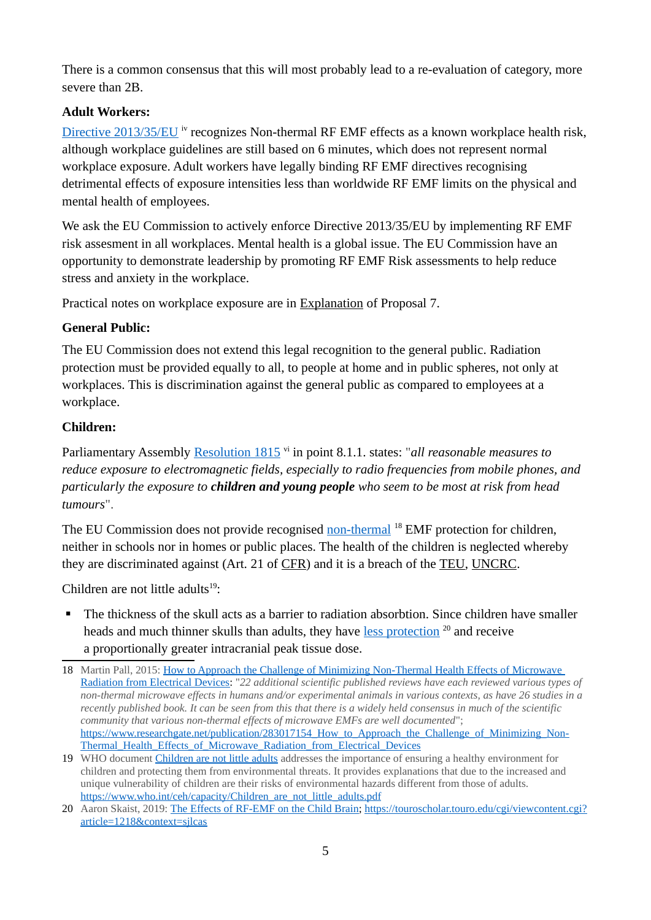There is a common consensus that this will most probably lead to a re-evaluation of category, more severe than 2B.

#### **Adult Workers:**

[Directive 2013/35/EU](https://eur-lex.europa.eu/legal-content/EN/TXT/?uri=celex%3A32013L0035) <sup>iv</sup> recognizes Non-thermal RF EMF effects as a known workplace health risk, although workplace guidelines are still based on 6 minutes, which does not represent normal workplace exposure. Adult workers have legally binding RF EMF directives recognising detrimental effects of exposure intensities less than worldwide RF EMF limits on the physical and mental health of employees.

We ask the EU Commission to actively enforce Directive 2013/35/EU by implementing RF EMF risk assesment in all workplaces. Mental health is a global issue. The EU Commission have an opportunity to demonstrate leadership by promoting RF EMF Risk assessments to help reduce stress and anxiety in the workplace.

Practical notes on workplace exposure are in [Explanation](#page-19-1) of Proposal 7.

### **General Public:**

The EU Commission does not extend this legal recognition to the general public. Radiation protection must be provided equally to all, to people at home and in public spheres, not only at workplaces. This is discrimination against the general public as compared to employees at a workplace.

### **Children:**

Parliamentary Assembly [Resolution 1815](http://assembly.coe.int/nw/xml/XRef/Xref-XML2HTML-en.asp?fileid=17994&) vi in point 8.1.1. states: "*all reasonable measures to reduce exposure to electromagnetic fields, especially to radio frequencies from mobile phones, and particularly the exposure to children and young people who seem to be most at risk from head tumours*".

The EU Commission does not provide recognised [non-thermal](https://www.researchgate.net/publication/283017154_How_to_Approach_the_Challenge_of_Minimizing_Non-Thermal_Health_Effects_of_Microwave_Radiation_from_Electrical_Devices) <sup>[18](#page-4-0)</sup> EMF protection for children, neither in schools nor in homes or public places. The health of the children is neglected whereby they are discriminated against (Art. 21 of [CFR](#page-67-2)) and it is a breach of the [TEU](#page-67-1), [UNCRC.](#page-68-0)

Children are not little adults $19$ :

 The thickness of the skull acts as a barrier to radiation absorbtion. Since children have smaller heads and much thinner skulls than adults, they have [less protection](https://touroscholar.touro.edu/cgi/viewcontent.cgi?article=1218&context=sjlcas)  $20$  and receive a proportionally greater intracranial peak tissue dose.

<span id="page-4-0"></span><sup>18</sup> Martin Pall, 2015: [How to Approach the Challenge of Minimizing Non-Thermal Health Effects of Microwave](https://www.researchgate.net/publication/283017154_How_to_Approach_the_Challenge_of_Minimizing_Non-Thermal_Health_Effects_of_Microwave_Radiation_from_Electrical_Devices)  [Radiation from Electrical Devices](https://www.researchgate.net/publication/283017154_How_to_Approach_the_Challenge_of_Minimizing_Non-Thermal_Health_Effects_of_Microwave_Radiation_from_Electrical_Devices): "*22 additional scientific published reviews have each reviewed various types of non-thermal microwave effects in humans and/or experimental animals in various contexts, as have 26 studies in a recently published book. It can be seen from this that there is a widely held consensus in much of the scientific community that various non-thermal effects of microwave EMFs are well documented*"; https://www.researchgate.net/publication/283017154 How to Approach the Challenge of Minimizing Non-Thermal Health Effects of Microwave Radiation from Electrical Devices

<span id="page-4-1"></span><sup>19</sup> WHO document [Children are not little adults](https://www.who.int/ceh/capacity/Children_are_not_little_adults.pdf) addresses the importance of ensuring a healthy environment for children and protecting them from environmental threats. It provides explanations that due to the increased and unique vulnerability of children are their risks of environmental hazards different from those of adults. https://www.who.int/ceh/capacity/Children\_are\_not\_little\_adults.pdf

<span id="page-4-2"></span><sup>20</sup> Aaron Skaist, 2019: [The Effects of RF-EMF on the Child Brain](https://touroscholar.touro.edu/cgi/viewcontent.cgi?article=1218&context=sjlcas); [https://touroscholar.touro.edu/cgi/viewcontent.cgi?](https://touroscholar.touro.edu/cgi/viewcontent.cgi?article=1218&context=sjlcas) [article=1218&context=sjlcas](https://touroscholar.touro.edu/cgi/viewcontent.cgi?article=1218&context=sjlcas)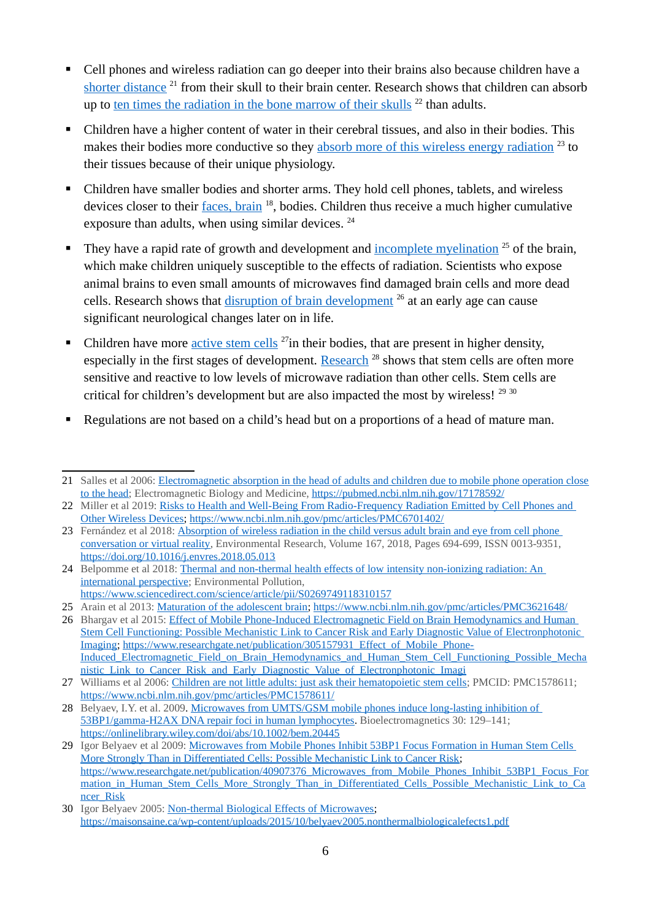- Cell phones and wireless radiation can go deeper into their brains also because children have a [shorter distance](https://pubmed.ncbi.nlm.nih.gov/17178592/)<sup>[21](#page-5-0)</sup> from their skull to their brain center. Research shows that children can absorb up to ten times the radiation in the bone marrow of their skulls  $^{22}$  $^{22}$  $^{22}$  than adults.
- Children have a higher content of water in their cerebral tissues, and also in their bodies. This makes their bodies more conductive so they [absorb more of this wireless energy radiation](https://doi.org/10.1016/j.envres.2018.05.01)<sup>[23](#page-5-2)</sup> to their tissues because of their unique physiology.
- Children have smaller bodies and shorter arms. They hold cell phones, tablets, and wireless devices closer to their *faces, brain* <sup>18</sup>, bodies. Children thus receive a much higher cumulative exposure than adults, when using similar devices.  $24$
- They have a rapid rate of growth and development and [incomplete myelination](https://www.ncbi.nlm.nih.gov/pmc/articles/PMC3621648/)  $25$  of the brain, which make children uniquely susceptible to the effects of radiation. Scientists who expose animal brains to even small amounts of microwaves find damaged brain cells and more dead cells. Research shows that [disruption of brain development](https://www.researchgate.net/publication/305157931_Effect_of_Mobile_Phone-Induced_Electromagnetic_Field_on_Brain_Hemodynamics_and_Human_Stem_Cell_Functioning_Possible_Mechanistic_Link_to_Cancer_Risk_and_Early_Diagnostic_Value_of_Electronphotonic_Imagi) <sup>[26](#page-5-5)</sup> at an early age can cause significant neurological changes later on in life.
- Children have more [active stem cells](https://www.ncbi.nlm.nih.gov/pmc/articles/PMC1578611/)  $27$  in their bodies, that are present in higher density, especially in the first stages of development. [Research](https://onlinelibrary.wiley.com/doi/abs/10.1002/bem.20445)<sup>[28](#page-5-7)</sup> shows that stem cells are often more sensitive and reactive to low levels of microwave radiation than other cells. Stem cells are critical for children's development but are also impacted the most by wireless!<sup>[29](#page-5-8) [30](#page-5-9)</sup>
- Regulations are not based on a child's head but on a proportions of a head of mature man.

<span id="page-5-4"></span>25 Arain et al 2013: [Maturation of the adolescent brain](https://www.ncbi.nlm.nih.gov/pmc/articles/PMC3621648/); <https://www.ncbi.nlm.nih.gov/pmc/articles/PMC3621648/>

<span id="page-5-0"></span><sup>21</sup> Salles et al 2006: [Electromagnetic absorption in the head of adults and children due to mobile phone operation close](https://pubmed.ncbi.nlm.nih.gov/17178592/) [to the head;](https://pubmed.ncbi.nlm.nih.gov/17178592/) Electromagnetic Biology and Medicine, <https://pubmed.ncbi.nlm.nih.gov/17178592/>

<span id="page-5-1"></span><sup>22</sup> Miller et al 2019: [Risks to Health and Well-Being From Radio-Frequency Radiation Emitted by Cell Phones and](https://www.ncbi.nlm.nih.gov/pmc/articles/PMC6701402/)  [Other Wireless Devices](https://www.ncbi.nlm.nih.gov/pmc/articles/PMC6701402/);<https://www.ncbi.nlm.nih.gov/pmc/articles/PMC6701402/>

<span id="page-5-2"></span><sup>23</sup> Fernández et al 2018: Absorption of wireless radiation in the child versus adult brain and eye from cell phone [conversation or virtual reality](https://doi.org/10.1016/j.envres.2018.05.013), Environmental Research, Volume 167, 2018, Pages 694-699, ISSN 0013-9351, <https://doi.org/10.1016/j.envres.2018.05.013>

<span id="page-5-3"></span><sup>24</sup> Belpomme et al 2018: Thermal and non-thermal health effects of low intensity non-ionizing radiation: An [international perspective](https://www.sciencedirect.com/science/article/pii/S0269749118310157); Environmental Pollution,

<https://www.sciencedirect.com/science/article/pii/S0269749118310157>

<span id="page-5-5"></span><sup>26</sup> Bhargav et al 2015: [Effect of Mobile Phone-Induced Electromagnetic Field on Brain Hemodynamics and Human](https://www.researchgate.net/publication/305157931_Effect_of_Mobile_Phone-Induced_Electromagnetic_Field_on_Brain_Hemodynamics_and_Human_Stem_Cell_Functioning_Possible_Mechanistic_Link_to_Cancer_Risk_and_Early_Diagnostic_Value_of_Electronphotonic_Imagi)  [Stem Cell Functioning: Possible Mechanistic Link to Cancer Risk and Early Diagnostic Value of Electronphotonic](https://www.researchgate.net/publication/305157931_Effect_of_Mobile_Phone-Induced_Electromagnetic_Field_on_Brain_Hemodynamics_and_Human_Stem_Cell_Functioning_Possible_Mechanistic_Link_to_Cancer_Risk_and_Early_Diagnostic_Value_of_Electronphotonic_Imagi)  [Imaging](https://www.researchgate.net/publication/305157931_Effect_of_Mobile_Phone-Induced_Electromagnetic_Field_on_Brain_Hemodynamics_and_Human_Stem_Cell_Functioning_Possible_Mechanistic_Link_to_Cancer_Risk_and_Early_Diagnostic_Value_of_Electronphotonic_Imagi); [https://www.researchgate.net/publication/305157931\\_Effect\\_of\\_Mobile\\_Phone-](https://www.researchgate.net/publication/305157931_Effect_of_Mobile_Phone-Induced_Electromagnetic_Field_on_Brain_Hemodynamics_and_Human_Stem_Cell_Functioning_Possible_Mechanistic_Link_to_Cancer_Risk_and_Early_Diagnostic_Value_of_Electronphotonic_Imagi)[Induced\\_Electromagnetic\\_Field\\_on\\_Brain\\_Hemodynamics\\_and\\_Human\\_Stem\\_Cell\\_Functioning\\_Possible\\_Mecha](https://www.researchgate.net/publication/305157931_Effect_of_Mobile_Phone-Induced_Electromagnetic_Field_on_Brain_Hemodynamics_and_Human_Stem_Cell_Functioning_Possible_Mechanistic_Link_to_Cancer_Risk_and_Early_Diagnostic_Value_of_Electronphotonic_Imagi) [nistic\\_Link\\_to\\_Cancer\\_Risk\\_and\\_Early\\_Diagnostic\\_Value\\_of\\_Electronphotonic\\_Imagi](https://www.researchgate.net/publication/305157931_Effect_of_Mobile_Phone-Induced_Electromagnetic_Field_on_Brain_Hemodynamics_and_Human_Stem_Cell_Functioning_Possible_Mechanistic_Link_to_Cancer_Risk_and_Early_Diagnostic_Value_of_Electronphotonic_Imagi)

<span id="page-5-6"></span><sup>27</sup> Williams et al 2006: [Children are not little adults: just ask their hematopoietic stem cells](https://www.ncbi.nlm.nih.gov/pmc/articles/PMC1578611/); PMCID: PMC1578611; <https://www.ncbi.nlm.nih.gov/pmc/articles/PMC1578611/>

<span id="page-5-7"></span><sup>28</sup> Belyaev, I.Y. et al. 2009. [Microwaves from UMTS/GSM mobile phones induce long-lasting inhibition of](https://onlinelibrary.wiley.com/doi/abs/10.1002/bem.20445)  [53BP1/gamma-H2AX DNA repair foci in human lymphocytes](https://onlinelibrary.wiley.com/doi/abs/10.1002/bem.20445). Bioelectromagnetics 30: 129–141; <https://onlinelibrary.wiley.com/doi/abs/10.1002/bem.20445>

<span id="page-5-8"></span><sup>29</sup> Igor Belyaev et al 2009: Microwaves from Mobile Phones Inhibit 53BP1 Focus Formation in Human Stem Cells [More Strongly Than in Differentiated Cells: Possible Mechanistic Link to Cancer Risk](https://www.researchgate.net/publication/40907376_Microwaves_from_Mobile_Phones_Inhibit_53BP1_Focus_Formation_in_Human_Stem_Cells_More_Strongly_Than_in_Differentiated_Cells_Possible_Mechanistic_Link_to_Cancer_Risk); [https://www.researchgate.net/publication/40907376\\_Microwaves\\_from\\_Mobile\\_Phones\\_Inhibit\\_53BP1\\_Focus\\_For](https://www.researchgate.net/publication/40907376_Microwaves_from_Mobile_Phones_Inhibit_53BP1_Focus_Formation_in_Human_Stem_Cells_More_Strongly_Than_in_Differentiated_Cells_Possible_Mechanistic_Link_to_Cancer_Risk) [mation\\_in\\_Human\\_Stem\\_Cells\\_More\\_Strongly\\_Than\\_in\\_Differentiated\\_Cells\\_Possible\\_Mechanistic\\_Link\\_to\\_Ca](https://www.researchgate.net/publication/40907376_Microwaves_from_Mobile_Phones_Inhibit_53BP1_Focus_Formation_in_Human_Stem_Cells_More_Strongly_Than_in_Differentiated_Cells_Possible_Mechanistic_Link_to_Cancer_Risk) [ncer\\_Risk](https://www.researchgate.net/publication/40907376_Microwaves_from_Mobile_Phones_Inhibit_53BP1_Focus_Formation_in_Human_Stem_Cells_More_Strongly_Than_in_Differentiated_Cells_Possible_Mechanistic_Link_to_Cancer_Risk)

<span id="page-5-9"></span><sup>30</sup> Igor Belyaev 2005: [Non-thermal Biological Effects of Microwaves](https://maisonsaine.ca/wp-content/uploads/2015/10/belyaev2005.nonthermalbiologicalefects1.pdf); <https://maisonsaine.ca/wp-content/uploads/2015/10/belyaev2005.nonthermalbiologicalefects1.pdf>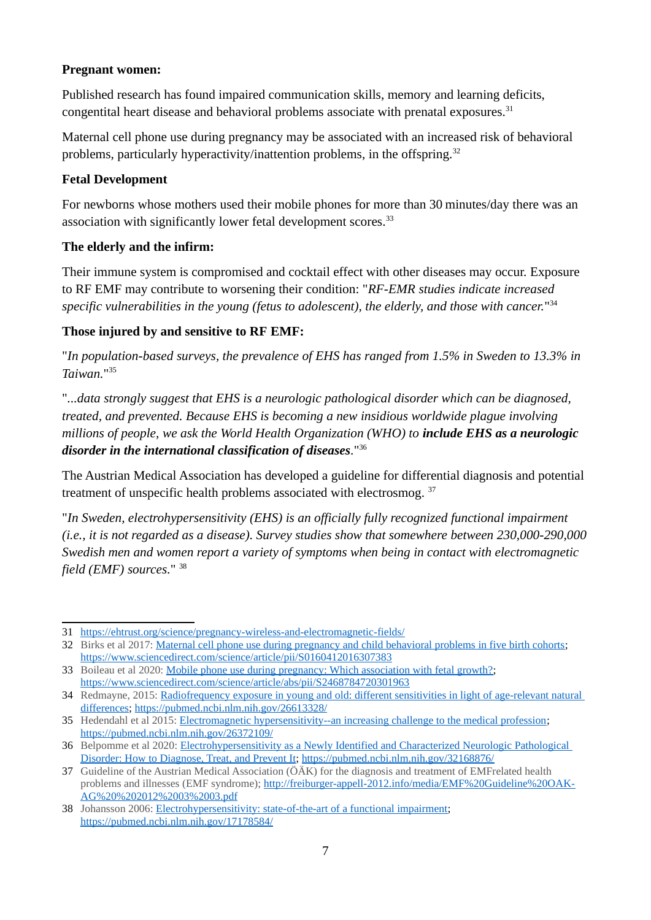#### **Pregnant women:**

Published research has found impaired communication skills, memory and learning deficits, congentital heart disease and behavioral problems associate with prenatal exposures.<sup>[31](#page-6-0)</sup>

Maternal cell phone use during pregnancy may be associated with an increased risk of behavioral problems, particularly hyperactivity/inattention problems, in the offspring.<sup>[32](#page-6-1)</sup>

#### **Fetal Development**

For newborns whose mothers used their mobile phones for more than 30 minutes/day there was an association with significantly lower fetal development scores.<sup>[33](#page-6-2)</sup>

#### **The elderly and the infirm:**

Their immune system is compromised and cocktail effect with other diseases may occur. Exposure to RF EMF may contribute to worsening their condition: "*RF-EMR studies indicate increased specific vulnerabilities in the young (fetus to adolescent), the elderly, and those with cancer.*" [34](#page-6-3)

#### **Those injured by and sensitive to RF EMF:**

"*In population-based surveys, the prevalence of EHS has ranged from 1.5% in Sweden to 13.3% in Taiwan.*" [35](#page-6-4)

"*...data strongly suggest that EHS is a neurologic pathological disorder which can be diagnosed, treated, and prevented. Because EHS is becoming a new insidious worldwide plague involving millions of people, we ask the World Health Organization (WHO) to include EHS as a neurologic disorder in the international classification of diseases.*" [36](#page-6-5)

The Austrian Medical Association has developed a guideline for differential diagnosis and potential treatment of unspecific health problems associated with electrosmog.<sup>[37](#page-6-6)</sup>

"*In Sweden, electrohypersensitivity (EHS) is an officially fully recognized functional impairment (i.e., it is not regarded as a disease). Survey studies show that somewhere between 230,000-290,000 Swedish men and women report a variety of symptoms when being in contact with electromagnetic field (EMF) sources.*" [38](#page-6-7)

<span id="page-6-0"></span><sup>31</sup><https://ehtrust.org/science/pregnancy-wireless-and-electromagnetic-fields/>

<span id="page-6-1"></span><sup>32</sup> Birks et al 2017: [Maternal cell phone use during pregnancy and child behavioral problems in five birth cohorts;](https://www.sciencedirect.com/science/article/pii/S0160412016307383) <https://www.sciencedirect.com/science/article/pii/S0160412016307383>

<span id="page-6-2"></span><sup>33</sup> Boileau et al 2020: [Mobile phone use during pregnancy: Which association with fetal growth?](https://www.sciencedirect.com/science/article/abs/pii/S2468784720301963); <https://www.sciencedirect.com/science/article/abs/pii/S2468784720301963>

<span id="page-6-3"></span><sup>34</sup> Redmayne, 2015: Radiofrequency exposure in young and old: different sensitivities in light of age-relevant natural [differences](https://pubmed.ncbi.nlm.nih.gov/26613328/);<https://pubmed.ncbi.nlm.nih.gov/26613328/>

<span id="page-6-4"></span><sup>35</sup> Hedendahl et al 2015: [Electromagnetic hypersensitivity--an increasing challenge to the medical profession](https://pubmed.ncbi.nlm.nih.gov/26372109/); <https://pubmed.ncbi.nlm.nih.gov/26372109/>

<span id="page-6-5"></span><sup>36</sup> Belpomme et al 2020: [Electrohypersensitivity as a Newly Identified and Characterized Neurologic Pathological](https://pubmed.ncbi.nlm.nih.gov/32168876/)  [Disorder: How to Diagnose, Treat, and Prevent It;](https://pubmed.ncbi.nlm.nih.gov/32168876/) <https://pubmed.ncbi.nlm.nih.gov/32168876/>

<span id="page-6-6"></span><sup>37</sup> Guideline of the Austrian Medical Association (ÖÄK) for the diagnosis and treatment of EMFrelated health problems and illnesses (EMF syndrome); [http://freiburger-appell-2012.info/media/EMF%20Guideline%20OAK-](http://freiburger-appell-2012.info/media/EMF%20Guideline%20OAK-AG%202012%2003%2003.pdf)[AG%20%202012%2003%2003.pdf](http://freiburger-appell-2012.info/media/EMF%20Guideline%20OAK-AG%202012%2003%2003.pdf)

<span id="page-6-7"></span><sup>38</sup> Johansson 2006: [Electrohypersensitivity: state-of-the-art of a functional impairment](https://pubmed.ncbi.nlm.nih.gov/17178584/); <https://pubmed.ncbi.nlm.nih.gov/17178584/>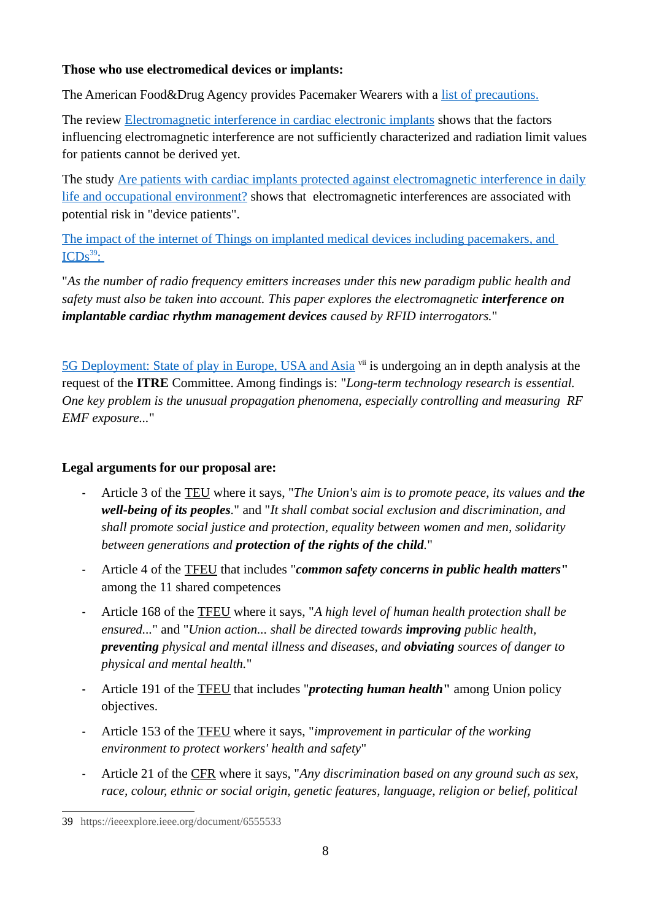#### **Those who use electromedical devices or implants:**

The American Food&Drug Agency provides Pacemaker Wearers with a [list of precautions.](https://www.fda.gov/radiation-emitting-products/cell-phones/potential-cell-phone-interference-pacemakers-and-other-medical-devices)

The review **Electromagnetic interference in cardiac electronic implants** shows that the factors influencing electromagnetic interference are not sufficiently characterized and radiation limit values for patients cannot be derived yet.

The study [Are patients with cardiac implants protected against electromagnetic interference in daily](https://academic.oup.com/eurheartj/article/36/28/1798/2398060) [life and occupational environment?](https://academic.oup.com/eurheartj/article/36/28/1798/2398060) shows that electromagnetic interferences are associated with potential risk in "device patients".

[The impact of the internet of Things on implanted medical devices including pacemakers, and](https://ieeexplore.ieee.org/document/6555533)   $\overline{\mathrm{ICDs}^{39}}$ :

"*As the number of radio frequency emitters increases under this new paradigm public health and safety must also be taken into account. This paper explores the electromagnetic interference on implantable cardiac rhythm management devices caused by RFID interrogators.*"

[5G Deployment: State of play in Europe, USA and Asia](https://www.europarl.europa.eu/thinktank/en/document.html?reference=IPOL_IDA(2019)631060) v<sup>ii</sup> is undergoing an in depth analysis at the request of the **ITRE** Committee. Among findings is: "*Long-term technology research is essential. One key problem is the unusual propagation phenomena, especially controlling and measuring RF EMF exposure...*"

#### **Legal arguments for our proposal are:**

- **-** Article 3 of the [TEU](#page-67-1) where it says, "*The Union's aim is to promote peace, its values and the well-being of its peoples.*" and "*It shall combat social exclusion and discrimination, and shall promote social justice and protection, equality between women and men, solidarity between generations and protection of the rights of the child.*"
- **-** Article 4 of the [TFEU](#page-67-3) that includes "*common safety concerns in public health matters***"** among the 11 shared competences
- **-** Article 168 of the [TFEU](#page-67-3) where it says, "*A high level of human health protection shall be ensured...*" and "*Union action... shall be directed towards improving public health, preventing physical and mental illness and diseases, and obviating sources of danger to physical and mental health.*"
- **-** Article 191 of the [TFEU](#page-67-3) that includes "*protecting human health***"** among Union policy objectives.
- **-** Article 153 of the [TFEU](#page-67-3) where it says, "*improvement in particular of the working environment to protect workers' health and safety*"
- **-** Article 21 of the [CFR](#page-67-2) where it says, "*Any discrimination based on any ground such as sex, race, colour, ethnic or social origin, genetic features, language, religion or belief, political*

<span id="page-7-0"></span><sup>39</sup> https://ieeexplore.ieee.org/document/6555533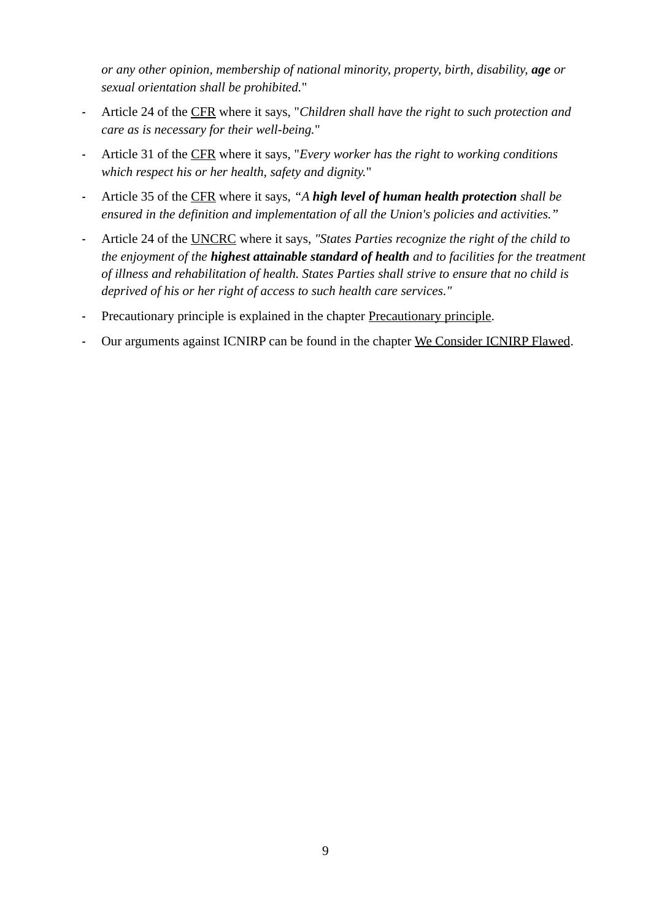*or any other opinion, membership of national minority, property, birth, disability, age or sexual orientation shall be prohibited.*"

- **-** Article 24 of the [CFR](#page-67-2) where it says, "*Children shall have the right to such protection and care as is necessary for their well-being.*"
- **-** Article 31 of the [CFR](#page-67-2) where it says, "*Every worker has the right to working conditions which respect his or her health, safety and dignity.*"
- **-** Article 35 of the [CFR](#page-67-2) where it says, *"A high level of human health protection shall be ensured in the definition and implementation of all the Union's policies and activities."*
- **-** Article 24 of the [UNCRC](#page-68-0) where it says, *"States Parties recognize the right of the child to the enjoyment of the highest attainable standard of health and to facilities for the treatment of illness and rehabilitation of health. States Parties shall strive to ensure that no child is deprived of his or her right of access to such health care services."*
- **-** Precautionary principle is explained in the chapter [Precautionary principle](#page-54-0).
- **-** Our arguments against ICNIRP can be found in the chapter [We Consider ICNIRP Flawed.](#page-58-0)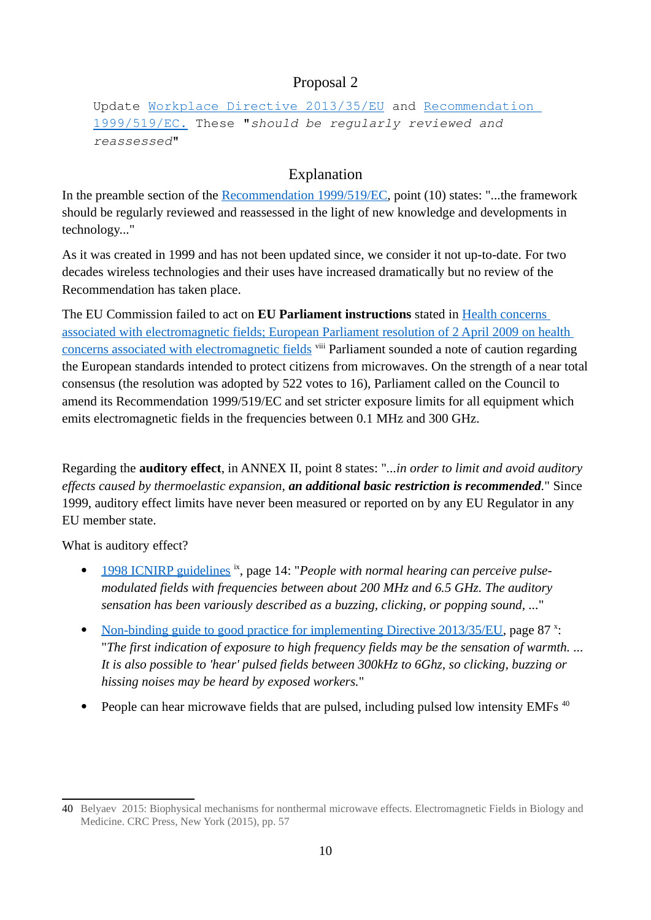Update [Workplace Directive 2013/35/EU](https://eur-lex.europa.eu/legal-content/EN/TXT/?uri=celex%3A32013L0035) and [Recommendation](https://eur-lex.europa.eu/legal-content/EN/TXT/?uri=celex:31999H0519)   [1999/519/EC](https://eur-lex.europa.eu/legal-content/EN/TXT/?uri=celex:31999H0519). These "should be regularly reviewed and reassessed"

# <span id="page-9-0"></span>Explanation

In the preamble section of the [Recommendation 1999/519/EC](https://eur-lex.europa.eu/legal-content/EN/TXT/?uri=celex:31999H0519), point (10) states: "...the framework should be regularly reviewed and reassessed in the light of new knowledge and developments in technology..."

As it was created in 1999 and has not been updated since, we consider it not up-to-date. For two decades wireless technologies and their uses have increased dramatically but no review of the Recommendation has taken place.

The EU Commission failed to act on **EU Parliament instructions** stated in [Health concerns](https://op.europa.eu/en/publication-detail/-/publication/2d5bedf8-d1dd-4631-85d7-6c54c18f32b0/language-en)  [associated with electromagnetic fields; European Parliament resolution of 2 April 2009 on health](https://op.europa.eu/en/publication-detail/-/publication/2d5bedf8-d1dd-4631-85d7-6c54c18f32b0/language-en)  [concerns associated with electromagnetic fields](https://op.europa.eu/en/publication-detail/-/publication/2d5bedf8-d1dd-4631-85d7-6c54c18f32b0/language-en) vili Parliament sounded a note of caution regarding the European standards intended to protect citizens from microwaves. On the strength of a near total consensus (the resolution was adopted by 522 votes to 16), Parliament called on the Council to amend its Recommendation 1999/519/EC and set stricter exposure limits for all equipment which emits electromagnetic fields in the frequencies between 0.1 MHz and 300 GHz.

Regarding the **auditory effect**, in ANNEX II, point 8 states: "*...in order to limit and avoid auditory effects caused by thermoelastic expansion, an additional basic restriction is recommended.*" Since 1999, auditory effect limits have never been measured or reported on by any EU Regulator in any EU member state.

What is auditory effect?

- [1998 ICNIRP guidelines](https://www.icnirp.org/cms/upload/publications/ICNIRPemfgdl.pdf) ix, page 14: "*People with normal hearing can perceive pulsemodulated fields with frequencies between about 200 MHz and 6.5 GHz. The auditory sensation has been variously described as a buzzing, clicking, or popping sound, ...*"
- • [Non-binding guide to good practice for implementing Directive 2013/35/EU](http://ec.europa.eu/social/BlobServlet?docId=14741&langId=en&usg=AOvVaw2pm_f1PoHltXjnkj3uqgc3), page 87 x: "*The first indication of exposure to high frequency fields may be the sensation of warmth. ... It is also possible to 'hear' pulsed fields between 300kHz to 6Ghz, so clicking, buzzing or hissing noises may be heard by exposed workers.*"
- People can hear microwave fields that are pulsed, including pulsed low intensity EMFs  $40$

<span id="page-9-1"></span><sup>40</sup> Belyaev 2015: Biophysical mechanisms for nonthermal microwave effects. Electromagnetic Fields in Biology and Medicine. CRC Press, New York (2015), pp. 57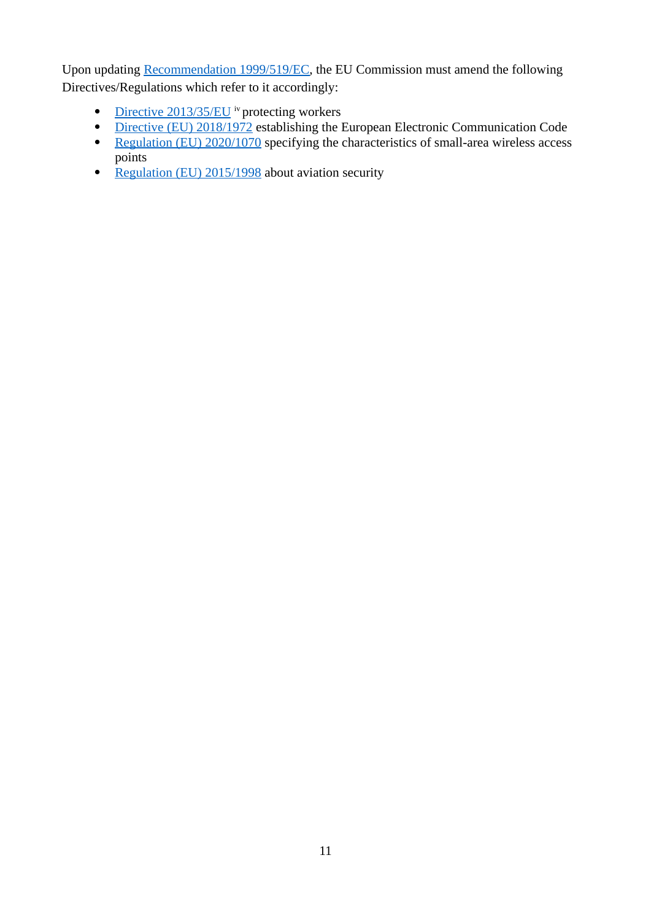Upon updating [Recommendation 1999/519/EC](https://eur-lex.europa.eu/legal-content/EN/TXT/?uri=celex:31999H0519), the EU Commission must amend the following Directives/Regulations which refer to it accordingly:

- • [Directive 2013/35/EU](https://eur-lex.europa.eu/legal-content/EN/TXT/?uri=celex%3A32013L0035) iv protecting workers
- **Directive (EU) 2018/1972 establishing the European Electronic Communication Code**
- [Regulation \(EU\) 2020/1070](https://eur-lex.europa.eu/legal-content/GA/TXT/?uri=CELEX:32020R1070) specifying the characteristics of small-area wireless access points
- • [Regulation \(EU\) 2015/1998](https://eur-lex.europa.eu/legal-content/EN/TXT/?uri=celex%3A32015R1998) about aviation security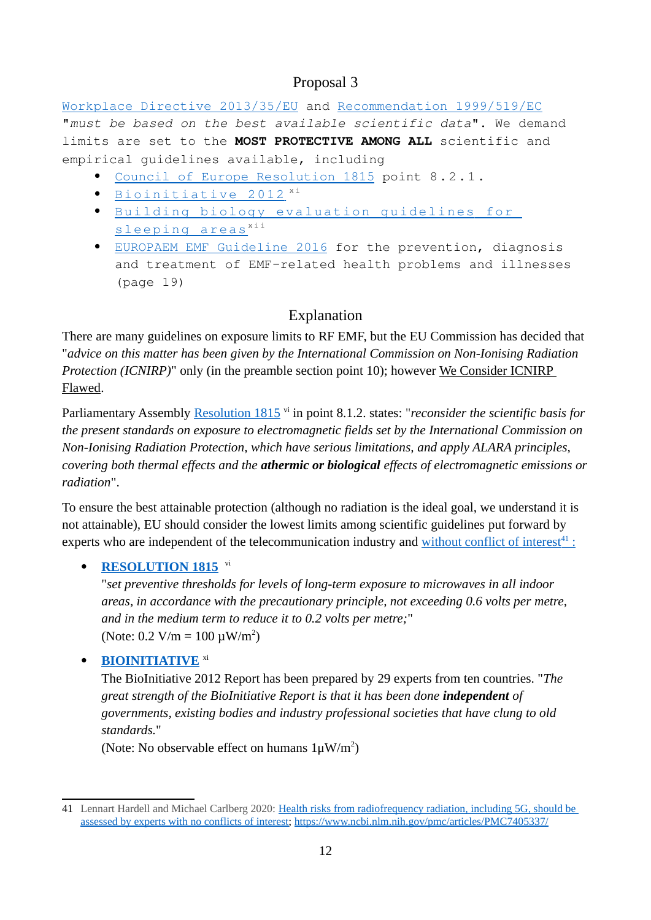[Workplace Directive 2013/35/EU](https://eur-lex.europa.eu/legal-content/EN/TXT/?uri=celex%3A32013L0035) and [Recommendation 1999/519/EC](https://eur-lex.europa.eu/legal-content/EN/TXT/?uri=celex:31999H0519) "must be based on the best available scientific data". We demand limits are set to the **MOST PROTECTIVE AMONG ALL** scientific and empirical guidelines available, including

- <span id="page-11-0"></span> [Council of Europe Resolution 1815](http://assembly.coe.int/nw/xml/XRef/Xref-XML2HTML-en.asp?fileid=17994&) point 8 . 2 . 1 .
- $\bullet$  Bioinitiative 2012  $x_i$
- · Building biology evaluation quidelines for s leeping areas<sup>xii</sup>
- [EUROPAEM EMF Guideline 2016](https://pubmed.ncbi.nlm.nih.gov/27454111) for the prevention, diagnosis and treatment of EMF-related health problems and illnesses (page 19)

### Explanation

There are many guidelines on exposure limits to RF EMF, but the EU Commission has decided that "*advice on this matter has been given by the International Commission on Non-Ionising Radiation Protection (ICNIRP)*" only (in the preamble section point 10); however We Consider ICNIRP [Flawed](#page-58-0).

Parliamentary Assembly [Resolution 1815](http://assembly.coe.int/nw/xml/XRef/Xref-XML2HTML-en.asp?fileid=17994&) vi in point 8.1.2. states: "*reconsider the scientific basis for the present standards on exposure to electromagnetic fields set by the International Commission on Non-Ionising Radiation Protection, which have serious limitations, and apply ALARA principles, covering both thermal effects and the athermic or biological effects of electromagnetic emissions or radiation*".

To ensure the best attainable protection (although no radiation is the ideal goal, we understand it is not attainable), EU should consider the lowest limits among scientific guidelines put forward by experts who are independent of the telecommunication industry and [without conflict of interest](https://www.ncbi.nlm.nih.gov/pmc/articles/PMC7405337/)<sup>41</sup>:

### **• RESOLUTION 1815** vi

"*set preventive thresholds for levels of long-term exposure to microwaves in all indoor areas, in accordance with the precautionary principle, not exceeding 0.6 volts per metre, and in the medium term to reduce it to 0.2 volts per metre;*" (Note: 0.2 V/m =  $100 \mu W/m^2$ )

#### **BIOINITIATIVE** xi

The BioInitiative 2012 Report has been prepared by 29 experts from ten countries. "*The great strength of the BioInitiative Report is that it has been done independent of governments, existing bodies and industry professional societies that have clung to old standards.*"

(Note: No observable effect on humans  $1 \mu W/m^2$ )

<span id="page-11-1"></span><sup>41</sup> Lennart Hardell and Michael Carlberg 2020: [Health risks from radiofrequency radiation, including 5G, should be](https://www.ncbi.nlm.nih.gov/pmc/articles/PMC7405337/)  [assessed by experts with no conflicts of interest](https://www.ncbi.nlm.nih.gov/pmc/articles/PMC7405337/);<https://www.ncbi.nlm.nih.gov/pmc/articles/PMC7405337/>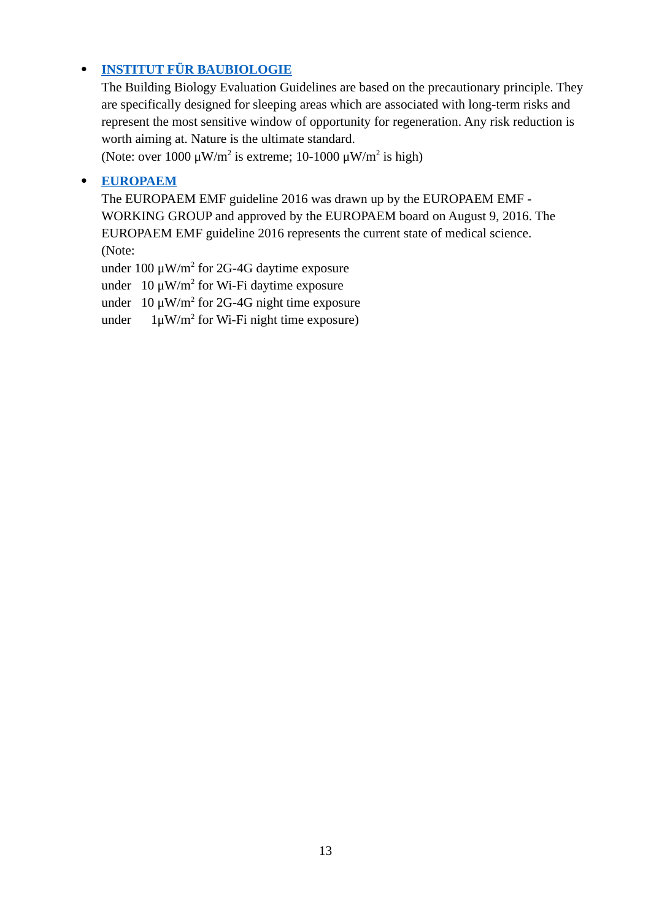#### **[INSTITUT FÜR BAUBIOLOGIE](https://baubiologie.de/)**

The Building Biology Evaluation Guidelines are based on the precautionary principle. They are specifically designed for sleeping areas which are associated with long-term risks and represent the most sensitive window of opportunity for regeneration. Any risk reduction is worth aiming at. Nature is the ultimate standard.

(Note: over 1000  $\mu$ W/m<sup>2</sup> is extreme; 10-1000  $\mu$ W/m<sup>2</sup> is high)

#### **[EUROPAEM](https://europaem.eu/en/)**

The EUROPAEM EMF guideline 2016 was drawn up by the EUROPAEM EMF - WORKING GROUP and approved by the EUROPAEM board on August 9, 2016. The EUROPAEM EMF guideline 2016 represents the current state of medical science. (Note:

under 100  $\mu$ W/m<sup>2</sup> for 2G-4G daytime exposure

under  $10 \mu W/m^2$  for Wi-Fi daytime exposure

under  $10 \mu W/m^2$  for 2G-4G night time exposure

under  $1 \mu W/m^2$  for Wi-Fi night time exposure)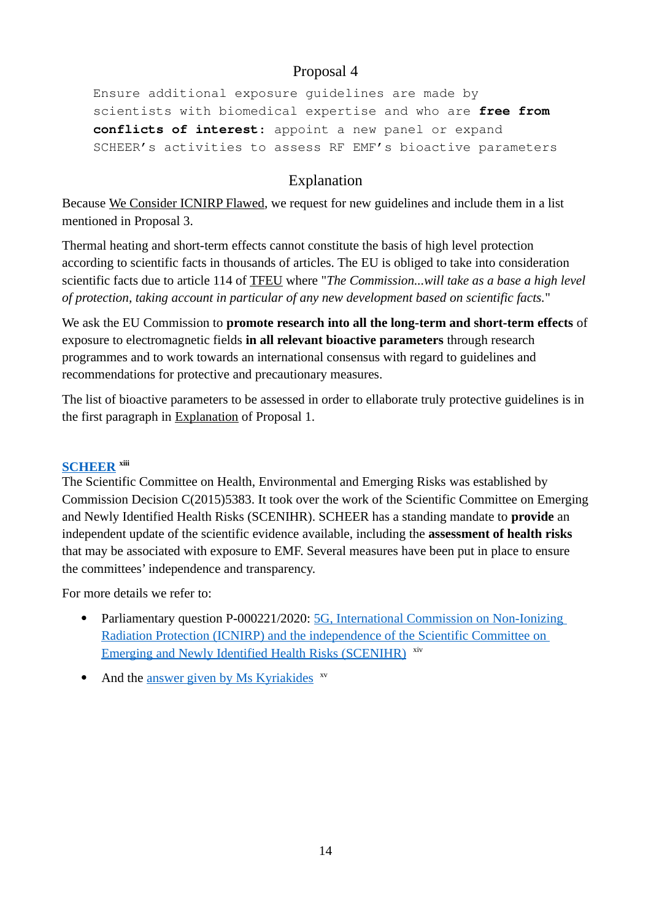Ensure additional exposure guidelines are made by scientists with biomedical expertise and who are **free from conflicts of interest**: appoint a new panel or expand SCHEER's activities to assess RF EMF's bioactive parameters

### <span id="page-13-0"></span>Explanation

Because [We Consider ICNIRP Flawed](#page-58-0), we request for new guidelines and include them in a list mentioned in Proposal 3.

Thermal heating and short-term effects cannot constitute the basis of high level protection according to scientific facts in thousands of articles. The EU is obliged to take into consideration scientific facts due to article 114 of [TFEU](#page-67-3) where "*The Commission...will take as a base a high level of protection, taking account in particular of any new development based on scientific facts.*"

We ask the EU Commission to **promote research into all the long-term and short-term effects** of exposure to electromagnetic fields **in all relevant bioactive parameters** through research programmes and to work towards an international consensus with regard to guidelines and recommendations for protective and precautionary measures.

The list of bioactive parameters to be assessed in order to ellaborate truly protective guidelines is in the first paragraph in [Explanation](#page-2-5) of Proposal 1.

#### **[SCHEER](https://ec.europa.eu/health/scientific_committees/scheer_en) xiii**

The Scientific Committee on Health, Environmental and Emerging Risks was established by [Commission Decision C\(2015\)5383](https://europa.eu/citizens-initiative-forum/seek-advice/request/909_en#_ftnref11). It took over the work of the Scientific Committee on Emerging and Newly Identified Health Risks (SCENIHR). SCHEER has a standing mandate to **provide** an independent update of the scientific evidence available, including the **assessment of health risks** that may be associated with exposure to EMF. Several measures have been put in place to ensure the committees' independence and transparency.

For more details we refer to:

- Parliamentary question P-000221/2020: [5G, International Commission on Non-Ionizing](https://www.europarl.europa.eu/doceo/document/P-9-2020-000221_EN.html)  [Radiation Protection \(ICNIRP\) and the independence of the Scientific Committee on](https://www.europarl.europa.eu/doceo/document/P-9-2020-000221_EN.html)  [Emerging and Newly Identified Health Risks \(SCENIHR\)](https://www.europarl.europa.eu/doceo/document/P-9-2020-000221_EN.html) xiv
- And the [answer given by Ms Kyriakides](https://www.europarl.europa.eu/doceo/document/P-9-2020-000221-ASW_EN.html) <sup>xv</sup>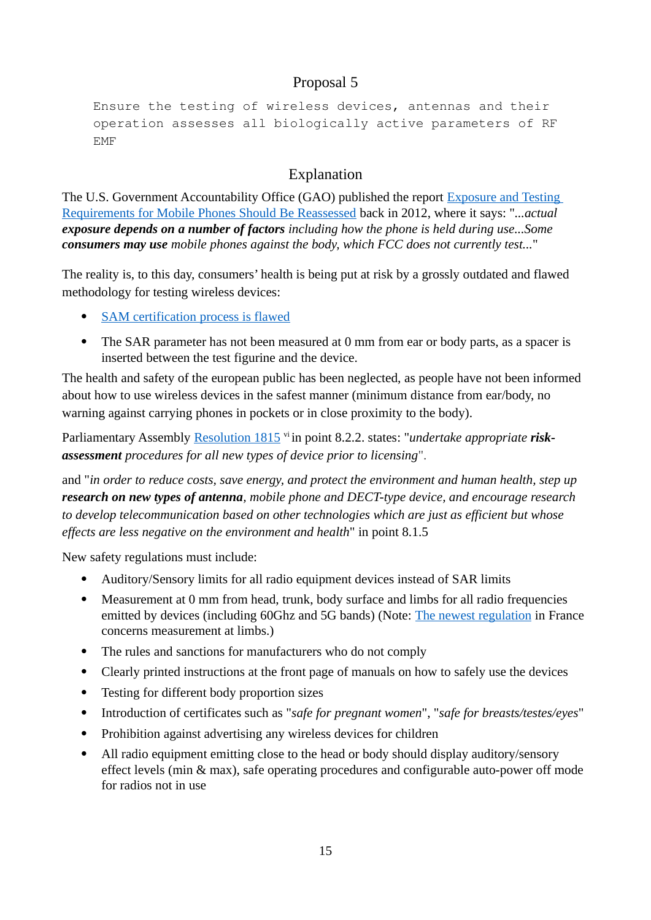Ensure the testing of wireless devices, antennas and their operation assesses all biologically active parameters of RF EMF

# <span id="page-14-0"></span>Explanation

The U.S. Government Accountability Office (GAO) published the report [Exposure and Testing](https://www.gao.gov/products/gao-12-771)  [Requirements for Mobile Phones Should Be Reassessed](https://www.gao.gov/products/gao-12-771) back in 2012, where it says: "*...actual exposure depends on a number of factors including how the phone is held during use...Some consumers may use mobile phones against the body, which FCC does not currently test...*"

The reality is, to this day, consumers' health is being put at risk by a grossly outdated and flawed methodology for testing wireless devices:

- • [SAM certification process is flawed](https://wearenotsam.com/read-the-science/)
- The SAR parameter has not been measured at 0 mm from ear or body parts, as a spacer is inserted between the test figurine and the device.

The health and safety of the european public has been neglected, as people have not been informed about how to use wireless devices in the safest manner (minimum distance from ear/body, no warning against carrying phones in pockets or in close proximity to the body).

Parliamentary Assembly [Resolution 1815](http://assembly.coe.int/nw/xml/XRef/Xref-XML2HTML-en.asp?fileid=17994&) vi in point 8.2.2. states: "*undertake appropriate riskassessment procedures for all new types of device prior to licensing*".

and "*in order to reduce costs, save energy, and protect the environment and human health, step up research on new types of antenna, mobile phone and DECT-type device, and encourage research to develop telecommunication based on other technologies which are just as efficient but whose effects are less negative on the environment and health*" in point 8.1.5

New safety regulations must include:

- Auditory/Sensory limits for all radio equipment devices instead of SAR limits
- Measurement at 0 mm from head, trunk, body surface and limbs for all radio frequencies emitted by devices (including 60Ghz and 5G bands) (Note: [The newest regulation](https://www.anfr.fr/fileadmin/mediatheque/documents/expace/2020-guide-R%C3%A9glementation-DAS-EN.pdf) in France concerns measurement at limbs.)
- The rules and sanctions for manufacturers who do not comply
- Clearly printed instructions at the front page of manuals on how to safely use the devices
- Testing for different body proportion sizes
- Introduction of certificates such as "*safe for pregnant women*", "*safe for breasts/testes/eyes*"
- Prohibition against advertising any wireless devices for children
- All radio equipment emitting close to the head or body should display auditory/sensory effect levels (min & max), safe operating procedures and configurable auto-power off mode for radios not in use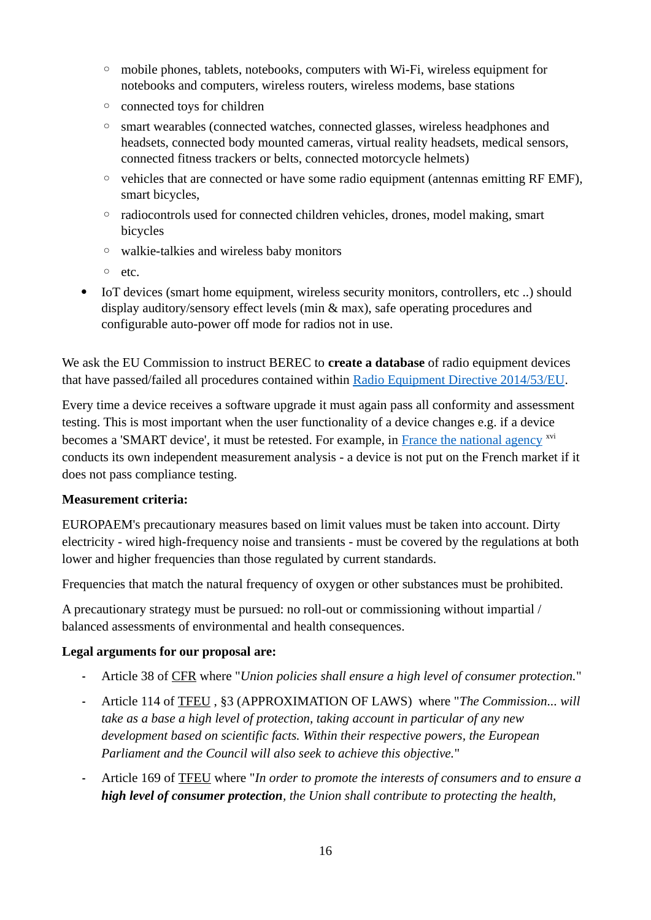- mobile phones, tablets, notebooks, computers with Wi-Fi, wireless equipment for notebooks and computers, wireless routers, wireless modems, base stations
- connected toys for children
- smart wearables (connected watches, connected glasses, wireless headphones and headsets, connected body mounted cameras, virtual reality headsets, medical sensors, connected fitness trackers or belts, connected motorcycle helmets)
- vehicles that are connected or have some radio equipment (antennas emitting RF EMF), smart bicycles,
- radiocontrols used for connected children vehicles, drones, model making, smart bicycles
- walkie-talkies and wireless baby monitors
- etc.
- IoT devices (smart home equipment, wireless security monitors, controllers, etc ..) should display auditory/sensory effect levels (min & max), safe operating procedures and configurable auto-power off mode for radios not in use.

We ask the EU Commission to instruct BEREC to **create a database** of radio equipment devices that have passed/failed all procedures contained within [Radio Equipment Directive 2014/53/EU.](https://eur-lex.europa.eu/legal-content/EN/TXT/?uri=CELEX%3A02014L0053-20180911)

Every time a device receives a software upgrade it must again pass all conformity and assessment testing. This is most important when the user functionality of a device changes e.g. if a device becomes a 'SMART device', it must be retested. For example, in [France the national agency](https://data.anfr.fr/anfr/visualisation/table/?disjunctive.marque&disjunctive.modele&sort=das_tronc_norme_nf_en_50566) <sup>xvi</sup> conducts its own independent measurement analysis - a device is not put on the French market if it does not pass compliance testing.

#### **Measurement criteria:**

EUROPAEM's precautionary measures based on limit values must be taken into account. Dirty electricity - wired high-frequency noise and transients - must be covered by the regulations at both lower and higher frequencies than those regulated by current standards.

Frequencies that match the natural frequency of oxygen or other substances must be prohibited.

A precautionary strategy must be pursued: no roll-out or commissioning without impartial / balanced assessments of environmental and health consequences.

#### **Legal arguments for our proposal are:**

- **-** Article 38 of [CFR](#page-67-2) where "*Union policies shall ensure a high level of consumer protection.*"
- **-** Article 114 of [TFEU](#page-67-3) , §3 (APPROXIMATION OF LAWS) where "*The Commission... will take as a base a high level of protection, taking account in particular of any new development based on scientific facts. Within their respective powers, the European Parliament and the Council will also seek to achieve this objective.*"
- **-** Article 169 of [TFEU](#page-67-3) where "*In order to promote the interests of consumers and to ensure a high level of consumer protection, the Union shall contribute to protecting the health,*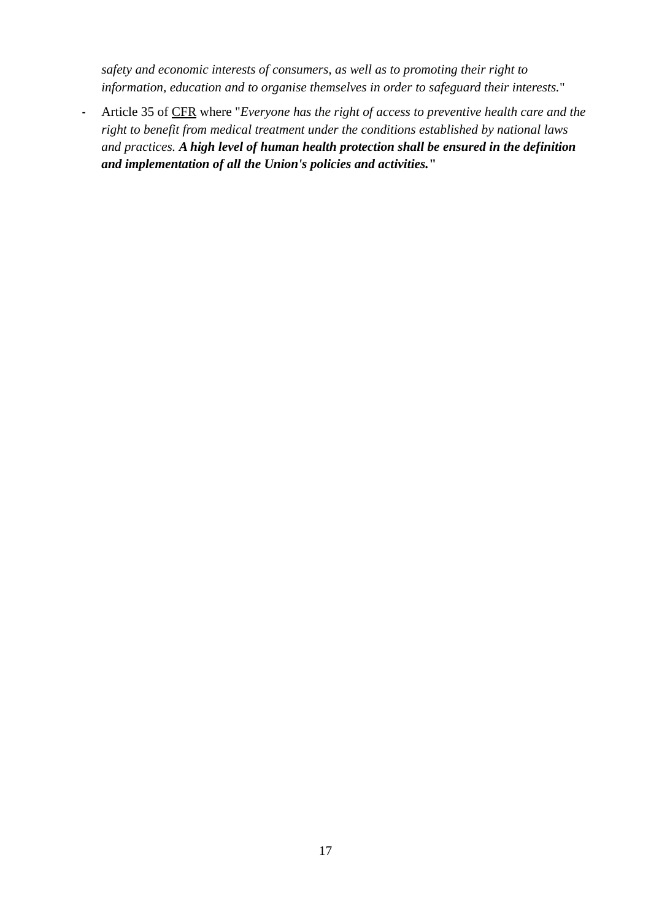*safety and economic interests of consumers, as well as to promoting their right to information, education and to organise themselves in order to safeguard their interests.*"

**-** Article 35 of [CFR](#page-67-2) where "*Everyone has the right of access to preventive health care and the right to benefit from medical treatment under the conditions established by national laws and practices. A high level of human health protection shall be ensured in the definition and implementation of all the Union's policies and activities.***"**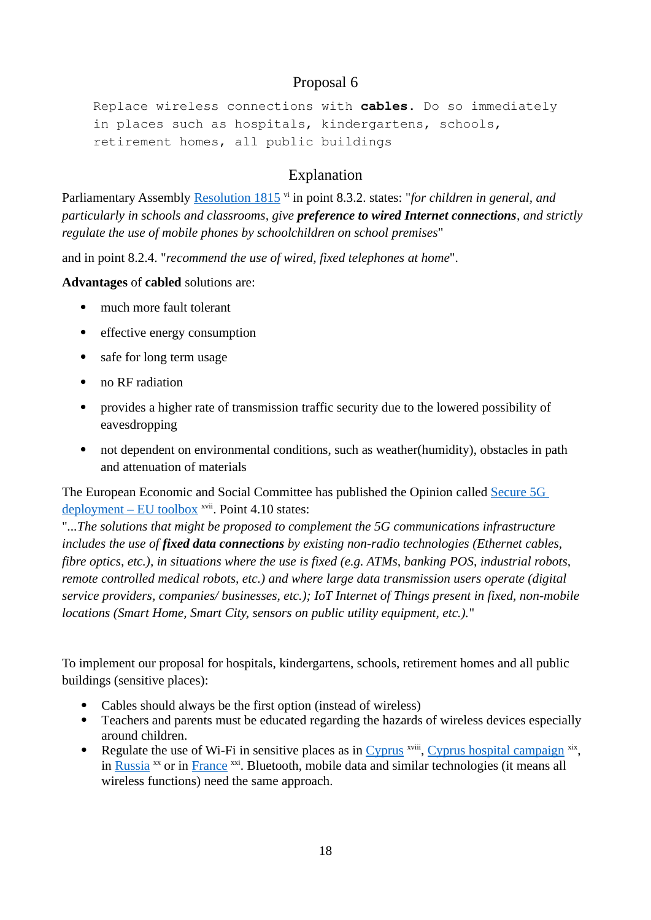Replace wireless connections with **cables.** Do so immediately in places such as hospitals, kindergartens, schools, retirement homes, all public buildings

# <span id="page-17-0"></span>Explanation

Parliamentary Assembly [Resolution 1815](http://assembly.coe.int/nw/xml/XRef/Xref-XML2HTML-en.asp?fileid=17994&)<sup>vi</sup> in point 8.3.2. states: "*for children in general, and particularly in schools and classrooms, give preference to wired Internet connections, and strictly regulate the use of mobile phones by schoolchildren on school premises*"

and in point 8.2.4. "*recommend the use of wired, fixed telephones at home*".

**Advantages** of **cabled** solutions are:

- much more fault tolerant
- effective energy consumption
- safe for long term usage
- no RF radiation
- provides a higher rate of transmission traffic security due to the lowered possibility of eavesdropping
- not dependent on environmental conditions, such as weather(humidity), obstacles in path and attenuation of materials

The European Economic and Social Committee has published the Opinion called [Secure 5G](https://www.eesc.europa.eu/en/our-work/opinions-information-reports/opinions/secure-5g-deployment-eu-toolbox)  [deployment – EU toolbox](https://www.eesc.europa.eu/en/our-work/opinions-information-reports/opinions/secure-5g-deployment-eu-toolbox) <sup>xvii</sup>. Point 4.10 states:

"*...The solutions that might be proposed to complement the 5G communications infrastructure includes the use of fixed data connections by existing non-radio technologies (Ethernet cables, fibre optics, etc.), in situations where the use is fixed (e.g. ATMs, banking POS, industrial robots, remote controlled medical robots, etc.) and where large data transmission users operate (digital service providers, companies/ businesses, etc.); IoT Internet of Things present in fixed, non-mobile locations (Smart Home, Smart City, sensors on public utility equipment, etc.).*"

To implement our proposal for hospitals, kindergartens, schools, retirement homes and all public buildings (sensitive places):

- Cables should always be the first option (instead of wireless)
- Teachers and parents must be educated regarding the hazards of wireless devices especially around children.
- Regulate the use of Wi-Fi in sensitive places as in [Cyprus](https://ehtrust.org/wp-content/uploads/CYPRUSPDF-Wireless-in-School-Letter.pdf) <sup>xviii</sup>, [Cyprus hospital campaign](http://paidi.com.cy/new-videos-makarios-hospital-campaign/?lang=en) <sup>xix</sup>, in [Russia](https://www.scribd.com/document/182641315/RNCNIRP-Russia-Wi-Fi-Regulation-19-06-12-pdf)  $^{xx}$  or in [France](https://www.assemblee-nationale.fr/14/ta/ta0468.asp)  $^{xxi}$ . Bluetooth, mobile data and similar technologies (it means all wireless functions) need the same approach.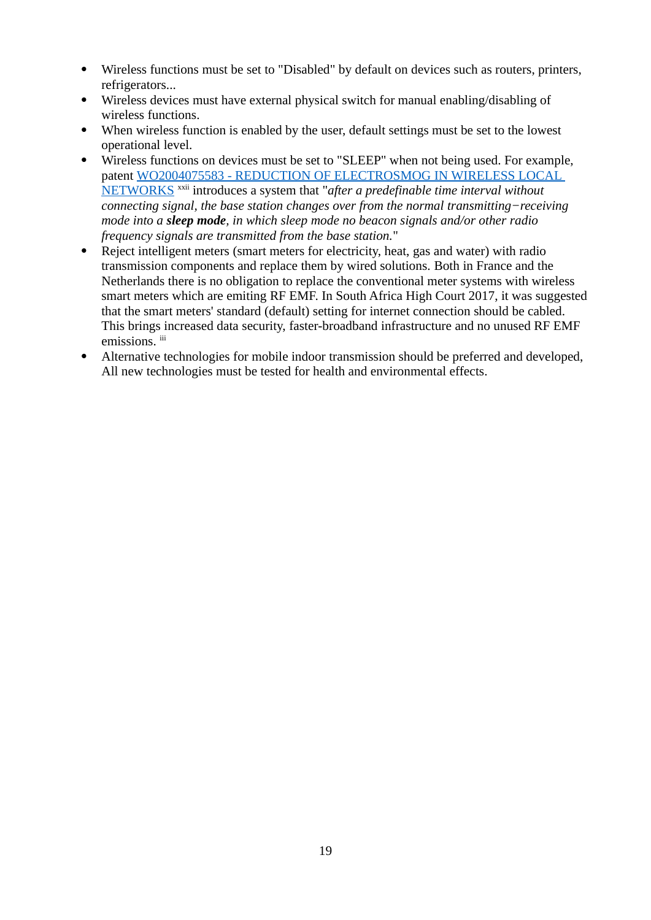- Wireless functions must be set to "Disabled" by default on devices such as routers, printers, refrigerators...
- Wireless devices must have external physical switch for manual enabling/disabling of wireless functions.
- When wireless function is enabled by the user, default settings must be set to the lowest operational level.
- Wireless functions on devices must be set to "SLEEP" when not being used. For example, patent [WO2004075583 - REDUCTION OF ELECTROSMOG IN WIRELESS LOCAL](https://patentscope.wipo.int/search/en/detail.jsf?docId=WO2004075583)  [NETWORKS](https://patentscope.wipo.int/search/en/detail.jsf?docId=WO2004075583) xxii introduces a system that "*after a predefinable time interval without connecting signal, the base station changes over from the normal transmitting−receiving mode into a sleep mode, in which sleep mode no beacon signals and/or other radio frequency signals are transmitted from the base station.*"
- Reject intelligent meters (smart meters for electricity, heat, gas and water) with radio transmission components and replace them by wired solutions. Both in France and the Netherlands there is no obligation to replace the conventional meter systems with wireless smart meters which are emiting RF EMF. In South Africa High Court 2017, it was suggested that the smart meters' standard (default) setting for internet connection should be cabled. This brings increased data security, faster-broadband infrastructure and no unused RF EMF emissions. iii
- Alternative technologies for mobile indoor transmission should be preferred and developed, All new technologies must be tested for health and environmental effects.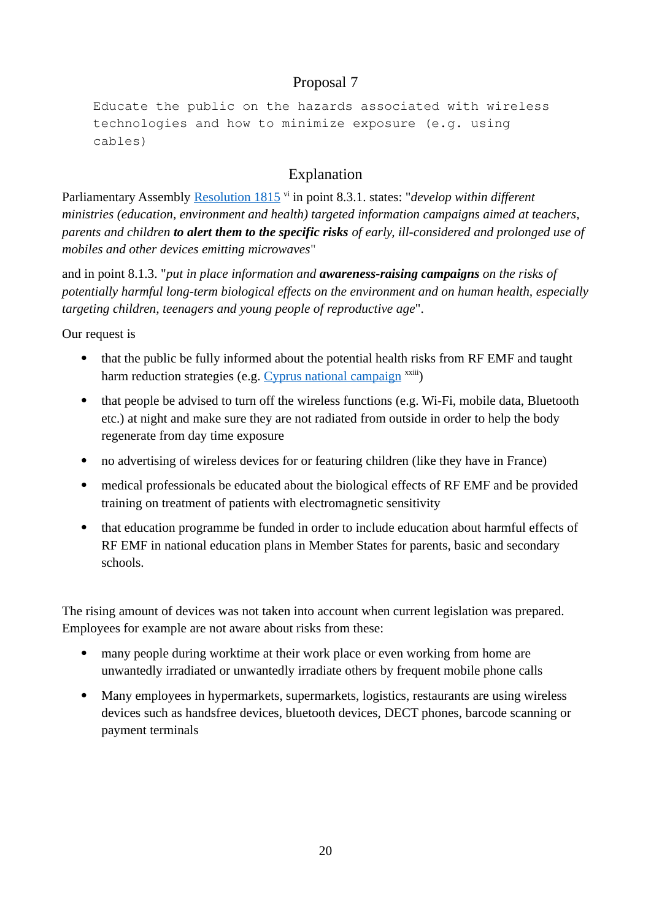Educate the public on the hazards associated with wireless technologies and how to minimize exposure (e.g. using cables)

# <span id="page-19-1"></span><span id="page-19-0"></span>Explanation

Parliamentary Assembly [Resolution 1815](http://assembly.coe.int/nw/xml/XRef/Xref-XML2HTML-en.asp?fileid=17994&)<sup>vi</sup> in point 8.3.1. states: "*develop within different ministries (education, environment and health) targeted information campaigns aimed at teachers, parents and children to alert them to the specific risks of early, ill-considered and prolonged use of mobiles and other devices emitting microwaves*"

and in point 8.1.3. "*put in place information and awareness-raising campaigns on the risks of potentially harmful long-term biological effects on the environment and on human health, especially targeting children, teenagers and young people of reproductive age*".

Our request is

- that the public be fully informed about the potential health risks from RF EMF and taught harm reduction strategies (e.g. [Cyprus national campaign](https://popularresistance.org/cyprus-launches-cell-phone-wireless-radiation-awareness-campaign/)  $\frac{x}{x}$ )
- that people be advised to turn off the wireless functions (e.g. Wi-Fi, mobile data, Bluetooth etc.) at night and make sure they are not radiated from outside in order to help the body regenerate from day time exposure
- no advertising of wireless devices for or featuring children (like they have in France)
- medical professionals be educated about the biological effects of RF EMF and be provided training on treatment of patients with electromagnetic sensitivity
- that education programme be funded in order to include education about harmful effects of RF EMF in national education plans in Member States for parents, basic and secondary schools.

The rising amount of devices was not taken into account when current legislation was prepared. Employees for example are not aware about risks from these:

- many people during worktime at their work place or even working from home are unwantedly irradiated or unwantedly irradiate others by frequent mobile phone calls
- Many employees in hypermarkets, supermarkets, logistics, restaurants are using wireless devices such as handsfree devices, bluetooth devices, DECT phones, barcode scanning or payment terminals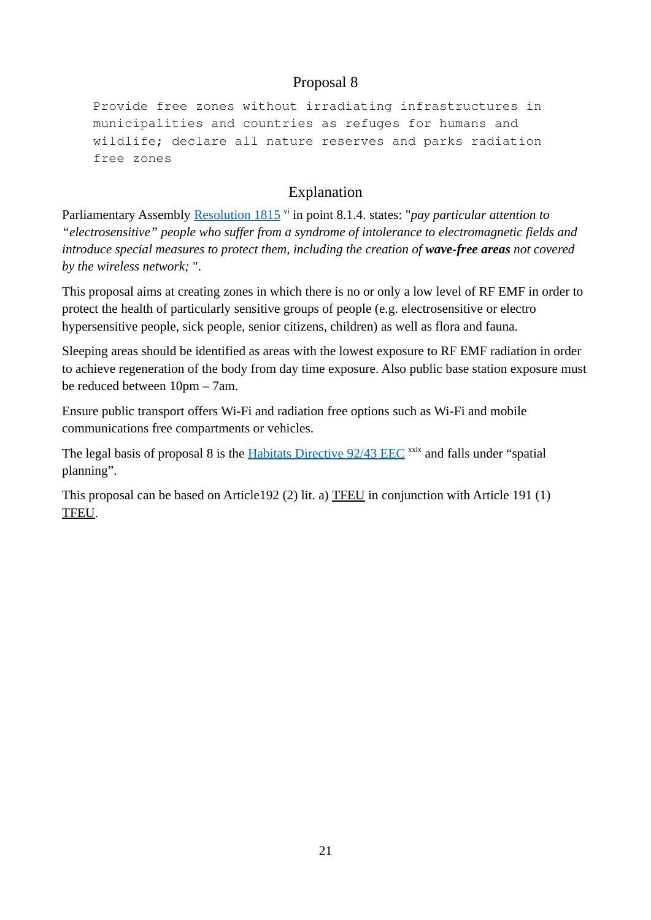Provide free zones without irradiating infrastructures in municipalities and countries as refuges for humans and wildlife; declare all nature reserves and parks radiation free zones

# <span id="page-20-0"></span>Explanation

Parliamentary Assembly [Resolution 1815](http://assembly.coe.int/nw/xml/XRef/Xref-XML2HTML-en.asp?fileid=17994&)<sup>vi</sup> in point 8.1.4. states: "*pay particular attention to "electrosensitive" people who suffer from a syndrome of intolerance to electromagnetic fields and introduce special measures to protect them, including the creation of wave-free areas not covered by the wireless network;* ".

This proposal aims at creating zones in which there is no or only a low level of RF EMF in order to protect the health of particularly sensitive groups of people (e.g. electrosensitive or electro hypersensitive people, sick people, senior citizens, children) as well as flora and fauna.

Sleeping areas should be identified as areas with the lowest exposure to RF EMF radiation in order to achieve regeneration of the body from day time exposure. Also public base station exposure must be reduced between 10pm – 7am.

Ensure public transport offers Wi-Fi and radiation free options such as Wi-Fi and mobile communications free compartments or vehicles.

The legal basis of proposal 8 is the [Habitats Directive 92/43 EEC](https://eur-lex.europa.eu/legal-content/EN/TXT/?uri=celex%3A31992L0043) xxix and falls under "spatial planning".

This proposal can be based on Article192 (2) lit. a) [TFEU](#page-67-3) in conjunction with Article 191 (1) [TFEU.](#page-67-3)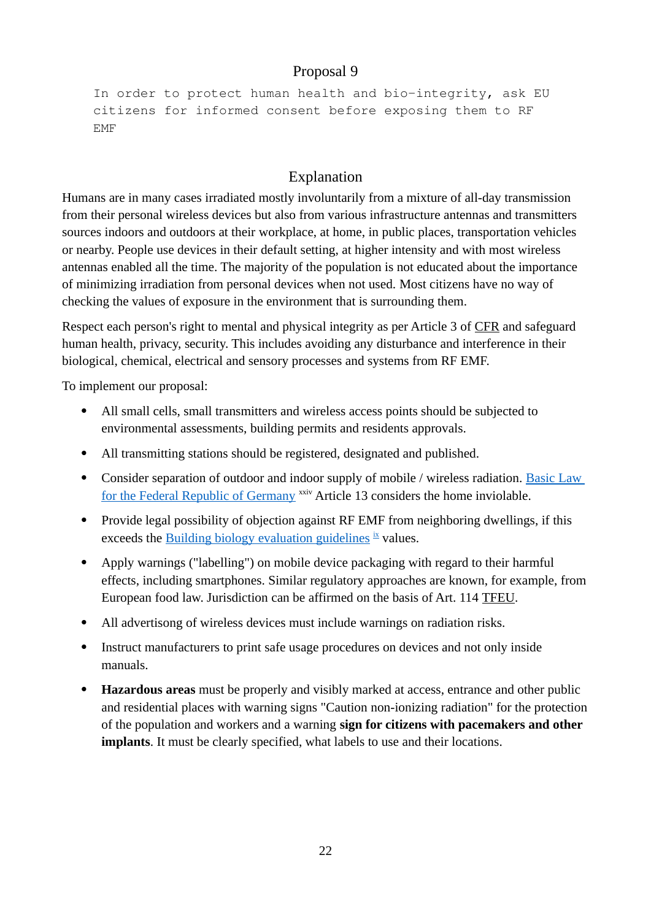```
In order to protect human health and bio-integrity, ask EU 
citizens for informed consent before exposing them to RF 
EMF
```
### <span id="page-21-0"></span>Explanation

Humans are in many cases irradiated mostly involuntarily from a mixture of all-day transmission from their personal wireless devices but also from various infrastructure antennas and transmitters sources indoors and outdoors at their workplace, at home, in public places, transportation vehicles or nearby. People use devices in their default setting, at higher intensity and with most wireless antennas enabled all the time. The majority of the population is not educated about the importance of minimizing irradiation from personal devices when not used. Most citizens have no way of checking the values of exposure in the environment that is surrounding them.

Respect each person's right to mental and physical integrity as per Article 3 of [CFR](#page-67-2) and safeguard human health, privacy, security. This includes avoiding any disturbance and interference in their biological, chemical, electrical and sensory processes and systems from RF EMF.

To implement our proposal:

- All small cells, small transmitters and wireless access points should be subjected to environmental assessments, building permits and residents approvals.
- All transmitting stations should be registered, designated and published.
- Consider separation of outdoor and indoor supply of mobile / wireless radiation. Basic Law [for the Federal Republic of Germany](https://www.gesetze-im-internet.de/englisch_gg/englisch_gg.html#p0075) xxiv Article 13 considers the home inviolable.
- Provide legal possibility of objection against RF EMF from neighboring dwellings, if this exceeds the [Building biology evaluation guidelines](http://www.emfinspect.com/wp-content/uploads/2018/07/SBM-Germany-2015.pdf)  $\frac{1}{x}$  values.
- Apply warnings ("labelling") on mobile device packaging with regard to their harmful effects, including smartphones. Similar regulatory approaches are known, for example, from European food law. Jurisdiction can be affirmed on the basis of Art. 114 [TFEU](#page-67-3).
- All advertisong of wireless devices must include warnings on radiation risks.
- Instruct manufacturers to print safe usage procedures on devices and not only inside manuals.
- **Hazardous areas** must be properly and visibly marked at access, entrance and other public and residential places with warning signs "Caution non-ionizing radiation" for the protection of the population and workers and a warning **sign for citizens with pacemakers and other implants**. It must be clearly specified, what labels to use and their locations.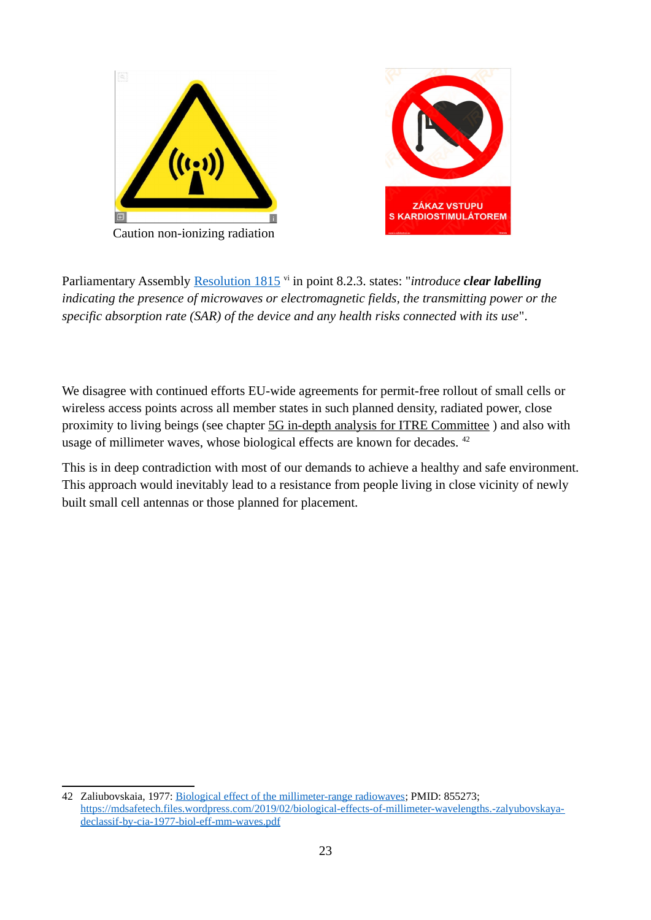

Parliamentary Assembly [Resolution 1815](http://assembly.coe.int/nw/xml/XRef/Xref-XML2HTML-en.asp?fileid=17994&) vi in point 8.2.3. states: "*introduce clear labelling indicating the presence of microwaves or electromagnetic fields, the transmitting power or the specific absorption rate (SAR) of the device and any health risks connected with its use*".

We disagree with continued efforts EU-wide agreements for permit-free rollout of small cells or wireless access points across all member states in such planned density, radiated power, close proximity to living beings (see chapter [5G in-depth analysis for ITRE Committee](#page-63-0) ) and also with usage of millimeter waves, whose biological effects are known for decades. <sup>[42](#page-22-0)</sup>

This is in deep contradiction with most of our demands to achieve a healthy and safe environment. This approach would inevitably lead to a resistance from people living in close vicinity of newly built small cell antennas or those planned for placement.

<span id="page-22-0"></span><sup>42</sup> Zaliubovskaia, 1977: [Biological effect of the millimeter-range radiowaves;](https://mdsafetech.files.wordpress.com/2019/02/biological-effects-of-millimeter-wavelengths.-zalyubovskaya-declassif-by-cia-1977-biol-eff-mm-waves.pdf) PMID: 855273; [https://mdsafetech.files.wordpress.com/2019/02/biological-effects-of-millimeter-wavelengths.-zalyubovskaya](https://mdsafetech.files.wordpress.com/2019/02/biological-effects-of-millimeter-wavelengths.-zalyubovskaya-declassif-by-cia-1977-biol-eff-mm-waves.pdf)[declassif-by-cia-1977-biol-eff-mm-waves.pdf](https://mdsafetech.files.wordpress.com/2019/02/biological-effects-of-millimeter-wavelengths.-zalyubovskaya-declassif-by-cia-1977-biol-eff-mm-waves.pdf)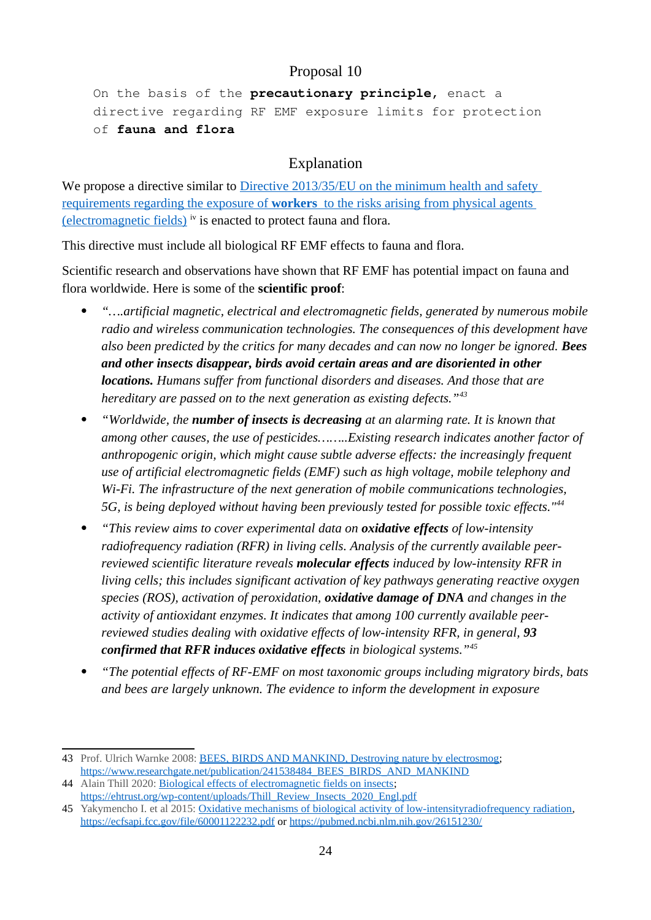On the basis of the **precautionary principle,** enact a directive regarding RF EMF exposure limits for protection of **fauna and flora**

#### <span id="page-23-0"></span>Explanation

We propose a directive similar to Directive 2013/35/EU on the minimum health and safety  [requirements regarding the exposure of](https://eur-lex.europa.eu/legal-content/EN/TXT/?uri=celex%3A32013L0035) **[workers](https://eur-lex.europa.eu/legal-content/EN/TXT/?uri=celex%3A32013L0035)** [to the risks arising from physical agents](https://eur-lex.europa.eu/legal-content/EN/TXT/?uri=celex%3A32013L0035)  [\(electromagnetic fields\)](https://eur-lex.europa.eu/legal-content/EN/TXT/?uri=celex%3A32013L0035) iv is enacted to protect fauna and flora.

This directive must include all biological RF EMF effects to fauna and flora.

Scientific research and observations have shown that RF EMF has potential impact on fauna and flora worldwide. Here is some of the **scientific proof**:

- *"….artificial magnetic, electrical and electromagnetic fields, generated by numerous mobile radio and wireless communication technologies. The consequences of this development have also been predicted by the critics for many decades and can now no longer be ignored. Bees and other insects disappear, birds avoid certain areas and are disoriented in other locations. Humans suffer from functional disorders and diseases. And those that are hereditary are passed on to the next generation as existing defects."[43](#page-23-1)*
- *"Worldwide, the number of insects is decreasing at an alarming rate. It is known that among other causes, the use of pesticides……..Existing research indicates another factor of anthropogenic origin, which might cause subtle adverse effects: the increasingly frequent use of artificial electromagnetic fields (EMF) such as high voltage, mobile telephony and Wi-Fi. The infrastructure of the next generation of mobile communications technologies, 5G, is being deployed without having been previously tested for possible toxic effects."[44](#page-23-2)*
- *"This review aims to cover experimental data on oxidative effects of low-intensity radiofrequency radiation (RFR) in living cells. Analysis of the currently available peerreviewed scientific literature reveals molecular effects induced by low-intensity RFR in living cells; this includes significant activation of key pathways generating reactive oxygen species (ROS), activation of peroxidation, oxidative damage of DNA and changes in the activity of antioxidant enzymes. It indicates that among 100 currently available peerreviewed studies dealing with oxidative effects of low-intensity RFR, in general, 93 confirmed that RFR induces oxidative effects in biological systems."[45](#page-23-3)*
- *"The potential effects of RF-EMF on most taxonomic groups including migratory birds, bats and bees are largely unknown. The evidence to inform the development in exposure*

<span id="page-23-1"></span><sup>43</sup> Prof. Ulrich Warnke 2008: [BEES, BIRDS AND MANKIND, Destroying nature by electrosmog;](https://www.researchgate.net/publication/241538484_BEES_BIRDS_AND_MANKIND) [https://www.researchgate.net/publication/241538484\\_BEES\\_BIRDS\\_AND\\_MANKIND](https://www.researchgate.net/publication/241538484_BEES_BIRDS_AND_MANKIND)

<span id="page-23-2"></span><sup>44</sup> Alain Thill 2020: [Biological effects of electromagnetic fields on insects](https://ehtrust.org/wp-content/uploads/Thill_Review_Insects_2020_Engl.pdf); [https://ehtrust.org/wp-content/uploads/Thill\\_Review\\_Insects\\_2020\\_Engl.pdf](https://ehtrust.org/wp-content/uploads/Thill_Review_Insects_2020_Engl.pdf)

<span id="page-23-3"></span><sup>45</sup> Yakymencho I. et al 2015: [Oxidative mechanisms of biological activity of low-intensityradiofrequency radiation](https://ecfsapi.fcc.gov/file/60001122232.pdf), <https://ecfsapi.fcc.gov/file/60001122232.pdf> or <https://pubmed.ncbi.nlm.nih.gov/26151230/>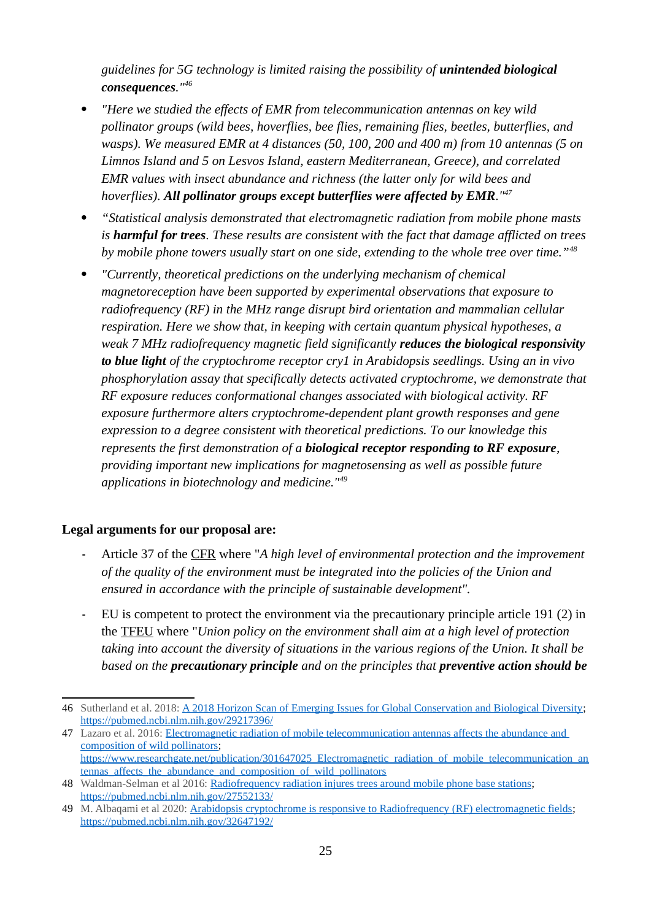*guidelines for 5G technology is limited raising the possibility of <i>unintended biological consequences."[46](#page-24-0)*

- *"Here we studied the effects of EMR from telecommunication antennas on key wild pollinator groups (wild bees, hoverflies, bee flies, remaining flies, beetles, butterflies, and wasps). We measured EMR at 4 distances (50, 100, 200 and 400 m) from 10 antennas (5 on Limnos Island and 5 on Lesvos Island, eastern Mediterranean, Greece), and correlated EMR values with insect abundance and richness (the latter only for wild bees and hoverflies). All pollinator groups except butterflies were affected by EMR."[47](#page-24-1)*
- *"Statistical analysis demonstrated that electromagnetic radiation from mobile phone masts is harmful for trees. These results are consistent with the fact that damage afflicted on trees by mobile phone towers usually start on one side, extending to the whole tree over time."[48](#page-24-2)*
- *"Currently, theoretical predictions on the underlying mechanism of chemical magnetoreception have been supported by experimental observations that exposure to radiofrequency (RF) in the MHz range disrupt bird orientation and mammalian cellular respiration. Here we show that, in keeping with certain quantum physical hypotheses, a weak 7 MHz radiofrequency magnetic field significantly reduces the biological responsivity to blue light of the cryptochrome receptor cry1 in Arabidopsis seedlings. Using an in vivo phosphorylation assay that specifically detects activated cryptochrome, we demonstrate that RF exposure reduces conformational changes associated with biological activity. RF exposure furthermore alters cryptochrome-dependent plant growth responses and gene expression to a degree consistent with theoretical predictions. To our knowledge this represents the first demonstration of a biological receptor responding to RF exposure, providing important new implications for magnetosensing as well as possible future applications in biotechnology and medicine."[49](#page-24-3)*

#### **Legal arguments for our proposal are:**

- **-** Article 37 of the [CFR](#page-67-2) where "*A high level of environmental protection and the improvement of the quality of the environment must be integrated into the policies of the Union and ensured in accordance with the principle of sustainable development".*
- **-** EU is competent to protect the environment via the precautionary principle article 191 (2) in the [TFEU](#page-67-3) where "*Union policy on the environment shall aim at a high level of protection taking into account the diversity of situations in the various regions of the Union. It shall be based on the precautionary principle and on the principles that preventive action should be*

<span id="page-24-0"></span><sup>46</sup> Sutherland et al. 2018: [A 2018 Horizon Scan of Emerging Issues for Global Conservation and Biological Diversity](https://pubmed.ncbi.nlm.nih.gov/29217396/); <https://pubmed.ncbi.nlm.nih.gov/29217396/>

<span id="page-24-1"></span><sup>47</sup> Lazaro et al. 2016: [Electromagnetic radiation of mobile telecommunication antennas affects the abundance and](https://www.researchgate.net/publication/301647025_Electromagnetic_radiation_of_mobile_telecommunication_antennas_affects_the_abundance_and_composition_of_wild_pollinators)  [composition of wild pollinators;](https://www.researchgate.net/publication/301647025_Electromagnetic_radiation_of_mobile_telecommunication_antennas_affects_the_abundance_and_composition_of_wild_pollinators) [https://www.researchgate.net/publication/301647025\\_Electromagnetic\\_radiation\\_of\\_mobile\\_telecommunication\\_an](https://www.researchgate.net/publication/301647025_Electromagnetic_radiation_of_mobile_telecommunication_antennas_affects_the_abundance_and_composition_of_wild_pollinators) [tennas\\_affects\\_the\\_abundance\\_and\\_composition\\_of\\_wild\\_pollinators](https://www.researchgate.net/publication/301647025_Electromagnetic_radiation_of_mobile_telecommunication_antennas_affects_the_abundance_and_composition_of_wild_pollinators)

<span id="page-24-2"></span><sup>48</sup> Waldman-Selman et al 2016: [Radiofrequency radiation injures trees around mobile phone base stations](https://pubmed.ncbi.nlm.nih.gov/27552133/); <https://pubmed.ncbi.nlm.nih.gov/27552133/>

<span id="page-24-3"></span><sup>49</sup> M. Albaqami et al 2020: [Arabidopsis cryptochrome is responsive to Radiofrequency \(RF\) electromagnetic fields;](https://pubmed.ncbi.nlm.nih.gov/32647192/) <https://pubmed.ncbi.nlm.nih.gov/32647192/>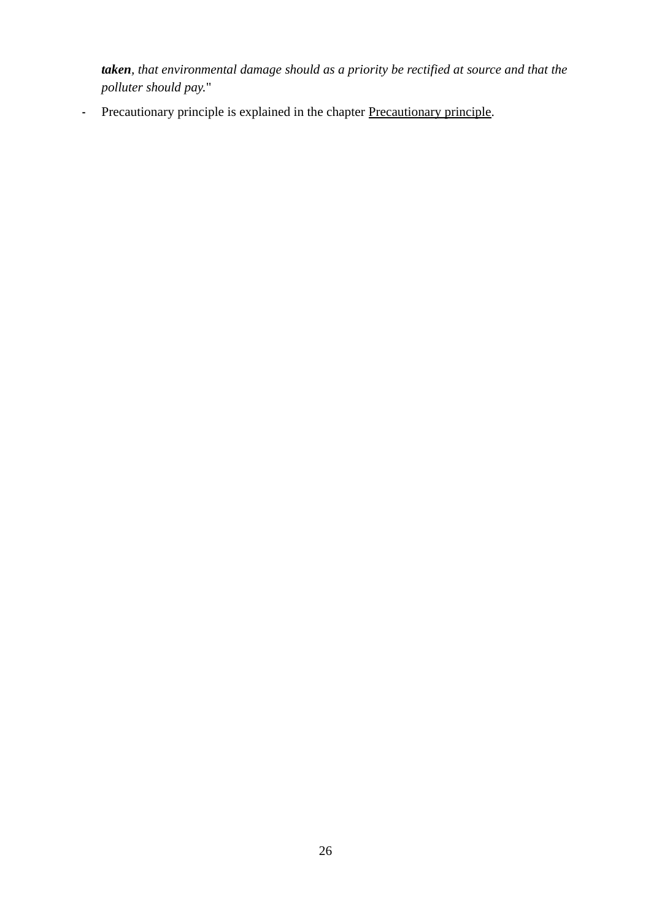*taken, that environmental damage should as a priority be rectified at source and that the polluter should pay.*"

- [Precautionary principle](#page-54-0) is explained in the chapter Precautionary principle.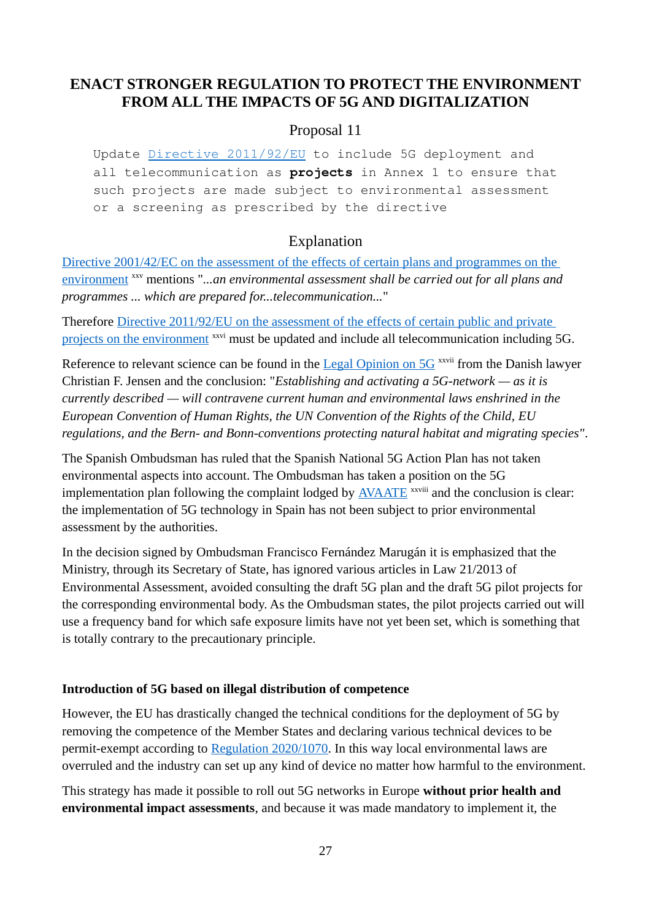# <span id="page-26-1"></span>**ENACT STRONGER REGULATION TO PROTECT THE ENVIRONMENT FROM ALL THE IMPACTS OF 5G AND DIGITALIZATION**

#### <span id="page-26-0"></span>Proposal 11

Update [Directive 2011/92/EU](https://eur-lex.europa.eu/legal-content/EN/TXT/?uri=celex%3A32011L0092) to include 5G deployment and all telecommunication as **projects** in Annex 1 to ensure that such projects are made subject to environmental assessment or a screening as prescribed by the directive

#### Explanation

Directive 2001/42/EC on the assessment of the effects of certain plans and programmes on the [environment](https://eur-lex.europa.eu/legal-content/EN/ALL/?uri=CELEX%3A32001L0042) xxv mentions "*...an environmental assessment shall be carried out for all plans and programmes ... which are prepared for...telecommunication...*"

Therefore [Directive 2011/92/EU on the assessment of the effects of certain public and private](https://eur-lex.europa.eu/legal-content/EN/TXT/?uri=celex%3A32011L0092)  [projects on the environment](https://eur-lex.europa.eu/legal-content/EN/TXT/?uri=celex%3A32011L0092) <sup>xxvi</sup> must be updated and include all telecommunication including 5G.

Reference to relevant science can be found in the [Legal Opinion on 5G](https://helbredssikker-telekommunikation.dk/sites/default/files/LegalOpinionOn5G.pdf) <sup>xxvii</sup> from the Danish lawyer Christian F. Jensen and the conclusion: "*Establishing and activating a 5G-network — as it is currently described — will contravene current human and environmental laws enshrined in the European Convention of Human Rights, the UN Convention of the Rights of the Child, EU regulations, and the Bern- and Bonn-conventions protecting natural habitat and migrating species"*.

The Spanish Ombudsman has ruled that the Spanish National 5G Action Plan has not taken environmental aspects into account. The Ombudsman has taken a position on the 5G implementation plan following the complaint lodged by  $\overline{\text{AVAATE}}$  $\overline{\text{AVAATE}}$  $\overline{\text{AVAATE}}$ <sup>xxviii</sup> and the conclusion is clear: the implementation of 5G technology in Spain has not been subject to prior environmental assessment by the authorities.

In the decision signed by Ombudsman Francisco Fernández Marugán it is emphasized that the Ministry, through its Secretary of State, has ignored various articles in Law 21/2013 of Environmental Assessment, avoided consulting the draft 5G plan and the draft 5G pilot projects for the corresponding environmental body. As the Ombudsman states, the pilot projects carried out will use a frequency band for which safe exposure limits have not yet been set, which is something that is totally contrary to the precautionary principle.

#### **Introduction of 5G based on illegal distribution of competence**

However, the EU has drastically changed the technical conditions for the deployment of 5G by removing the competence of the Member States and declaring various technical devices to be permit-exempt according to [Regulation 2020/1070](https://eur-lex.europa.eu/legal-content/GA/TXT/?uri=CELEX:32020R1070). In this way local environmental laws are overruled and the industry can set up any kind of device no matter how harmful to the environment.

This strategy has made it possible to roll out 5G networks in Europe **without prior health and environmental impact assessments**, and because it was made mandatory to implement it, the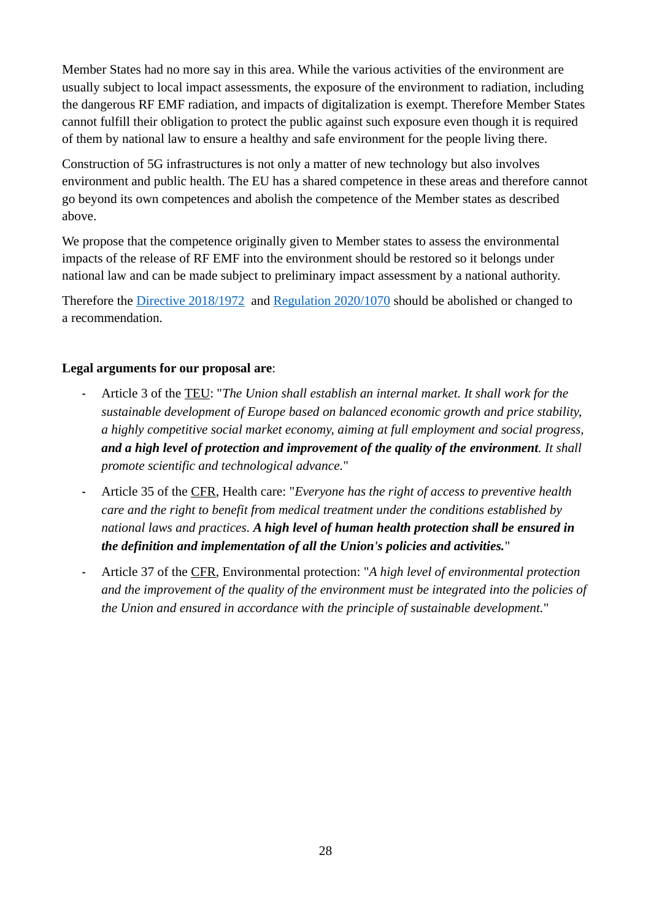Member States had no more say in this area. While the various activities of the environment are usually subject to local impact assessments, the exposure of the environment to radiation, including the dangerous RF EMF radiation, and impacts of digitalization is exempt. Therefore Member States cannot fulfill their obligation to protect the public against such exposure even though it is required of them by national law to ensure a healthy and safe environment for the people living there.

Construction of 5G infrastructures is not only a matter of new technology but also involves environment and public health. The EU has a shared competence in these areas and therefore cannot go beyond its own competences and abolish the competence of the Member states as described above.

We propose that the competence originally given to Member states to assess the environmental impacts of the release of RF EMF into the environment should be restored so it belongs under national law and can be made subject to preliminary impact assessment by a national authority.

Therefore the [Directive 2018/1972](https://eur-lex.europa.eu/legal-content/EN/TXT/?uri=CELEX%3A32018L1972) and [Regulation 2020/1070](https://eur-lex.europa.eu/legal-content/GA/TXT/?uri=CELEX:32020R1070) should be abolished or changed to a recommendation.

#### **Legal arguments for our proposal are**:

- **-** Article 3 of the [TEU](#page-67-1): "*The Union shall establish an internal market. It shall work for the sustainable development of Europe based on balanced economic growth and price stability, a highly competitive social market economy, aiming at full employment and social progress, and a high level of protection and improvement of the quality of the environment. It shall promote scientific and technological advance.*"
- **-** Article 35 of the [CFR](#page-67-2), Health care: "*Everyone has the right of access to preventive health care and the right to benefit from medical treatment under the conditions established by national laws and practices. A high level of human health protection shall be ensured in the definition and implementation of all the Union's policies and activities.*"
- **-** Article 37 of the [CFR](#page-67-2), Environmental protection: "*A high level of environmental protection and the improvement of the quality of the environment must be integrated into the policies of the Union and ensured in accordance with the principle of sustainable development.*"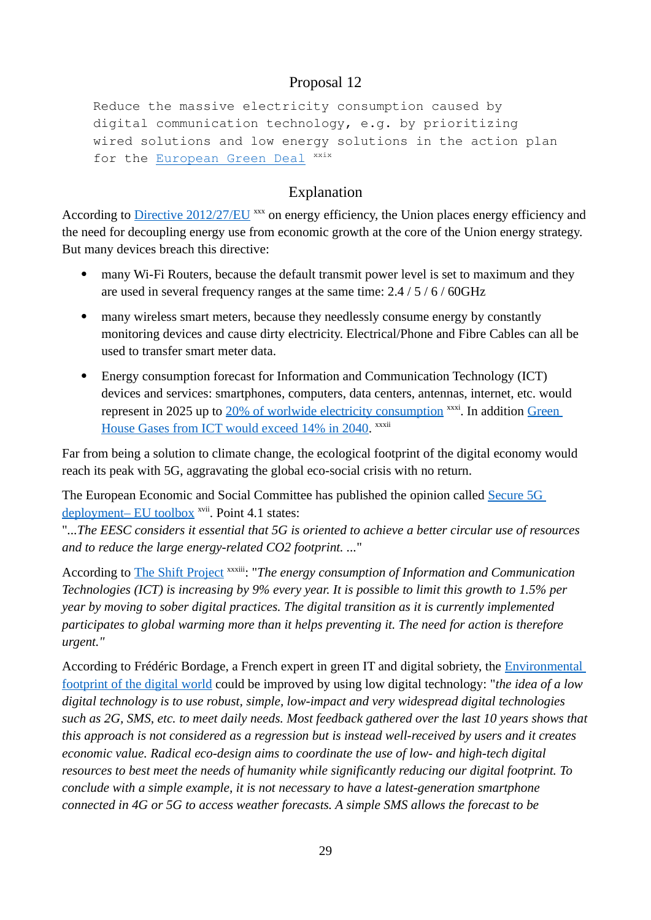Reduce the massive electricity consumption caused by digital communication technology, e.g. by prioritizing wired solutions and low energy solutions in the action plan for the [European Green Deal](https://ec.europa.eu/info/strategy/priorities-2019-2024/european-green-deal_en) xxix

# <span id="page-28-0"></span>Explanation

According to [Directive 2012/27/EU](https://eur-lex.europa.eu/legal-content/EN/TXT/?uri=celex%3A32012L0027) xxx on energy efficiency, the Union places energy efficiency and the need for decoupling energy use from economic growth at the core of the Union energy strategy. But many devices breach this directive:

- many Wi-Fi Routers, because the default transmit power level is set to maximum and they are used in several frequency ranges at the same time: 2.4 / 5 / 6 / 60GHz
- many wireless smart meters, because they needlessly consume energy by constantly monitoring devices and cause dirty electricity. Electrical/Phone and Fibre Cables can all be used to transfer smart meter data.
- Energy consumption forecast for Information and Communication Technology (ICT) devices and services: smartphones, computers, data centers, antennas, internet, etc. would represent in 2025 up to [20% of worlwide electricity consumption](https://www.researchgate.net/publication/320225452_Total_Consumer_Power_Consumption_Forecast) xxxi. In addition Green [House Gases from ICT would exceed 14% in 2040](https://www.sciencedirect.com/science/article/abs/pii/S095965261733233X). <sup>xxxii</sup>

Far from being a solution to climate change, the ecological footprint of the digital economy would reach its peak with 5G, aggravating the global eco-social crisis with no return.

The European Economic and Social Committee has published the opinion called [Secure 5G](https://www.eesc.europa.eu/en/our-work/opinions-information-reports/opinions/secure-5g-deployment-eu-toolbox)  [deployment– EU toolbox](https://www.eesc.europa.eu/en/our-work/opinions-information-reports/opinions/secure-5g-deployment-eu-toolbox)<sup>xvii</sup>. Point 4.1 states:

"*...The EESC considers it essential that 5G is oriented to achieve a better circular use of resources and to reduce the large energy-related CO2 footprint. ...*"

According to [The Shift Project](https://theshiftproject.org/en/article/lean-ict-our-new-report/) xxxiii: "*The energy consumption of Information and Communication Technologies (ICT) is increasing by 9% every year. It is possible to limit this growth to 1.5% per year by moving to sober digital practices. The digital transition as it is currently implemented participates to global warming more than it helps preventing it. The need for action is therefore urgent."*

According to Frédéric Bordage, a French expert in green IT and digital sobriety, the [Environmental](https://www.greenit.fr/environmental-footprint-of-the-digital-world/)  [footprint of the digital world](https://www.greenit.fr/environmental-footprint-of-the-digital-world/) could be improved by using low digital technology: "*the idea of a low digital technology is to use robust, simple, low-impact and very widespread digital technologies such as 2G, SMS, etc. to meet daily needs. Most feedback gathered over the last 10 years shows that this approach is not considered as a regression but is instead well-received by users and it creates economic value. Radical eco-design aims to coordinate the use of low- and high-tech digital resources to best meet the needs of humanity while significantly reducing our digital footprint. To conclude with a simple example, it is not necessary to have a latest-generation smartphone connected in 4G or 5G to access weather forecasts. A simple SMS allows the forecast to be*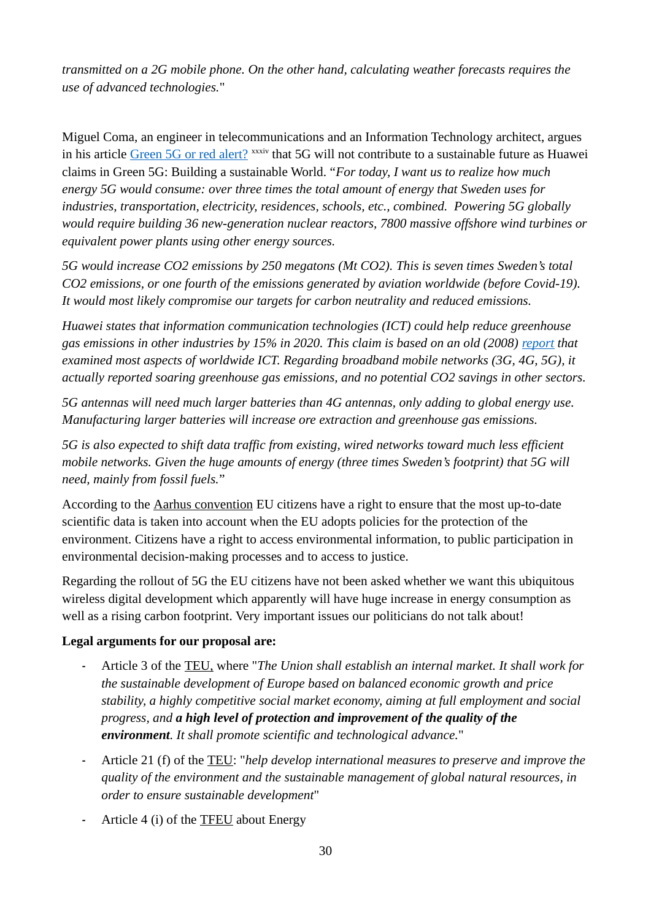*transmitted on a 2G mobile phone. On the other hand, calculating weather forecasts requires the use of advanced technologies.*"

Miguel Coma, an engineer in telecommunications and an Information Technology architect, argues in his article [Green 5G or red alert?](https://wsimag.com/science-and-technology/64080-green-5g-or-red-alert) xxxiv that 5G will not contribute to a sustainable future as Huawei claims in Green 5G: Building a sustainable World. "*For today, I want us to realize how much energy 5G would consume: over three times the total amount of energy that Sweden uses for industries, transportation, electricity, residences, schools, etc., combined. Powering 5G globally would require building 36 new-generation nuclear reactors, 7800 massive offshore wind turbines or equivalent power plants using other energy sources.* 

*5G would increase CO2 emissions by 250 megatons (Mt CO2). This is seven times Sweden's total CO2 emissions, or one fourth of the emissions generated by aviation worldwide (before Covid-19). It would most likely compromise our targets for carbon neutrality and reduced emissions.*

*Huawei states that information communication technologies (ICT) could help reduce greenhouse gas emissions in other industries by 15% in 2020. This claim is based on an old (2008) [report](https://gesi.org/research/smart-2020-enabling-the-low-carbon-economy-in-the-information-age) that examined most aspects of worldwide ICT. Regarding broadband mobile networks (3G, 4G, 5G), it actually reported soaring greenhouse gas emissions, and no potential CO2 savings in other sectors.*

*5G antennas will need much larger batteries than 4G antennas, only adding to global energy use. Manufacturing larger batteries will increase ore extraction and greenhouse gas emissions.*

*5G is also expected to shift data traffic from existing, wired networks toward much less efficient mobile networks. Given the huge amounts of energy (three times Sweden's footprint) that 5G will need, mainly from fossil fuels.*"

According to the [Aarhus convention](#page-67-4) EU citizens have a right to ensure that the most up-to-date scientific data is taken into account when the EU adopts policies for the protection of the environment. Citizens have a right to access environmental information, to public participation in environmental decision-making processes and to access to justice.

Regarding the rollout of 5G the EU citizens have not been asked whether we want this ubiquitous wireless digital development which apparently will have huge increase in energy consumption as well as a rising carbon footprint. Very important issues our politicians do not talk about!

#### **Legal arguments for our proposal are:**

- **-** Article 3 of the [TEU](#page-67-1), where "*The Union shall establish an internal market. It shall work for the sustainable development of Europe based on balanced economic growth and price stability, a highly competitive social market economy, aiming at full employment and social progress, and a high level of protection and improvement of the quality of the environment. It shall promote scientific and technological advance.*"
- **-** Article 21 (f) of the [TEU](#page-67-1): "*help develop international measures to preserve and improve the quality of the environment and the sustainable management of global natural resources, in order to ensure sustainable development*"
- **-** Article 4 (i) of the [TFEU](#page-67-3) about Energy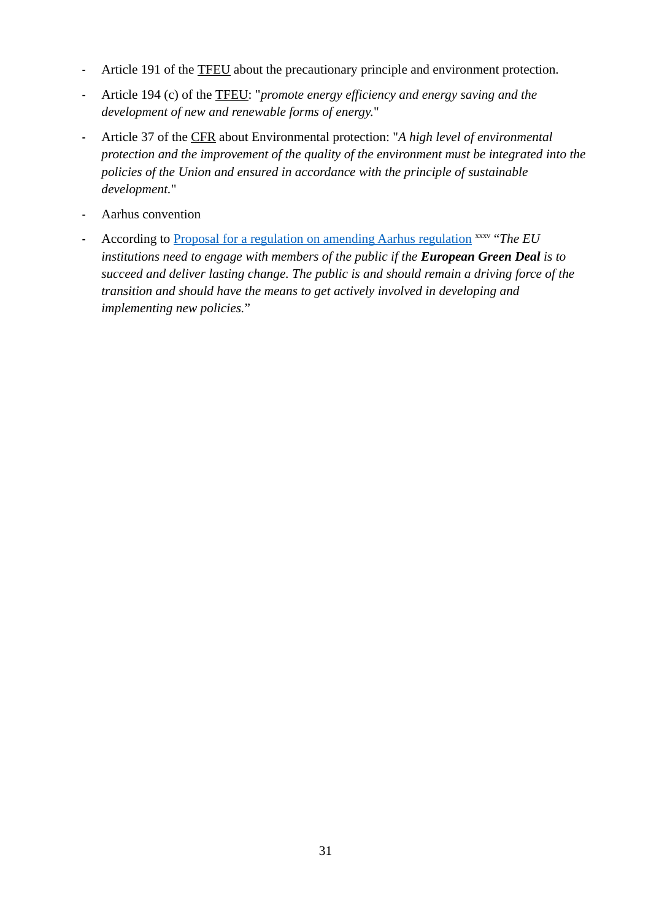- **-** Article 191 of the [TFEU](#page-67-3) about the precautionary principle and environment protection.
- **-** Article 194 (c) of the [TFEU](#page-67-3): "*promote energy efficiency and energy saving and the development of new and renewable forms of energy.*"
- **-** Article 37 of the [CFR](#page-67-2) about Environmental protection: "*A high level of environmental protection and the improvement of the quality of the environment must be integrated into the policies of the Union and ensured in accordance with the principle of sustainable development.*"
- **-** [Aarhus convention](#page-67-4)
- **-** According to [Proposal for a regulation on amending Aarhus regulation](https://ec.europa.eu/environment/aarhus/pdf/legislative_proposal_amending_aarhus_regulation.pdf) xxxv "*The EU institutions need to engage with members of the public if the <i>European Green Deal* is to *succeed and deliver lasting change. The public is and should remain a driving force of the transition and should have the means to get actively involved in developing and implementing new policies.*"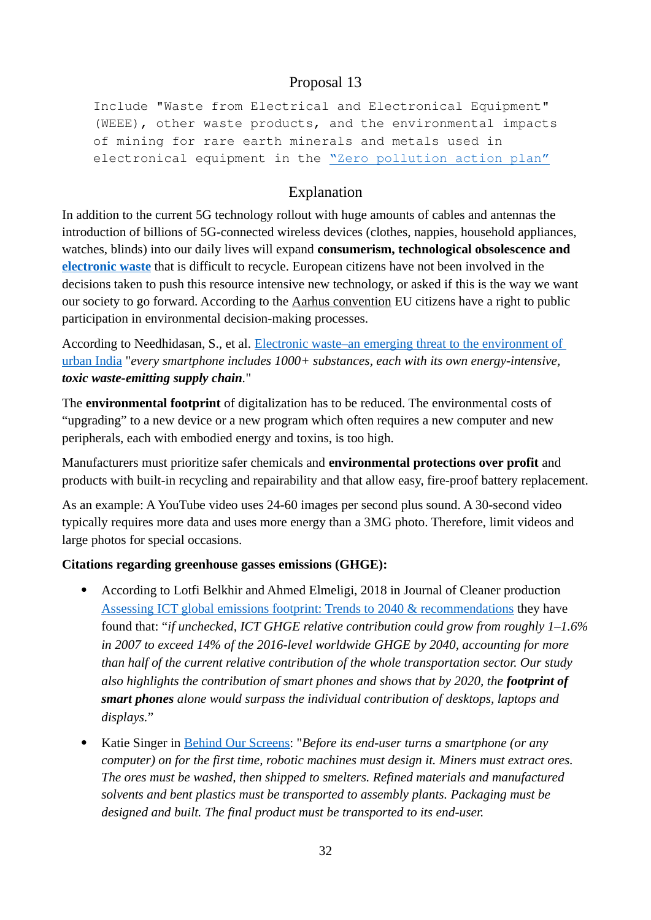Include "Waste from Electrical and Electronical Equipment" (WEEE), other waste products, and the environmental impacts of mining for rare earth minerals and metals used in electronical equipment in the ["Zero pollution action plan"](https://ec.europa.eu/environment/strategy/zero-pollution-action-plan_en)

# <span id="page-31-0"></span>Explanation

In addition to the current 5G technology rollout with huge amounts of cables and antennas the introduction of billions of 5G-connected wireless devices (clothes, nappies, household appliances, watches, blinds) into our daily lives will expand **consumerism, technological obsolescence and [electronic waste](https://www.itu.int/en/ITU-D/Environment/Pages/Toolbox/Global-E-waste-Monitor-2017.aspx)** that is difficult to recycle. European citizens have not been involved in the decisions taken to push this resource intensive new technology, or asked if this is the way we want our society to go forward. According to the [Aarhus convention](#page-67-4) EU citizens have a right to public participation in environmental decision-making processes.

According to Needhidasan, S., et al. [Electronic waste–an emerging threat to the environment of](https://www.researchgate.net/publication/259825260_Electronic_waste_-_An_emerging_threat_to_the_environment_of_urban_India)  [urban India](https://www.researchgate.net/publication/259825260_Electronic_waste_-_An_emerging_threat_to_the_environment_of_urban_India) "*every smartphone includes 1000+ substances, each with its own energy-intensive, toxic waste-emitting supply chain.*"

The **environmental footprint** of digitalization has to be reduced. The environmental costs of "upgrading" to a new device or a new program which often requires a new computer and new peripherals, each with embodied energy and toxins, is too high.

Manufacturers must prioritize safer chemicals and **environmental protections over profit** and products with built-in recycling and repairability and that allow easy, fire-proof battery replacement.

As an example: A YouTube video uses 24-60 images per second plus sound. A 30-second video typically requires more data and uses more energy than a 3MG photo. Therefore, limit videos and large photos for special occasions.

#### **Citations regarding greenhouse gasses emissions (GHGE):**

- According to Lotfi Belkhir and Ahmed Elmeligi, 2018 in Journal of Cleaner production [Assessing ICT global emissions footprint: Trends to 2040 & recommendations](https://www.sciencedirect.com/science/article/abs/pii/S095965261733233X) they have found that: "*if unchecked, ICT GHGE relative contribution could grow from roughly 1–1.6% in 2007 to exceed 14% of the 2016-level worldwide GHGE by 2040, accounting for more than half of the current relative contribution of the whole transportation sector. Our study also highlights the contribution of smart phones and shows that by 2020, the footprint of smart phones alone would surpass the individual contribution of desktops, laptops and displays.*"
- Katie Singer in Behind Our Screens: "*Before its end-user turns a smartphone (or any computer) on for the first time, robotic machines must design it. Miners must extract ores. The ores must be washed, then shipped to smelters. Refined materials and manufactured solvents and bent plastics must be transported to assembly plants. Packaging must be designed and built. The final product must be transported to its end-user.*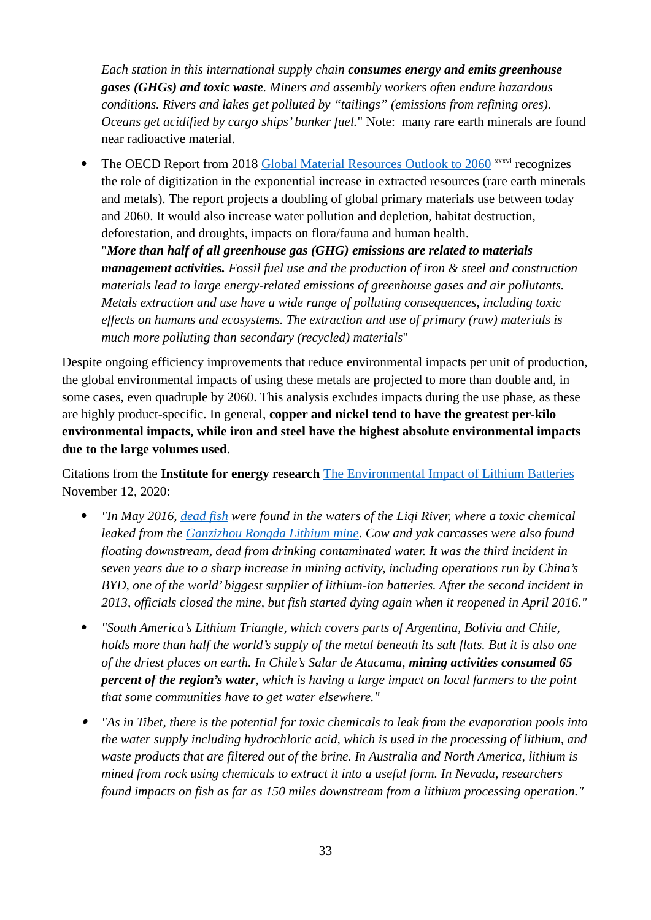*Each station in this international supply chain consumes energy and emits greenhouse gases (GHGs) and toxic waste. Miners and assembly workers often endure hazardous conditions. Rivers and lakes get polluted by "tailings" (emissions from refining ores). Oceans get acidified by cargo ships' bunker fuel.*" Note: many rare earth minerals are found near radioactive material.

• The OECD Report from 2018 [Global Material Resources Outlook to 2060](https://www.oecd.org/environment/global-material-resources-outlook-to-2060-9789264307452-en.htm) xxxvi recognizes the role of digitization in the exponential increase in extracted resources (rare earth minerals and metals). The report projects a doubling of global primary materials use between today and 2060. It would also increase water pollution and depletion, habitat destruction, deforestation, and droughts, impacts on flora/fauna and human health.

"*More than half of all greenhouse gas (GHG) emissions are related to materials management activities. Fossil fuel use and the production of iron & steel and construction materials lead to large energy-related emissions of greenhouse gases and air pollutants. Metals extraction and use have a wide range of polluting consequences, including toxic effects on humans and ecosystems. The extraction and use of primary (raw) materials is much more polluting than secondary (recycled) materials*"

Despite ongoing efficiency improvements that reduce environmental impacts per unit of production, the global environmental impacts of using these metals are projected to more than double and, in some cases, even quadruple by 2060. This analysis excludes impacts during the use phase, as these are highly product-specific. In general, **copper and nickel tend to have the greatest per-kilo environmental impacts, while iron and steel have the highest absolute environmental impacts due to the large volumes used**.

Citations from the **Institute for energy research** [The Environmental Impact of Lithium Batteries](https://www.instituteforenergyresearch.org/renewable/the-environmental-impact-of-lithium-batteries/) November 12, 2020:

- *"In May 2016, [dead fish](https://www.wired.co.uk/article/lithium-batteries-environment-impact) were found in the waters of the Liqi River, where a toxic chemical leaked from the [Ganzizhou Rongda Lithium mine](https://www.freetibet.org/lithium-tibet). Cow and yak carcasses were also found floating downstream, dead from drinking contaminated water. It was the third incident in seven years due to a sharp increase in mining activity, including operations run by China's BYD, one of the world' biggest supplier of lithium-ion batteries. After the second incident in 2013, officials closed the mine, but fish started dying again when it reopened in April 2016."*
- *"South America's Lithium Triangle, which covers parts of Argentina, Bolivia and Chile, holds more than half the world's supply of the metal beneath its salt flats. But it is also one of the driest places on earth. In Chile's Salar de Atacama, mining activities consumed 65 percent of the region's water, which is having a large impact on local farmers to the point that some communities have to get water elsewhere."*
- $\bullet$  *"As in Tibet, there is the potential for toxic chemicals to leak from the evaporation pools into the water supply including hydrochloric acid, which is used in the processing of lithium, and waste products that are filtered out of the brine. In Australia and North America, lithium is mined from rock using chemicals to extract it into a useful form. In Nevada, researchers found impacts on fish as far as 150 miles downstream from a lithium processing operation."*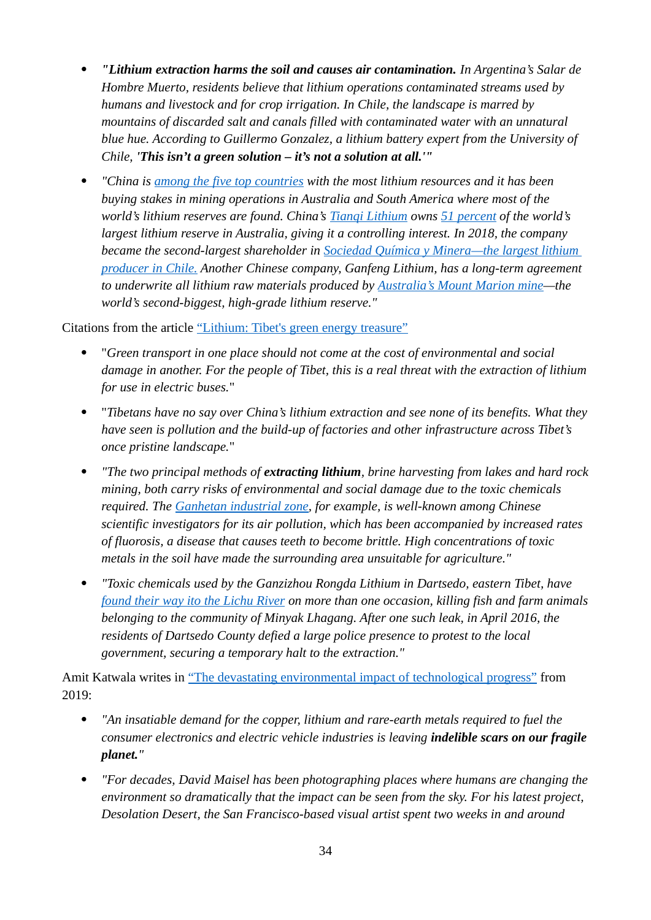- *"Lithium extraction harms the soil and causes air contamination. In Argentina's Salar de Hombre Muerto, residents believe that lithium operations contaminated streams used by humans and livestock and for crop irrigation. In Chile, the landscape is marred by mountains of discarded salt and canals filled with contaminated water with an unnatural blue hue. According to Guillermo Gonzalez, a lithium battery expert from the University of Chile, 'This isn't a green solution – it's not a solution at all.'"*
- *"China is [among the five top countries](https://www.usgs.gov/media/images/mineral-commodity-summaries-2020-cover) with the most lithium resources and it has been buying stakes in mining operations in Australia and South America where most of the world's lithium reserves are found. China's [Tianqi Lithium](http://en.tianqilithium.com/) owns [51 percent](https://www.voanews.com/silicon-valley-technology/how-china-dominates-global-battery-supply-chain) of the world's largest lithium reserve in Australia, giving it a controlling interest. In 2018, the company became the second-largest shareholder in [Sociedad Química y Minera —the largest lithium](https://www.fuelsandlubes.com/tianqi-lithiums-purchase-of-sqm-shares-would-make-chinese-firm-worlds-largest-producer-of-lithium/)  [producer in Chile.](https://www.fuelsandlubes.com/tianqi-lithiums-purchase-of-sqm-shares-would-make-chinese-firm-worlds-largest-producer-of-lithium/) Another Chinese company, Ganfeng Lithium, has a long-term agreement to underwrite all lithium raw materials produced by [Australia's Mount Marion mine](https://news.metal.com/newscontent/100913083/%5Bsmm-express%5D-the-sale-of-shares-in-the-australian-mine-involves-57000-tons-of-lithium-concentrate-ganfeng-lithium-industry-to-obtain-half-of-the-shares/)—the world's second-biggest, high-grade lithium reserve."*

Citations from the article ["Lithium: Tibet's green energy treasure"](https://freetibet.org/lithium-tibet)

- "*Green transport in one place should not come at the cost of environmental and social damage in another. For the people of Tibet, this is a real threat with the extraction of lithium for use in electric buses.*"
- "*Tibetans have no say over China's lithium extraction and see none of its benefits. What they have seen is pollution and the build-up of factories and other infrastructure across Tibet's once pristine landscape.*"
- *"The two principal methods of extracting lithium, brine harvesting from lakes and hard rock mining, both carry risks of environmental and social damage due to the toxic chemicals required. The [Ganhetan industrial zone](http://rukor.org/tibetan-lithium-in-your-pocket/), for example, is well-known among Chinese scientific investigators for its air pollution, which has been accompanied by increased rates of fluorosis, a disease that causes teeth to become brittle. High concentrations of toxic metals in the soil have made the surrounding area unsuitable for agriculture."*
- *"Toxic chemicals used by the Ganzizhou Rongda Lithium in Dartsedo, eastern Tibet, have [found their way ito the Lichu River](http://freetibet.org/news-media/na/tibetans-protest-against-pollution-mining) on more than one occasion, killing fish and farm animals belonging to the community of Minyak Lhagang. After one such leak, in April 2016, the residents of Dartsedo County defied a large police presence to protest to the local government, securing a temporary halt to the extraction."*

Amit Katwala writes in ["The devastating environmental impact of technological progress"](https://www.wired.co.uk/article/lithium-copper-mining-atacama-desert) from 2019:

- *"An insatiable demand for the copper, lithium and rare-earth metals required to fuel the consumer electronics and electric vehicle industries is leaving indelible scars on our fragile planet."*
- *"For decades, David Maisel has been photographing places where humans are changing the environment so dramatically that the impact can be seen from the sky. For his latest project, Desolation Desert, the San Francisco-based visual artist spent two weeks in and around*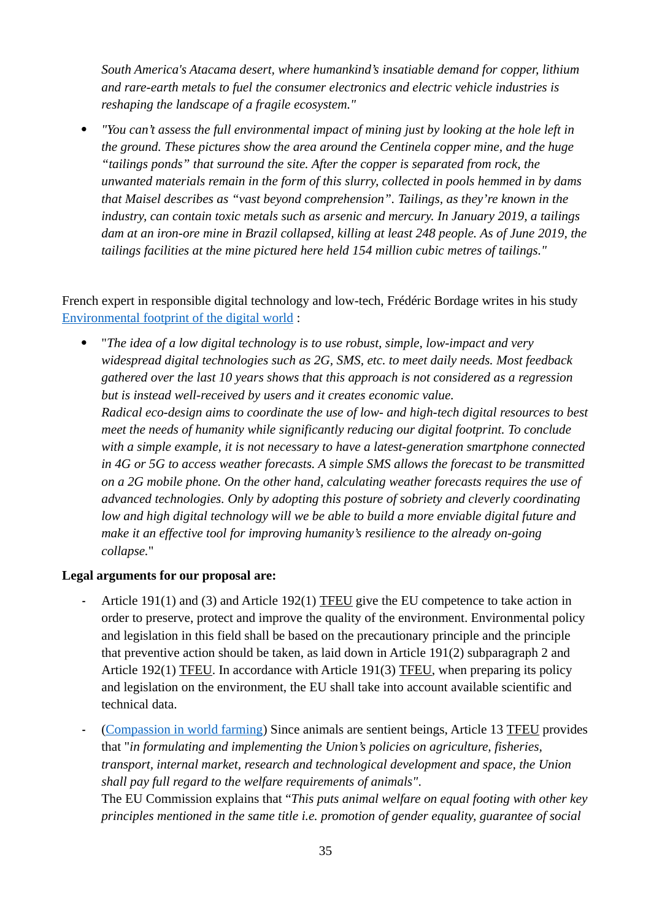*South America's Atacama desert, where humankind's insatiable demand for copper, lithium and rare-earth metals to fuel the consumer electronics and electric vehicle industries is reshaping the landscape of a fragile ecosystem."*

 *"You can't assess the full environmental impact of mining just by looking at the hole left in the ground. These pictures show the area around the Centinela copper mine, and the huge "tailings ponds" that surround the site. After the copper is separated from rock, the unwanted materials remain in the form of this slurry, collected in pools hemmed in by dams that Maisel describes as "vast beyond comprehension". Tailings, as they're known in the industry, can contain toxic metals such as arsenic and mercury. In January 2019, a tailings dam at an iron-ore mine in Brazil collapsed, killing at least 248 people. As of June 2019, the tailings facilities at the mine pictured here held 154 million cubic metres of tailings."*

#### French expert in responsible digital technology and low-tech, Frédéric Bordage writes in his study [Environmental footprint of the digital world](https://www.greenit.fr/environmental-footprint-of-the-digital-world/) :

 "*The idea of a low digital technology is to use robust, simple, low-impact and very widespread digital technologies such as 2G, SMS, etc. to meet daily needs. Most feedback gathered over the last 10 years shows that this approach is not considered as a regression but is instead well-received by users and it creates economic value. Radical eco-design aims to coordinate the use of low- and high-tech digital resources to best meet the needs of humanity while significantly reducing our digital footprint. To conclude with a simple example, it is not necessary to have a latest-generation smartphone connected in 4G or 5G to access weather forecasts. A simple SMS allows the forecast to be transmitted on a 2G mobile phone. On the other hand, calculating weather forecasts requires the use of advanced technologies. Only by adopting this posture of sobriety and cleverly coordinating low and high digital technology will we be able to build a more enviable digital future and make it an effective tool for improving humanity's resilience to the already on-going collapse.*"

#### **Legal arguments for our proposal are:**

- **-** Article 191(1) and (3) and Article 192(1) [TFEU](#page-67-3) give the EU competence to take action in order to preserve, protect and improve the quality of the environment. Environmental policy and legislation in this field shall be based on the precautionary principle and the principle that preventive action should be taken, as laid down in Article 191(2) subparagraph 2 and Article 192(1) [TFEU](#page-67-3). In accordance with Article 191(3) [TFEU](#page-67-3), when preparing its policy and legislation on the environment, the EU shall take into account available scientific and technical data.
- **-** ([Compassion in world farming](https://www.ciwf.org.uk/media/7427367/article-13-tfeu-undermined-by-lack-of-access-to-justice-december-2014.pdf)) Since animals are sentient beings, Article 13 [TFEU](#page-67-3) provides that "*in formulating and implementing the Union's policies on agriculture, fisheries, transport, internal market, research and technological development and space, the Union shall pay full regard to the welfare requirements of animals"*.

The EU Commission explains that "*This puts animal welfare on equal footing with other key principles mentioned in the same title i.e. promotion of gender equality, guarantee of social*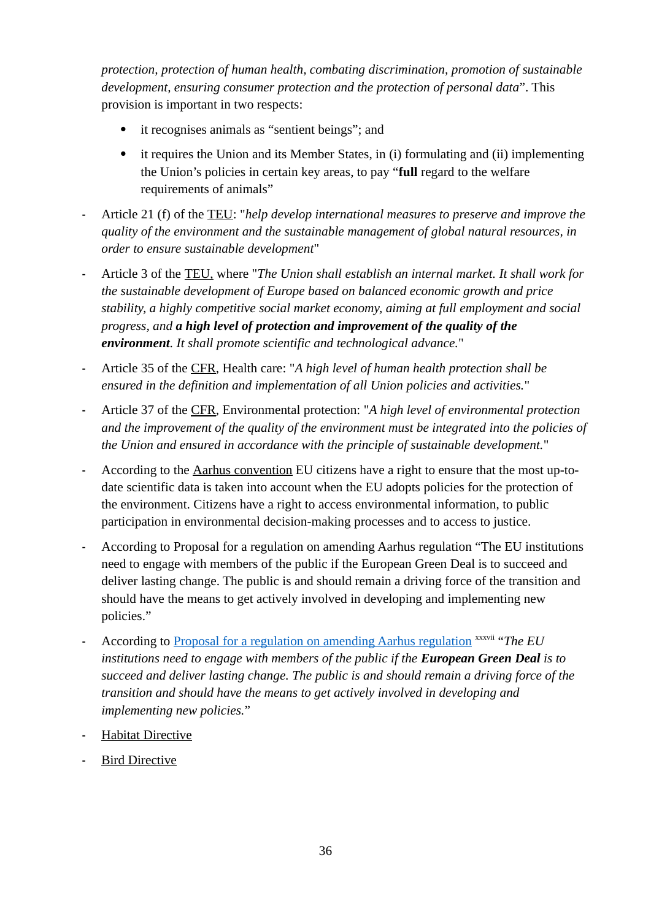*protection, protection of human health, combating discrimination, promotion of sustainable development, ensuring consumer protection and the protection of personal data*". This provision is important in two respects:

- it recognises animals as "sentient beings"; and
- it requires the Union and its Member States, in (i) formulating and (ii) implementing the Union's policies in certain key areas, to pay "**full** regard to the welfare requirements of animals"
- **-** Article 21 (f) of the [TEU](#page-67-1): "*help develop international measures to preserve and improve the quality of the environment and the sustainable management of global natural resources, in order to ensure sustainable development*"
- **-** Article 3 of the [TEU](#page-67-1), where "*The Union shall establish an internal market. It shall work for the sustainable development of Europe based on balanced economic growth and price stability, a highly competitive social market economy, aiming at full employment and social progress, and a high level of protection and improvement of the quality of the environment. It shall promote scientific and technological advance.*"
- **-** Article 35 of the [CFR](#page-67-2), Health care: "*A high level of human health protection shall be ensured in the definition and implementation of all Union policies and activities.*"
- **-** Article 37 of the [CFR](#page-67-2), Environmental protection: "*A high level of environmental protection and the improvement of the quality of the environment must be integrated into the policies of the Union and ensured in accordance with the principle of sustainable development.*"
- **-** According to the [Aarhus convention](#page-67-4) EU citizens have a right to ensure that the most up-todate scientific data is taken into account when the EU adopts policies for the protection of the environment. Citizens have a right to access environmental information, to public participation in environmental decision-making processes and to access to justice.
- **-** According to Proposal for a regulation on amending Aarhus regulation "The EU institutions need to engage with members of the public if the European Green Deal is to succeed and deliver lasting change. The public is and should remain a driving force of the transition and should have the means to get actively involved in developing and implementing new policies."
- **-** According to [Proposal for a regulation on amending Aarhus regulation](https://ec.europa.eu/environment/aarhus/pdf/legislative_proposal_amending_aarhus_regulation.pdf) xxxvii "*The EU institutions need to engage with members of the public if the European Green Deal is to succeed and deliver lasting change. The public is and should remain a driving force of the transition and should have the means to get actively involved in developing and implementing new policies.*"
- **-** [Habitat Directive](#page-68-2)
- **-** [Bird Directive](#page-68-1)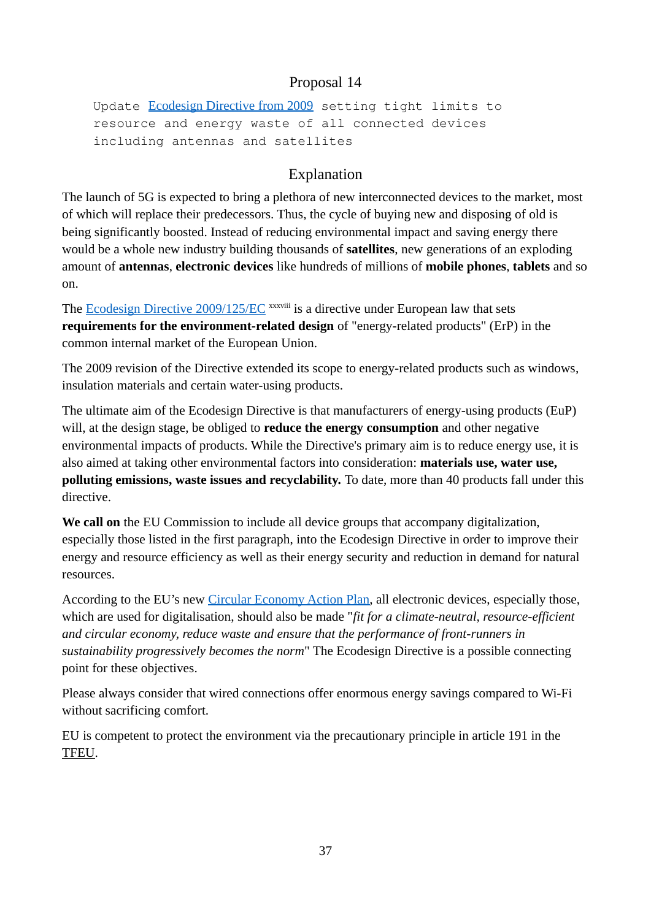Update [Ecodesign Directive from 2009](https://eur-lex.europa.eu/legal-content/EN/ALL/?uri=CELEX%3A32009L0125) setting tight limits to resource and energy waste of all connected devices including antennas and satellites

## Explanation

The launch of 5G is expected to bring a plethora of new interconnected devices to the market, most of which will replace their predecessors. Thus, the cycle of buying new and disposing of old is being significantly boosted. Instead of reducing environmental impact and saving energy there would be a whole new industry building thousands of **satellites**, new generations of an exploding amount of **antennas**, **electronic devices** like hundreds of millions of **mobile phones**, **tablets** and so on.

The [Ecodesign Directive 2009/125/EC](https://eur-lex.europa.eu/legal-content/EN/ALL/?uri=CELEX%3A32009L0125) xxxviii is a directive under European law that sets **requirements for the environment-related design** of "energy-related products" (ErP) in the common internal market of the European Union.

The 2009 revision of the Directive extended its scope to energy-related products such as windows, insulation materials and certain water-using products.

The ultimate aim of the Ecodesign Directive is that manufacturers of energy-using products (EuP) will, at the design stage, be obliged to **reduce the energy consumption** and other negative environmental impacts of products. While the Directive's primary aim is to reduce energy use, it is also aimed at taking other environmental factors into consideration: **materials use, water use, polluting emissions, waste issues and recyclability.** To date, more than 40 products fall under this directive.

**We call on** the EU Commission to include all device groups that accompany digitalization, especially those listed in the first paragraph, into the Ecodesign Directive in order to improve their energy and resource efficiency as well as their energy security and reduction in demand for natural resources.

According to the EU's new [Circular Economy Action Plan](https://ec.europa.eu/environment/strategy/circular-economy-action-plan_en), all electronic devices, especially those, which are used for digitalisation, should also be made "*fit for a climate-neutral, resource-efficient and circular economy, reduce waste and ensure that the performance of front-runners in sustainability progressively becomes the norm*" The Ecodesign Directive is a possible connecting point for these objectives.

Please always consider that wired connections offer enormous energy savings compared to Wi-Fi without sacrificing comfort.

EU is competent to protect the environment via the precautionary principle in article 191 in the [TFEU.](#page-67-0)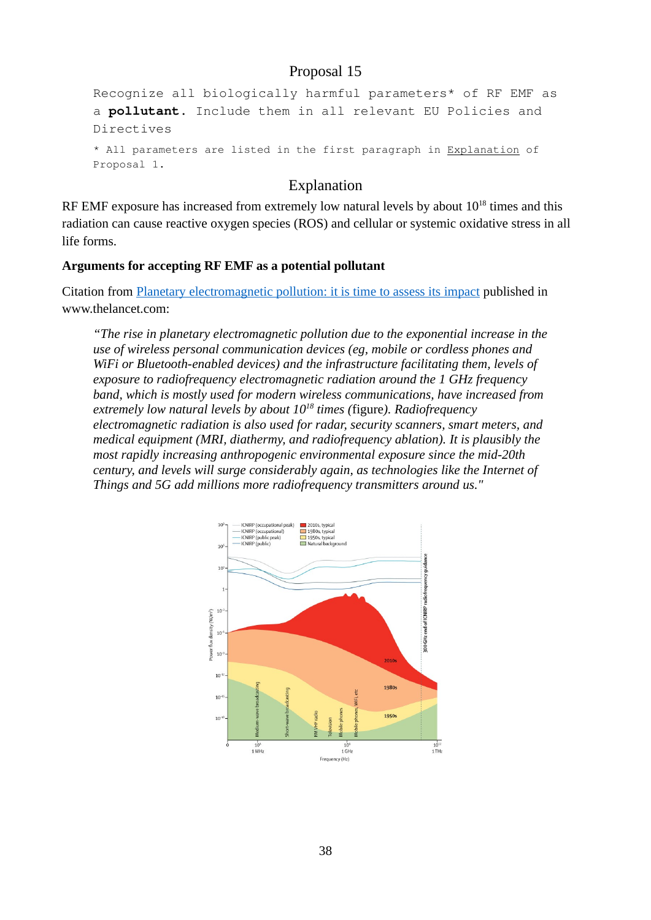```
Recognize all biologically harmful parameters* of RF EMF as
a pollutant. Include them in all relevant EU Policies and 
Directives
* All parameters are listed in the first paragraph in Explanation of 
Proposal 1.
```
### Explanation

RF EMF exposure has increased from extremely low natural levels by about  $10^{18}$  times and this radiation can cause reactive oxygen species (ROS) and cellular or systemic oxidative stress in all life forms.

#### **Arguments for accepting RF EMF as a potential pollutant**

Citation from Planetary electromagnetic pollution: it is time to assess its impact published in www.thelancet.com:

*"The rise in planetary electromagnetic pollution due to the exponential increase in the use of wireless personal communication devices (eg, mobile or cordless phones and WiFi or Bluetooth-enabled devices) and the infrastructure facilitating them, levels of exposure to radiofrequency electromagnetic radiation around the 1 GHz frequency band, which is mostly used for modern wireless communications, have increased from extremely low natural levels by about 10<sup>18</sup> times (*figure*). Radiofrequency electromagnetic radiation is also used for radar, security scanners, smart meters, and medical equipment (MRI, diathermy, and radiofrequency ablation). It is plausibly the most rapidly increasing anthropogenic environmental exposure since the mid-20th century, and levels will surge considerably again, as technologies like the Internet of Things and 5G add millions more radiofrequency transmitters around us."*

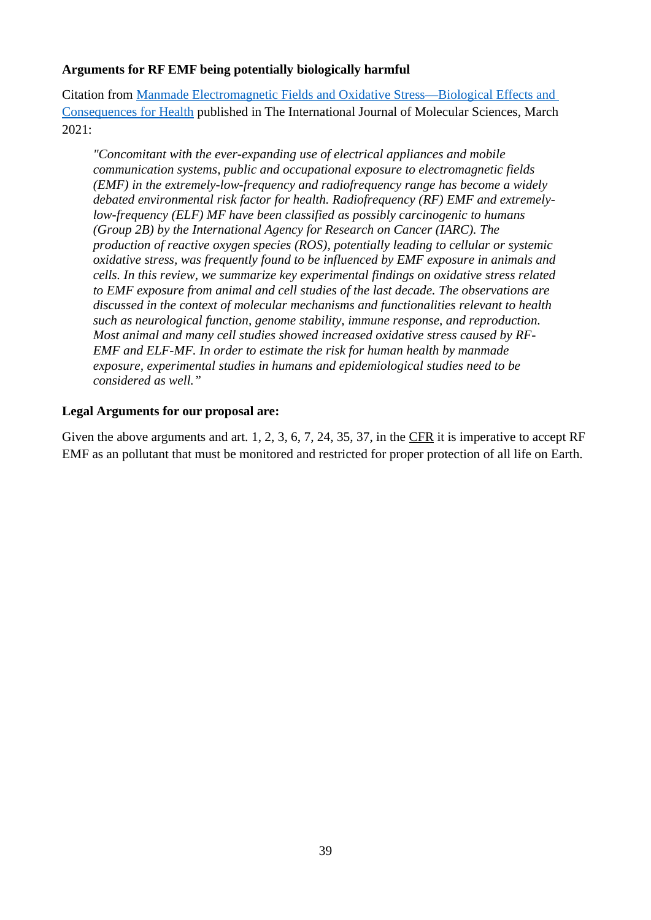#### **Arguments for RF EMF being potentially biologically harmful**

Citation from [Manmade Electromagnetic Fields and Oxidative Stress—Biological Effects and](https://www.mdpi.com/1422-0067/22/7/3772/htm)  [Consequences for Health](https://www.mdpi.com/1422-0067/22/7/3772/htm) published in The International Journal of Molecular Sciences, March 2021:

*"Concomitant with the ever-expanding use of electrical appliances and mobile communication systems, public and occupational exposure to electromagnetic fields (EMF) in the extremely-low-frequency and radiofrequency range has become a widely debated environmental risk factor for health. Radiofrequency (RF) EMF and extremelylow-frequency (ELF) MF have been classified as possibly carcinogenic to humans (Group 2B) by the International Agency for Research on Cancer (IARC). The production of reactive oxygen species (ROS), potentially leading to cellular or systemic oxidative stress, was frequently found to be influenced by EMF exposure in animals and cells. In this review, we summarize key experimental findings on oxidative stress related to EMF exposure from animal and cell studies of the last decade. The observations are discussed in the context of molecular mechanisms and functionalities relevant to health such as neurological function, genome stability, immune response, and reproduction. Most animal and many cell studies showed increased oxidative stress caused by RF-EMF and ELF-MF. In order to estimate the risk for human health by manmade exposure, experimental studies in humans and epidemiological studies need to be considered as well."*

#### **Legal Arguments for our proposal are:**

Given the above arguments and art. 1, 2, 3, 6, 7, 24, 35, 37, in the [CFR](#page-67-1) it is imperative to accept RF EMF as an pollutant that must be monitored and restricted for proper protection of all life on Earth.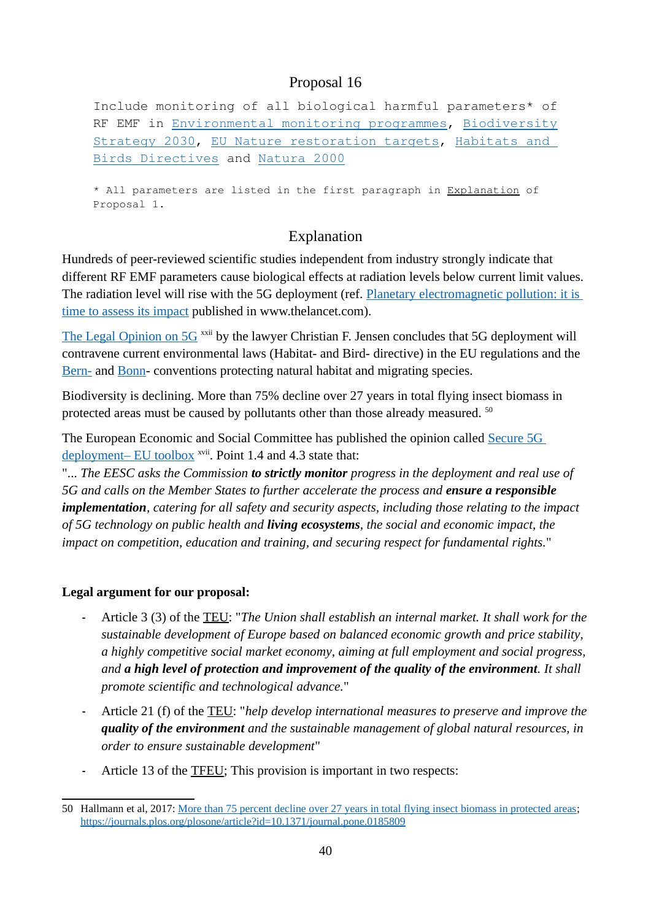Include monitoring of all biological harmful parameters\* of RF EMF in [Environmental monitoring programmes](https://ec.europa.eu/jrc/en/research-topic/environmental-monitoring), [Biodiversity](https://ec.europa.eu/environment/strategy/biodiversity-strategy-2030_en) [Strategy 2030,](https://ec.europa.eu/environment/strategy/biodiversity-strategy-2030_en) [EU Nature restoration targets](https://ec.europa.eu/environment/strategy/biodiversity-strategy-2030/eu-nature-restoration-targets_en), [Habitats and](https://ec.europa.eu/environment/nature/legislation/index_en.htm)  [Birds Directives](https://ec.europa.eu/environment/nature/legislation/index_en.htm) and [Natura 2000](https://ec.europa.eu/environment/nature/natura2000/index_en.htm)

\* All parameters are listed in the first paragraph in [Explanation](#page-2-0) of Proposal 1.

## Explanation

Hundreds of peer-reviewed scientific studies independent from industry strongly indicate that different RF EMF parameters cause biological effects at radiation levels below current limit values. The radiation level will rise with the 5G deployment (ref. [Planetary electromagnetic pollution: it is](https://www.thelancet.com/journals/lanplh/article/PIIS2542-5196(18)30221-3/fulltext)  [time to assess its impact](https://www.thelancet.com/journals/lanplh/article/PIIS2542-5196(18)30221-3/fulltext) published in www.thelancet.com).

[The Legal Opinion on 5G](https://helbredssikker-telekommunikation.dk/sites/default/files/LegalOpinionOn5G.pdf) <sup>xxii</sup> by the lawyer Christian F. Jensen concludes that 5G deployment will contravene current environmental laws (Habitat- and Bird- directive) in the EU regulations and the [Bern-](https://www.coe.int/en/web/bern-convention/) and [Bonn](https://www.cms.int/)- conventions protecting natural habitat and migrating species.

Biodiversity is declining. More than 75% decline over 27 years in total flying insect biomass in protected areas must be caused by pollutants other than those already measured.  $50$ 

The European Economic and Social Committee has published the opinion called [Secure 5G](https://www.eesc.europa.eu/en/our-work/opinions-information-reports/opinions/secure-5g-deployment-eu-toolbox)  [deployment– EU toolbox](https://www.eesc.europa.eu/en/our-work/opinions-information-reports/opinions/secure-5g-deployment-eu-toolbox)<sup>xvii</sup>. Point 1.4 and 4.3 state that:

"... *The EESC asks the Commission to strictly monitor progress in the deployment and real use of 5G and calls on the Member States to further accelerate the process and ensure a responsible implementation, catering for all safety and security aspects, including those relating to the impact of 5G technology on public health and living ecosystems, the social and economic impact, the impact on competition, education and training, and securing respect for fundamental rights.*"

#### **Legal argument for our proposal:**

- **-** Article 3 (3) of the [TEU](#page-67-2): "*The Union shall establish an internal market. It shall work for the sustainable development of Europe based on balanced economic growth and price stability, a highly competitive social market economy, aiming at full employment and social progress, and a high level of protection and improvement of the quality of the environment. It shall promote scientific and technological advance.*"
- **-** Article 21 (f) of the [TEU](#page-67-2): "*help develop international measures to preserve and improve the quality of the environment and the sustainable management of global natural resources, in order to ensure sustainable development*"
- **-** Article 13 of the [TFEU;](#page-67-0) This provision is important in two respects:

<span id="page-39-0"></span><sup>50</sup> Hallmann et al, 2017: [More than 75 percent decline over 27 years in total flying insect biomass in protected areas;](https://journals.plos.org/plosone/article?id=10.1371/journal.pone.0185809) <https://journals.plos.org/plosone/article?id=10.1371/journal.pone.0185809>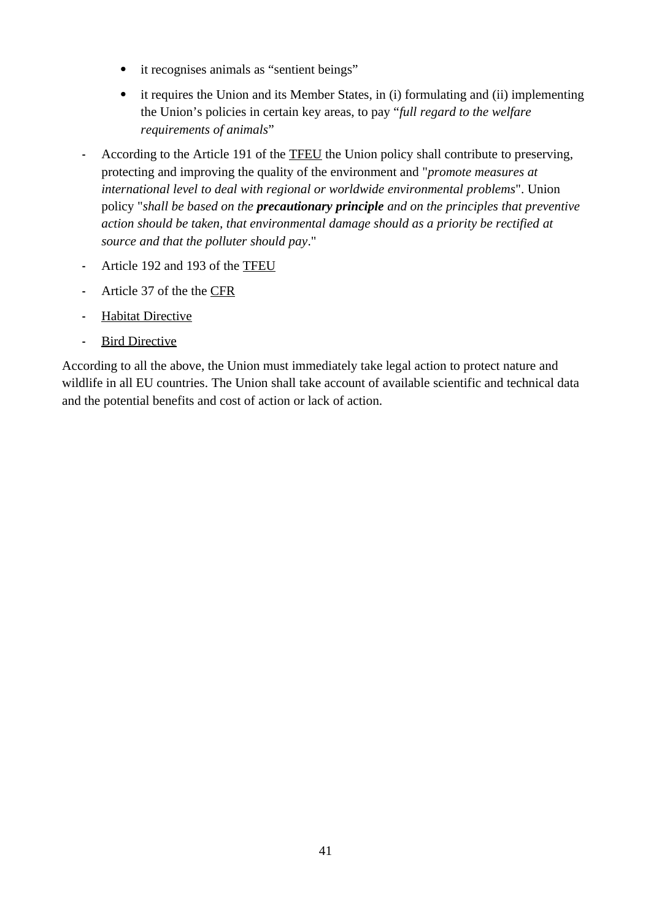- it recognises animals as "sentient beings"
- it requires the Union and its Member States, in (i) formulating and (ii) implementing the Union's policies in certain key areas, to pay "*full regard to the welfare requirements of animals*"
- **-** According to the Article 191 of the [TFEU](#page-67-0) the Union policy shall contribute to preserving, protecting and improving the quality of the environment and "*promote measures at international level to deal with regional or worldwide environmental problems*". Union policy "*shall be based on the precautionary principle and on the principles that preventive action should be taken, that environmental damage should as a priority be rectified at source and that the polluter should pay*."
- **-** Article 192 and 193 of the [TFEU](#page-67-0)
- **-** Article 37 of the the [CFR](#page-67-1)
- **-** [Habitat Directive](#page-68-1)
- **-** [Bird Directive](#page-68-0)

According to all the above, the Union must immediately take legal action to protect nature and wildlife in all EU countries. The Union shall take account of available scientific and technical data and the potential benefits and cost of action or lack of action.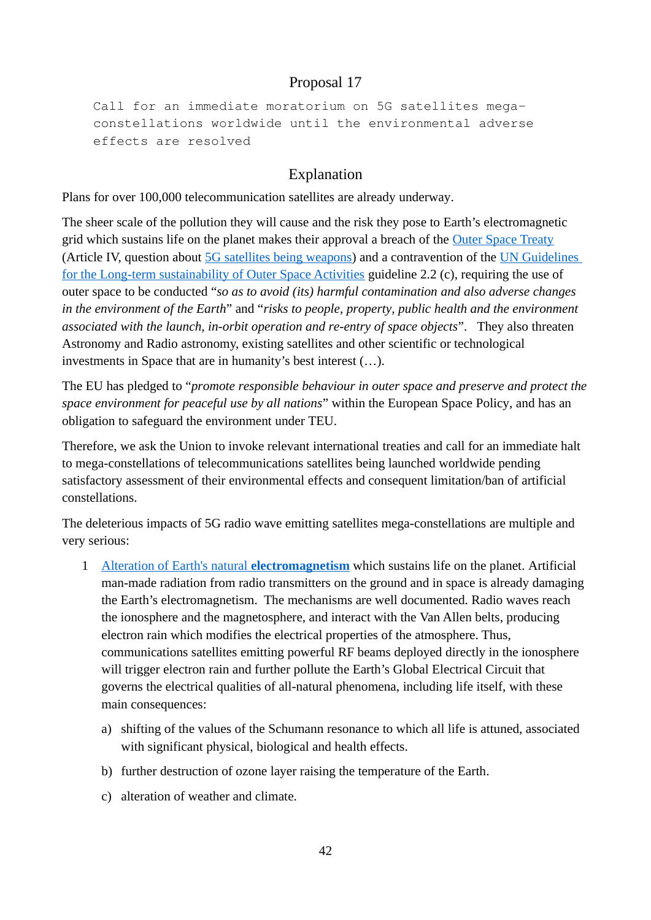Call for an immediate moratorium on 5G satellites megaconstellations worldwide until the environmental adverse effects are resolved

## Explanation

Plans for [over 100,000 telecommunication satellites](https://www.ucsusa.org/resources/satellite-database) are already underway.

The sheer scale of the pollution they will cause and the risk they pose to Earth's electromagnetic grid which sustains life on the planet makes their approval a breach of the [Outer Space Treaty](https://www.unoosa.org/oosa/en/ourwork/spacelaw/treaties/outerspacetreaty.html) (Article IV, question about [5G satellites being weapons\)](https://www.scmp.com/news/china/society/article/2148697/could-new-chinese-radar-system-really-be-used-play-god-weather) and a contravention of the [UN Guidelines](https://www.unoosa.org/res/oosadoc/data/documents/2018/aac_1052018crp/aac_1052018crp_20_0_html/AC105_2018_CRP20E.pdf)  [for the Long-term sustainability of Outer Space Activities](https://www.unoosa.org/res/oosadoc/data/documents/2018/aac_1052018crp/aac_1052018crp_20_0_html/AC105_2018_CRP20E.pdf) guideline 2.2 (c), requiring the use of outer space to be conducted "*so as to avoid (its) harmful contamination and also adverse changes in the environment of the Earth*" and "*risks to people, property, public health and the environment associated with the launch, in-orbit operation and re-entry of space objects*". They also threaten Astronomy and Radio astronomy, existing satellites and other scientific or technological investments in Space that are in humanity's best interest (…).

The EU has pledged to "*promote responsible behaviour in outer space and preserve and protect the space environment for peaceful use by all nations*" within the European Space Policy, and has an obligation to safeguard the environment under TEU.

Therefore, we ask the Union to invoke relevant international treaties and call for an immediate halt to mega-constellations of telecommunications satellites being launched worldwide pending satisfactory assessment of their environmental effects and consequent limitation/ban of artificial constellations.

The deleterious impacts of 5G radio wave emitting satellites mega-constellations are multiple and very serious:

- 1 [Alteration of Earth's natural](https://einarflydal.com/wp-content/uploads/2020/04/EFlydal-ENordhagen-20200331-More-satellites-will-damage-the-conditions-of-Life-on-Earth-v1.4-1.pdf) **[electromagnetism](https://einarflydal.com/wp-content/uploads/2020/04/EFlydal-ENordhagen-20200331-More-satellites-will-damage-the-conditions-of-Life-on-Earth-v1.4-1.pdf)** which sustains life on the planet. Artificial man-made radiation from radio transmitters on the ground and in space is already damaging the Earth's electromagnetism. The mechanisms are well documented. Radio waves reach the ionosphere and the magnetosphere, and interact with the [Van Allen belts](https://www.nature.com/articles/260401a0), producing electron rain which modifies the electrical properties of the atmosphere. Thus, communications satellites emitting powerful RF beams deployed directly in the ionosphere will trigger electron rain and further pollute the Earth's Global Electrical Circuit that governs the electrical qualities of all-natural phenomena, including life itself, with these main consequences:
	- a) shifting of the values of the [Schumann resonance](https://www.sciencedirect.com/science/article/abs/pii/0021916982901246) to which all life is attuned, associated with significant physical, [biological and health effects](https://researcharchive.lincoln.ac.nz/bitstream/handle/10182/3935/90_n1_EMR_Schumann_Resonance_paper_1.pdf?sequence=1).
	- b) further [destruction of ozone layer raising the](https://www.sciencedaily.com/releases/2000/12/001215082423.htm) [temperature of the Earth.](https://climate.nasa.gov/climate_resources/189/graphic-temperature-vs-solar-activity/)
	- c) alteration of [weather](https://www.nature.com/articles/165038a0) and climate.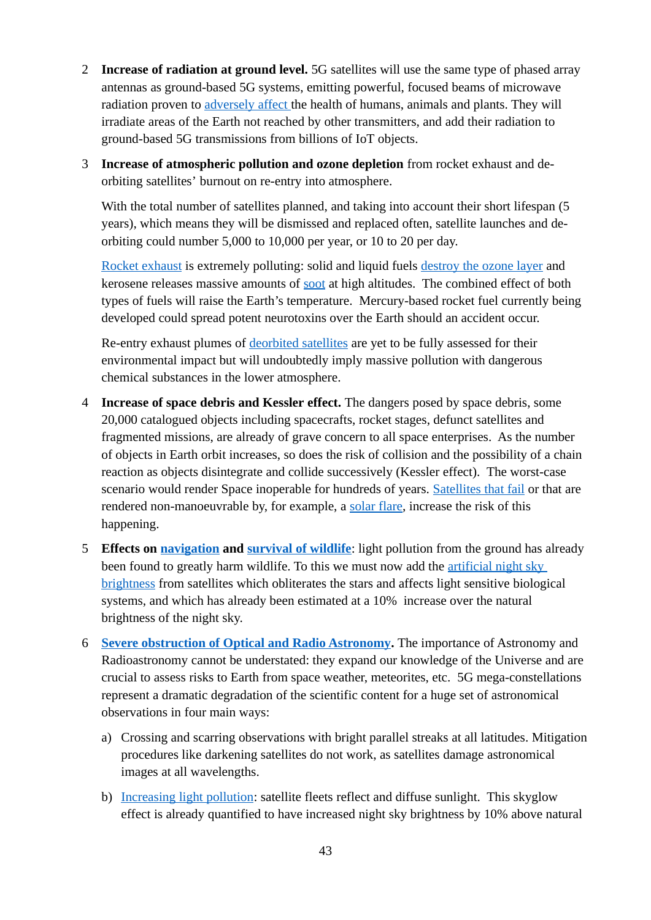- 2 **Increase of radiation at ground level.** 5G satellites will use the same type of phased array antennas as ground-based 5G systems, emitting powerful, focused beams of microwave radiation proven to [adversely affect](https://bioinitiative.org/) the health of humans, animals and plants. They will irradiate areas of the Earth not reached by other transmitters, and add their radiation to ground-based 5G transmissions from billions of IoT objects.
- 3 **Increase of atmospheric pollution and ozone depletion** from rocket exhaust and deorbiting satellites' burnout on re-entry into atmosphere.

With the total number of satellites planned, and taking into account their short lifespan (5 years), which means they will be dismissed and replaced often, satellite launches and deorbiting could number 5,000 to 10,000 per year, or 10 to 20 per day.

[Rocket exhaust](http://www.cellphonetaskforce.org/wifi-in-the-sky/) is extremely polluting: solid and liquid fuels [destroy the ozone layer](https://www.tandfonline.com/doi/full/10.1080/14777620902768867#abstract) and kerosene releases massive amounts of [soot](https://agupubs.onlinelibrary.wiley.com/doi/full/10.1029/2010GL044548) at high altitudes. The combined effect of both types of fuels will raise the Earth's temperature. Mercury-based rocket fuel currently being developed could spread potent neurotoxins over the Earth should an accident occur.

Re-entry exhaust plumes of [deorbited satellites](https://spacenews.com/aerospace-agu-reentry-pollution/) are yet to be fully assessed for their environmental impact but will undoubtedly imply massive pollution with dangerous chemical substances in the lower atmosphere.

- 4 **Increase of space debris and Kessler effect.** The dangers posed by space debris, some 20,000 catalogued objects including spacecrafts, rocket stages, defunct satellites and fragmented missions, are already of grave concern to all space enterprises. As the number of objects in Earth orbit increases, so does the risk of collision and the possibility of a chain reaction as objects disintegrate and collide successively (Kessler effect). The worst-case scenario would render Space inoperable for hundreds of years. [Satellites that fail](https://www.businessinsider.com/spacex-starlink-internet-satellites-percent-failure-rate-space-debris-risk-2020-10) or that are rendered non-manoeuvrable by, for example, a [solar flare](https://medium.com/starts-with-a-bang/flaremageddon-how-satellite-mega-constellations-could-create-a-new-natural-disaster-6a0afbd5b437), increase the risk of this happening.
- 5 **Effects on [navigation](https://www.ncbi.nlm.nih.gov/pmc/articles/PMC5805938/) and [survival of wildlife](https://cescos.fau.edu/observatory/lightpol-environ.html)**: light pollution from the ground has already been found to greatly harm wildlife. To this we must now add the [artificial night sky](https://academic.oup.com/mnrasl/advance-article/doi/10.1093/mnrasl/slab030/6188393)  [brightness](https://academic.oup.com/mnrasl/advance-article/doi/10.1093/mnrasl/slab030/6188393) from satellites which obliterates the stars and affects light sensitive biological systems, and which has already been estimated at a 10% increase over the natural brightness of the night sky.
- 6 **[Severe obstruction of Optical and Radio Astronomy.](https://academic.oup.com/mnrasl/advance-article/doi/10.1093/mnrasl/slab030/6188393)** The importance of Astronomy and Radioastronomy cannot be understated: they expand our knowledge of the Universe and are crucial to assess risks to Earth from space weather, meteorites, etc. 5G mega-constellations represent a dramatic degradation of the scientific content for a huge set of astronomical observations in four main ways:
	- a) Crossing and scarring observations with bright parallel streaks at all latitudes. Mitigation procedures like darkening satellites do not work, as satellites damage astronomical images at all wavelengths.
	- b) [Increasing light pollution](https://academic.oup.com/mnrasl/advance-article/doi/10.1093/mnrasl/slab030/6188393): satellite fleets reflect and diffuse sunlight. This skyglow effect is already quantified to have increased night sky brightness by 10% above natural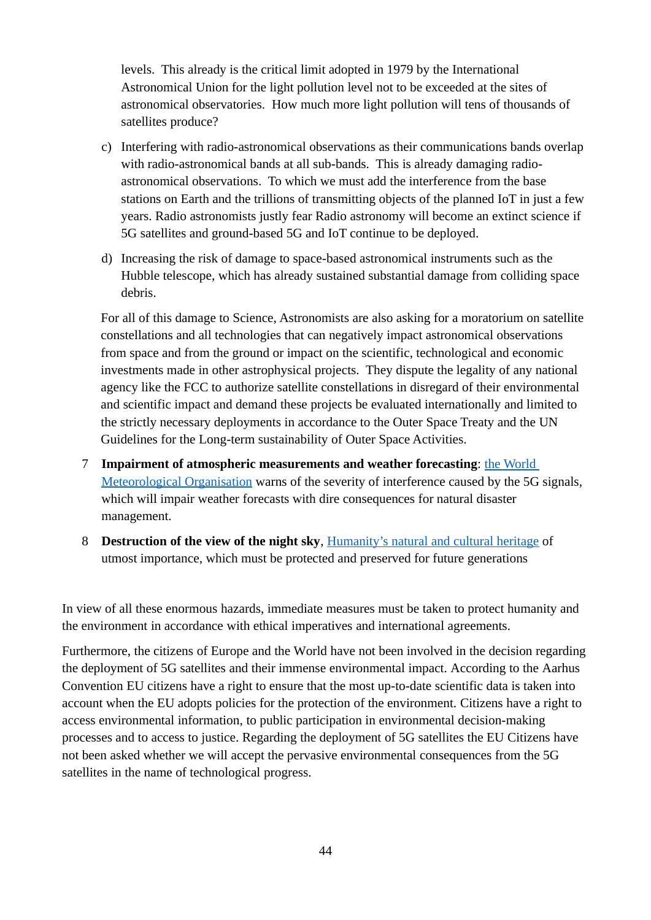levels. This already is the critical limit adopted in 1979 by the International Astronomical Union for the light pollution level not to be exceeded at the sites of astronomical observatories. How much more light pollution will tens of thousands of satellites produce?

- c) Interfering with radio-astronomical observations as their communications bands overlap with radio-astronomical bands at all sub-bands. This is already damaging radioastronomical observations. To which we must add the interference from the base stations on Earth and the trillions of transmitting objects of the planned IoT in just a few years. Radio astronomists justly fear Radio astronomy will become an extinct science if 5G satellites and ground-based 5G and IoT continue to be deployed.
- d) Increasing the risk of damage to space-based astronomical instruments such as the Hubble telescope, which has already sustained substantial damage from colliding space debris.

For all of this damage to Science, Astronomists are also asking for a moratorium on satellite constellations and all technologies that can negatively impact astronomical observations from space and from the ground or impact on the scientific, technological and economic investments made in other astrophysical projects. They dispute the legality of any national agency like the FCC to authorize satellite constellations in disregard of their environmental and scientific impact and demand these projects be evaluated internationally and limited to the strictly necessary deployments in accordance to the Outer Space Treaty and the UN Guidelines for the Long-term sustainability of Outer Space Activities.

- 7 **[Impairment of atmospheric measurements](https://www.nature.com/articles/d41586-019-03609-x) and weather forecasting**: [the World](https://public.wmo.int/en/media/news/wmo-expresses-concern-about-radio-frequency-decision)  [Meteorological Organisation](https://public.wmo.int/en/media/news/wmo-expresses-concern-about-radio-frequency-decision) warns of the severity of interference caused by the 5G signals, which will impair weather forecasts with dire consequences for natural disaster management.
- 8 **Destruction of the view of the night sky**, [Humanity's natural and cultural heritage](https://starlight2007.net/index_option_com_content_view_article_id_185_starlight-declaration_catid_62_the-initiative_itemid_80_lang_en.html) of utmost importance, which must be protected and preserved for future generations

In view of all these enormous hazards, immediate measures must be taken to protect humanity and the environment in accordance with ethical imperatives and international agreements.

Furthermore, the citizens of Europe and the World have not been involved in the decision regarding the deployment of 5G satellites and their immense environmental impact. According to the Aarhus Convention EU citizens have a right to ensure that the most up-to-date scientific data is taken into account when the EU adopts policies for the protection of the environment. Citizens have a right to access environmental information, to public participation in environmental decision-making processes and to access to justice. Regarding the deployment of 5G satellites the EU Citizens have not been asked whether we will accept the pervasive environmental consequences from the 5G satellites in the name of technological progress.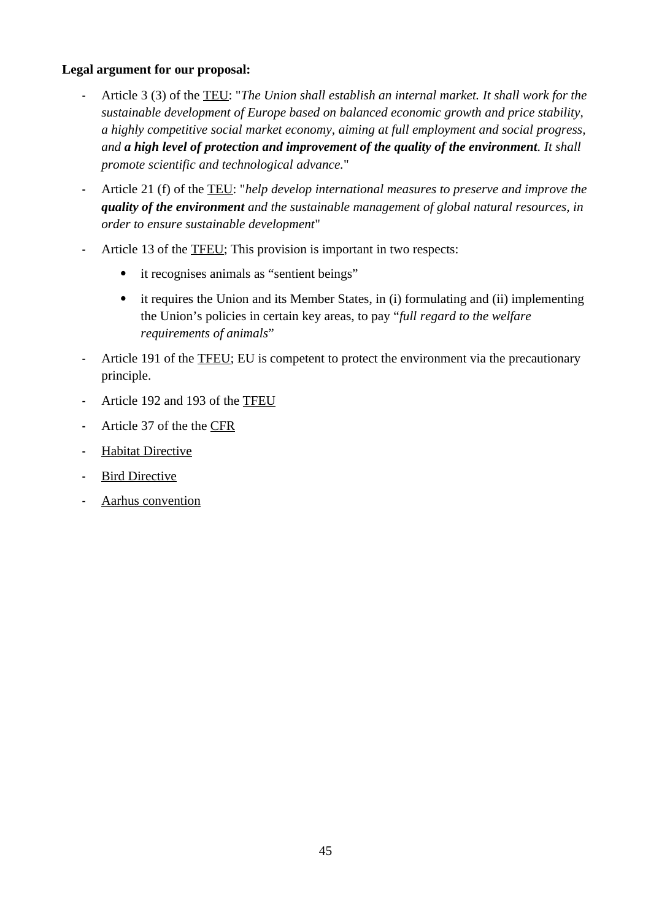#### **Legal argument for our proposal:**

- **-** Article 3 (3) of the [TEU](#page-67-2): "*The Union shall establish an internal market. It shall work for the sustainable development of Europe based on balanced economic growth and price stability, a highly competitive social market economy, aiming at full employment and social progress, and a high level of protection and improvement of the quality of the environment. It shall promote scientific and technological advance.*"
- **-** Article 21 (f) of the [TEU](#page-67-2): "*help develop international measures to preserve and improve the quality of the environment and the sustainable management of global natural resources, in order to ensure sustainable development*"
- **-** Article 13 of the [TFEU;](#page-67-0) This provision is important in two respects:
	- it recognises animals as "sentient beings"
	- it requires the Union and its Member States, in (i) formulating and (ii) implementing the Union's policies in certain key areas, to pay "*full regard to the welfare requirements of animals*"
- **-** Article 191 of the [TFEU;](#page-67-0) EU is competent to protect the environment via the precautionary principle.
- **-** Article 192 and 193 of the [TFEU](#page-67-0)
- **-** Article 37 of the the [CFR](#page-67-1)
- **-** [Habitat Directive](#page-68-1)
- **-** [Bird Directive](#page-68-0)
- **-** [Aarhus convention](#page-67-3)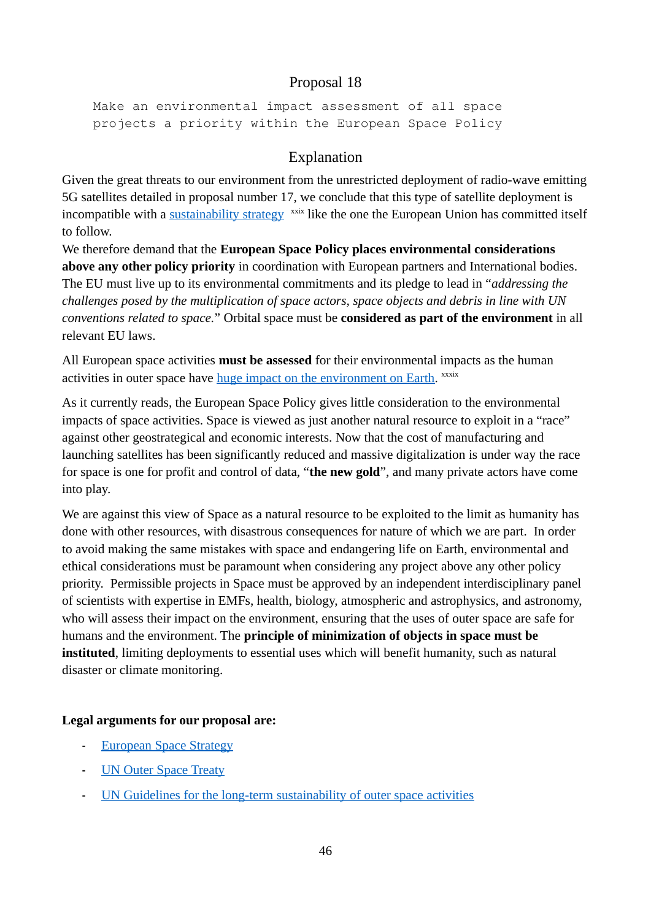Make an environmental impact assessment of all space projects a priority within the European Space Policy

## Explanation

Given the great threats to our environment from the unrestricted deployment of radio-wave emitting 5G satellites detailed in proposal number 17, we conclude that this type of satellite deployment is incompatible with a [sustainability strategy](https://ec.europa.eu/info/strategy/priorities-2019-2024/european-green-deal_en) <sup>xxix</sup> like the one the European Union has committed itself to follow.

We therefore demand that the **European Space Policy places environmental considerations above any other policy priority** in coordination with European partners and International bodies. The EU must live up to its environmental commitments and its pledge to lead in "*addressing the challenges posed by the multiplication of space actors, space objects and debris in line with UN conventions related to space.*" Orbital space must be **considered as part of the environment** in all relevant EU laws.

All European space activities **must be assessed** for their environmental impacts as the human activities in outer space have [huge impact on the environment on Earth.](https://www.esa.int/Science_Exploration/Space_Science/Our_environment_in_the_context_of_space) <sup>xxxix</sup>

As it currently reads, the European Space Policy gives little consideration to the environmental impacts of space activities. Space is viewed as just another natural resource to exploit in a "race" against other geostrategical and economic interests. Now that the cost of manufacturing and launching satellites has been significantly reduced and massive digitalization is under way the race for space is one for profit and control of data, "**the new gold**", and many private actors have come into play.

We are against this view of Space as a natural resource to be exploited to the limit as humanity has done with other resources, with disastrous consequences for nature of which we are part. In order to avoid making the same mistakes with space and endangering life on Earth, environmental and ethical considerations must be paramount when considering any project above any other policy priority. Permissible projects in Space must be approved by an independent interdisciplinary panel of scientists with expertise in EMFs, health, biology, atmospheric and astrophysics, and astronomy, who will assess their impact on the environment, ensuring that the uses of outer space are safe for humans and the environment. The **principle of minimization of objects in space must be instituted**, limiting deployments to essential uses which will benefit humanity, such as natural disaster or climate monitoring.

#### **Legal arguments for our proposal are:**

- **-** [European Space Strategy](https://ec.europa.eu/docsroom/documents/19442)
- **-** [UN Outer Space Treaty](https://www.unoosa.org/oosa/en/ourwork/spacelaw/treaties/outerspacetreaty.html)
- **-** [UN Guidelines for the long-term sustainability of outer space activities](https://www.unoosa.org/res/oosadoc/data/documents/2018/aac_1052018crp/aac_1052018crp_20_0_html/AC105_2018_CRP20E.pdf)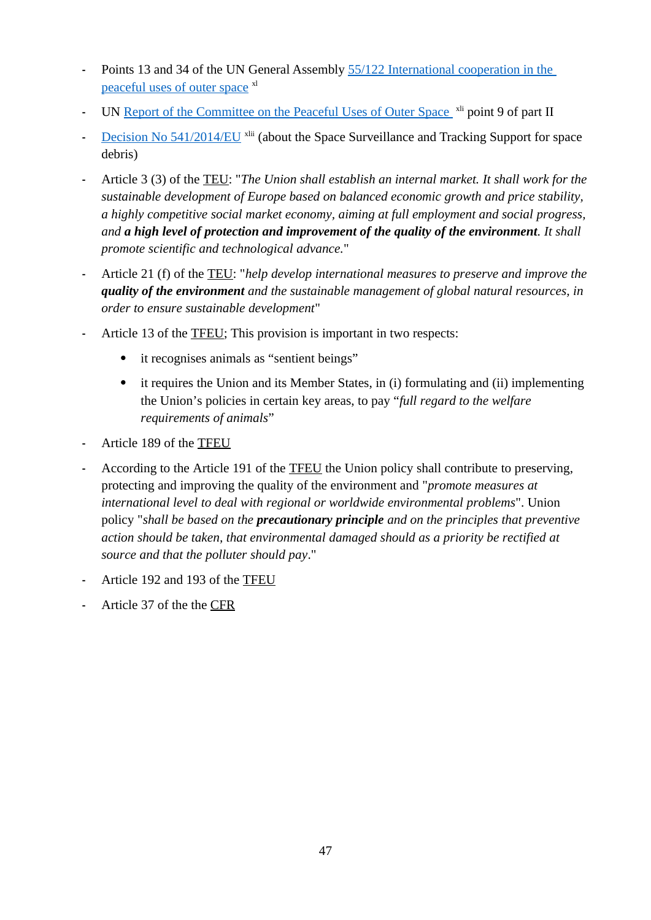- **-** Points 13 and 34 of the UN General Assembly [55/122 International cooperation in the](https://www.unoosa.org/pdf/gares/ARES_55_122E.pdf)  [peaceful uses of outer space](https://www.unoosa.org/pdf/gares/ARES_55_122E.pdf) <sup>xl</sup>
- **-** UN [Report of the Committee on the Peaceful Uses of Outer Space](https://undocs.org/pdf?symbol=en/A/71/20) <sup>xli</sup> point 9 of part II
- **-** [Decision No 541/2014/EU](https://eur-lex.europa.eu/legal-content/EN/TXT/PDF/?uri=CELEX:32014D0541&from=ES) xlii (about the Space Surveillance and Tracking Support for space debris)
- **-** Article 3 (3) of the [TEU](#page-67-2): "*The Union shall establish an internal market. It shall work for the sustainable development of Europe based on balanced economic growth and price stability, a highly competitive social market economy, aiming at full employment and social progress, and a high level of protection and improvement of the quality of the environment. It shall promote scientific and technological advance.*"
- **-** Article 21 (f) of the [TEU](#page-67-2): "*help develop international measures to preserve and improve the quality of the environment and the sustainable management of global natural resources, in order to ensure sustainable development*"
- **-** Article 13 of the [TFEU;](#page-67-0) This provision is important in two respects:
	- it recognises animals as "sentient beings"
	- it requires the Union and its Member States, in (i) formulating and (ii) implementing the Union's policies in certain key areas, to pay "*full regard to the welfare requirements of animals*"
- **-** Article 189 of the [TFEU](#page-67-0)
- **-** According to the Article 191 of the [TFEU](#page-67-0) the Union policy shall contribute to preserving, protecting and improving the quality of the environment and "*promote measures at international level to deal with regional or worldwide environmental problems*". Union policy "*shall be based on the precautionary principle and on the principles that preventive action should be taken, that environmental damaged should as a priority be rectified at source and that the polluter should pay*."
- **-** Article 192 and 193 of the [TFEU](#page-67-0)
- **-** Article 37 of the the [CFR](#page-67-1)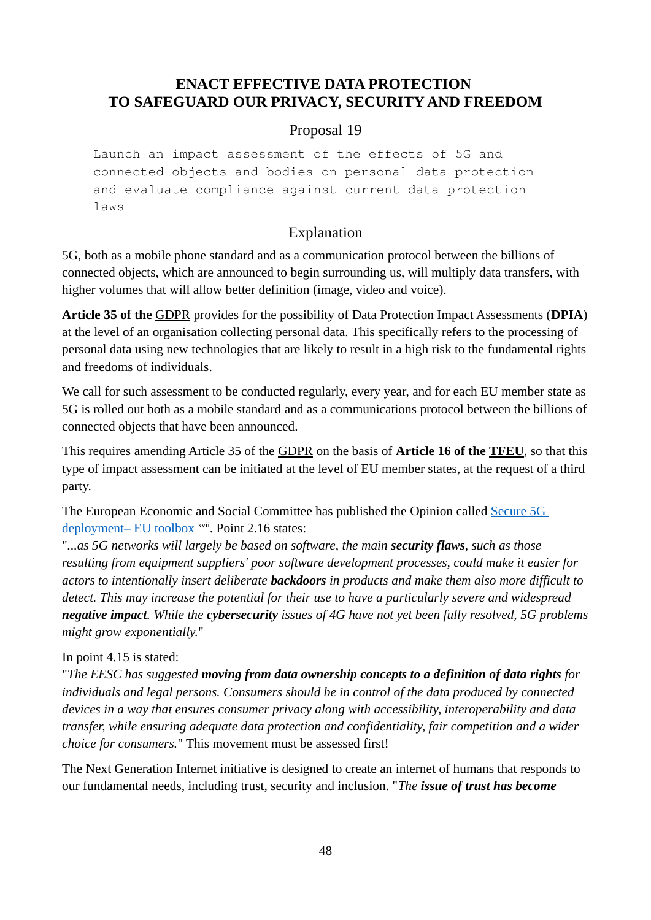## **ENACT EFFECTIVE DATA PROTECTION TO SAFEGUARD OUR PRIVACY, SECURITY AND FREEDOM**

### Proposal 19

Launch an impact assessment of the effects of 5G and connected objects and bodies on personal data protection and evaluate compliance against current data protection laws

## Explanation

5G, both as a mobile phone standard and as a communication protocol between the billions of connected objects, which are announced to begin surrounding us, will multiply data transfers, with higher volumes that will allow better definition (image, video and voice).

**Article 35 of the** [GDPR](#page-67-4) provides for the possibility of Data Protection Impact Assessments (**DPIA**) at the level of an organisation collecting personal data. This specifically refers to the processing of personal data using new technologies that are likely to result in a high risk to the fundamental rights and freedoms of individuals.

We call for such assessment to be conducted regularly, every year, and for each EU member state as 5G is rolled out both as a mobile standard and as a communications protocol between the billions of connected objects that have been announced.

This requires amending Article 35 of the [GDPR](#page-67-4) on the basis of **Article 16 of the [TFEU](#page-67-0)**, so that this type of impact assessment can be initiated at the level of EU member states, at the request of a third party.

The European Economic and Social Committee has published the Opinion called [Secure 5G](https://www.eesc.europa.eu/en/our-work/opinions-information-reports/opinions/secure-5g-deployment-eu-toolbox)  [deployment– EU toolbox](https://www.eesc.europa.eu/en/our-work/opinions-information-reports/opinions/secure-5g-deployment-eu-toolbox) xvii. Point 2.16 states:

"*...as 5G networks will largely be based on software, the main security flaws, such as those resulting from equipment suppliers' poor software development processes, could make it easier for actors to intentionally insert deliberate backdoors in products and make them also more difficult to detect. This may increase the potential for their use to have a particularly severe and widespread negative impact. While the cybersecurity issues of 4G have not yet been fully resolved, 5G problems might grow exponentially.*"

#### In point 4.15 is stated:

"*The EESC has suggested moving from data ownership concepts to a definition of data rights for individuals and legal persons. Consumers should be in control of the data produced by connected devices in a way that ensures consumer privacy along with accessibility, interoperability and data transfer, while ensuring adequate data protection and confidentiality, fair competition and a wider choice for consumers.*" This movement must be assessed first!

The Next Generation Internet initiative is designed to create an [internet of humans](https://ec.europa.eu/digital-single-market/en/blogposts/internet-humans) that responds to our fundamental needs, including trust, security and inclusion. "*The issue of trust has become*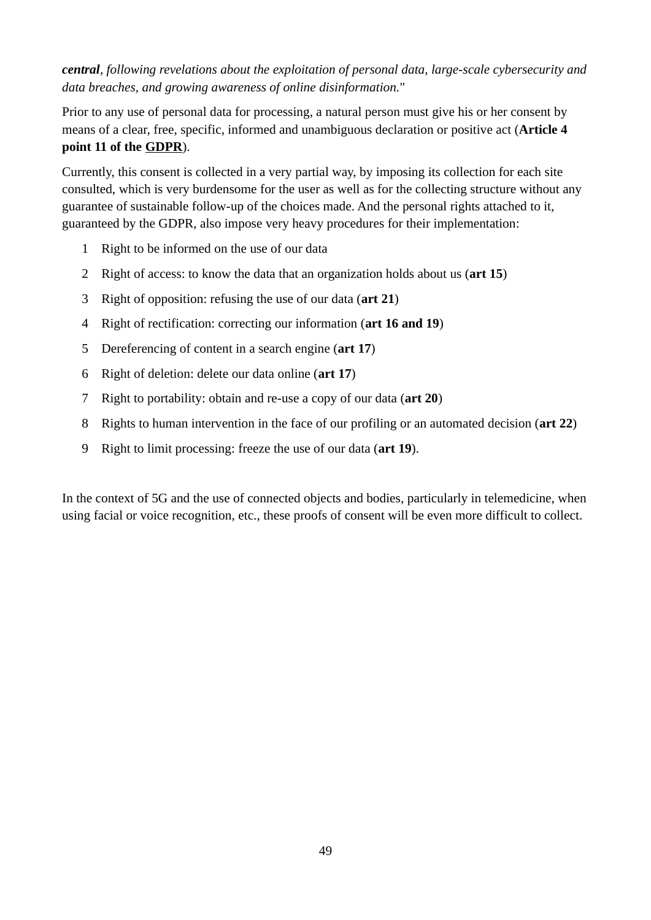### *central, following revelations about the exploitation of personal data, large-scale cybersecurity and data breaches, and growing awareness of online disinformation.*"

Prior to any use of personal data for processing, a natural person must give his or her consent by means of a clear, free, specific, informed and unambiguous declaration or positive act (**Article 4 point 11 of the [GDPR](#page-67-4)**).

Currently, this consent is collected in a very partial way, by imposing its collection for each site consulted, which is very burdensome for the user as well as for the collecting structure without any guarantee of sustainable follow-up of the choices made. And the personal rights attached to it, guaranteed by the GDPR, also impose very heavy procedures for their implementation:

- 1 Right to be informed on the use of our data
- 2 Right of access: to know the data that an organization holds about us (**art 15**)
- 3 Right of opposition: refusing the use of our data (**art 21**)
- 4 Right of rectification: correcting our information (**art 16 and 19**)
- 5 Dereferencing of content in a search engine (**art 17**)
- 6 Right of deletion: delete our data online (**art 17**)
- 7 Right to portability: obtain and re-use a copy of our data (**art 20**)
- 8 Rights to human intervention in the face of our profiling or an automated decision (**art 22**)
- 9 Right to limit processing: freeze the use of our data (**art 19**).

In the context of 5G and the use of connected objects and bodies, particularly in telemedicine, when using facial or voice recognition, etc., these proofs of consent will be even more difficult to collect.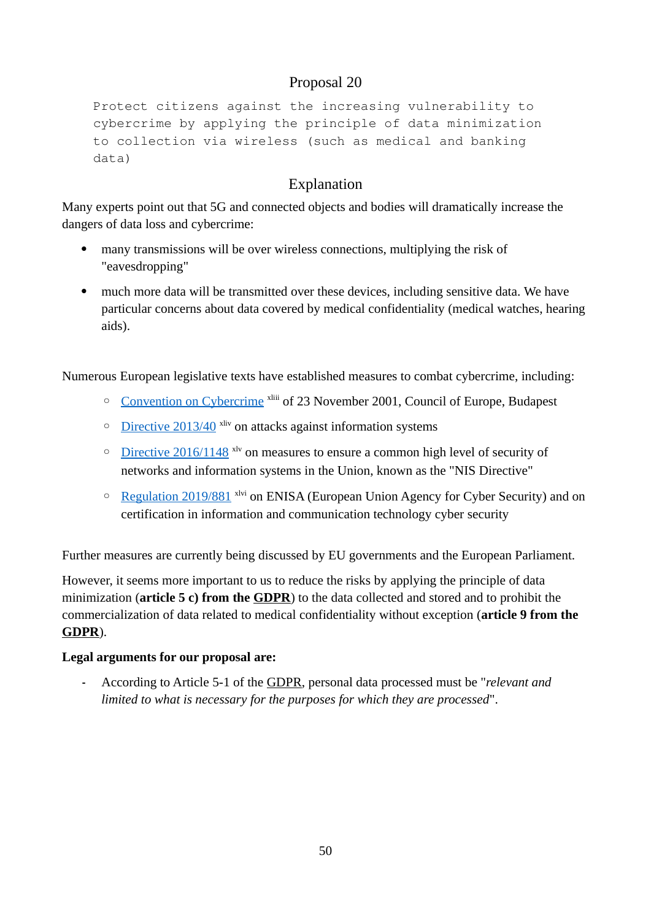Protect citizens against the increasing vulnerability to cybercrime by applying the principle of data minimization to collection via wireless (such as medical and banking data)

## Explanation

Many experts point out that 5G and connected objects and bodies will dramatically increase the dangers of data loss and cybercrime:

- many transmissions will be over wireless connections, multiplying the risk of "eavesdropping"
- much more data will be transmitted over these devices, including sensitive data. We have particular concerns about data covered by medical confidentiality (medical watches, hearing aids).

Numerous European legislative texts have established measures to combat cybercrime, including:

- ◦ [Convention on Cybercrime](https://www.coe.int/en/web/conventions/full-list/-/conventions/treaty/185) xliii of 23 November 2001, Council of Europe, Budapest
- ◦ [Directive 2013/40](https://eur-lex.europa.eu/legal-content/EN/ALL/?uri=celex%3A32013L0040) xliv on attacks against information systems
- ◦ [Directive 2016/1148](https://eur-lex.europa.eu/legal-content/GA/TXT/?uri=CELEX:32016L1148) xlv on measures to ensure a common high level of security of networks and information systems in the Union, known as the "NIS Directive"
- ◦ [Regulation 2019/881](https://eur-lex.europa.eu/eli/reg/2019/881/oj) xlvi on ENISA (European Union Agency for Cyber Security) and on certification in information and communication technology cyber security

Further measures are currently being discussed by EU governments and the European Parliament.

However, it seems more important to us to reduce the risks by applying the principle of data minimization (**article 5 c) from the [GDPR](#page-67-4)**) to the data collected and stored and to prohibit the commercialization of data related to medical confidentiality without exception (**article 9 from the [GDPR](#page-67-4)**).

#### **Legal arguments for our proposal are:**

**-** According to Article 5-1 of the [GDPR](#page-67-4), personal data processed must be "*relevant and limited to what is necessary for the purposes for which they are processed*".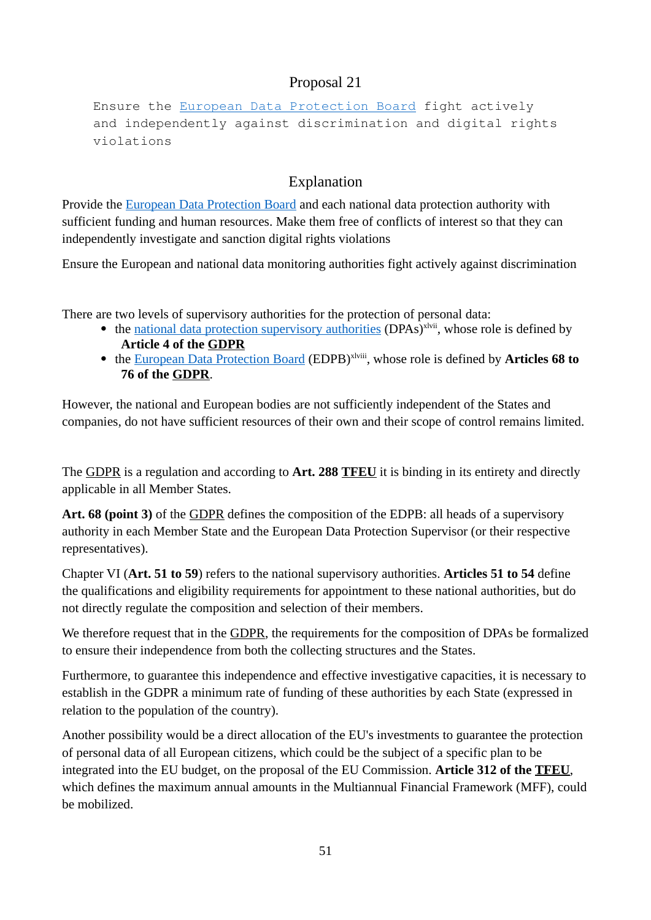Ensure the [European Data Protection Board](https://edpb.europa.eu/edpb_en) fight actively and independently against discrimination and digital rights violations

## Explanation

Provide the [European Data Protection Board](https://edpb.europa.eu/edpb_en) and each national data protection authority with sufficient funding and human resources. Make them free of conflicts of interest so that they can independently investigate and sanction digital rights violations

Ensure the European and national data monitoring authorities fight actively against discrimination

There are two levels of supervisory authorities for the protection of personal data:

- $\bullet$  the [national data protection supervisory authorities](https://ec.europa.eu/info/law/law-topic/data-protection/reform/what-are-data-protection-authorities-dpas_en) (DPAs)<sup>xlvii</sup>, whose role is defined by **Article 4 of the [GDPR](#page-67-4)**
- the [European Data Protection Board](https://edpb.europa.eu/edpb_en) (EDPB)<sup>xlviii</sup>, whose role is defined by **Articles 68 to 76 of the [GDPR](#page-67-4)**.

However, the national and European bodies are not sufficiently independent of the States and companies, do not have sufficient resources of their own and their scope of control remains limited.

The [GDPR](#page-67-4) is a regulation and according to **Art. 288 [TFEU](#page-67-0)** it is binding in its entirety and directly applicable in all Member States.

**Art. 68 (point 3)** of the [GDPR](#page-67-4) defines the composition of the EDPB: all heads of a supervisory authority in each Member State and the European Data Protection Supervisor (or their respective representatives).

Chapter VI (**Art. 51 to 59**) refers to the national supervisory authorities. **Articles 51 to 54** define the qualifications and eligibility requirements for appointment to these national authorities, but do not directly regulate the composition and selection of their members.

We therefore request that in the [GDPR](#page-67-4), the requirements for the composition of DPAs be formalized to ensure their independence from both the collecting structures and the States.

Furthermore, to guarantee this independence and effective investigative capacities, it is necessary to establish in the GDPR a minimum rate of funding of these authorities by each State (expressed in relation to the population of the country).

Another possibility would be a direct allocation of the EU's investments to guarantee the protection of personal data of all European citizens, which could be the subject of a specific plan to be integrated into the EU budget, on the proposal of the EU Commission. **Article 312 of the [TFEU](#page-67-0)**, which defines the maximum annual amounts in the Multiannual Financial Framework (MFF), could be mobilized.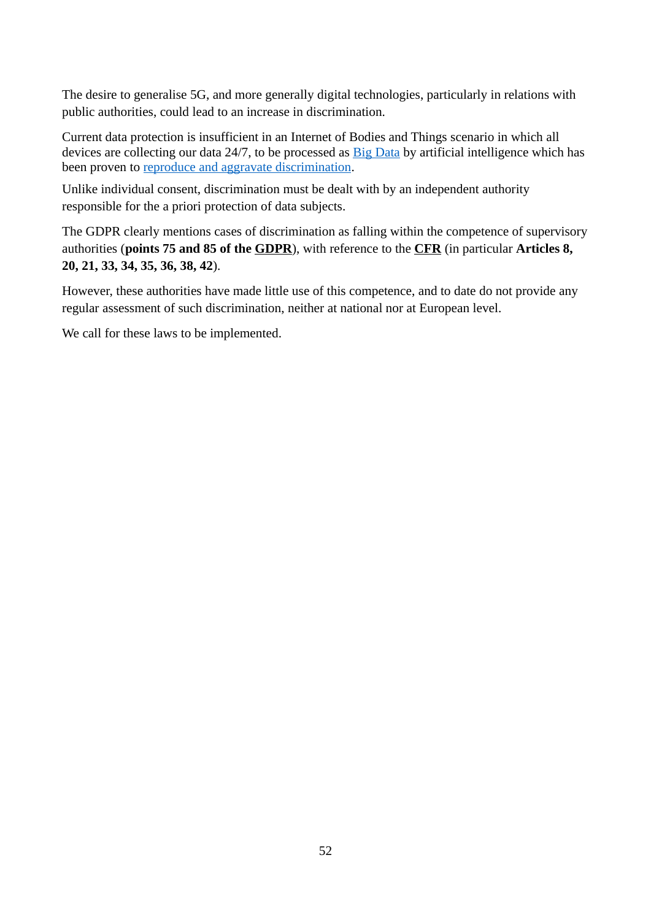The desire to generalise 5G, and more generally digital technologies, particularly in relations with public authorities, could lead to an increase in discrimination.

Current data protection is insufficient in an Internet of Bodies and Things scenario in which all devices are collecting our data 24/7, to be processed as **[Big Data](https://www.researchgate.net/publication/335351537_Big_Data_Challenges_in_5G_Networks)** by artificial intelligence which has been proven to [reproduce and aggravate discrimination](https://www.scientificamerican.com/article/how-a-machine-learns-prejudice/).

Unlike individual consent, discrimination must be dealt with by an independent authority responsible for the a priori protection of data subjects.

The GDPR clearly mentions cases of discrimination as falling within the competence of supervisory authorities (**points 75 and 85 of the [GDPR](#page-67-4)**), with reference to the **[CFR](#page-67-1)** (in particular **Articles 8, 20, 21, 33, 34, 35, 36, 38, 42**).

However, these authorities have made little use of this competence, and to date do not provide any regular assessment of such discrimination, neither at national nor at European level.

We call for these laws to be implemented.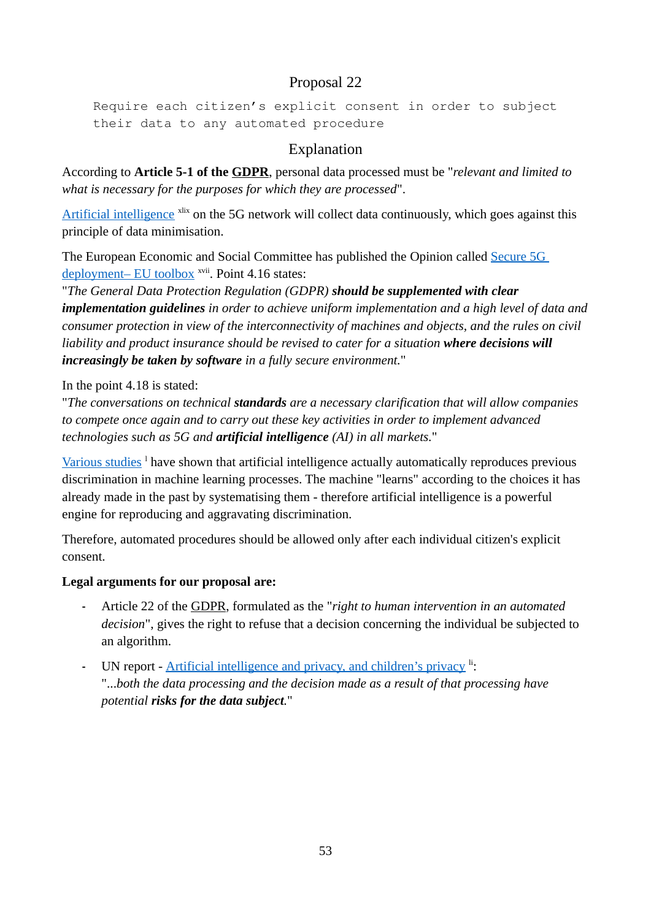```
Require each citizen's explicit consent in order to subject
their data to any automated procedure
```
## Explanation

According to **Article 5-1 of the [GDPR](#page-67-4)**, personal data processed must be "*relevant and limited to what is necessary for the purposes for which they are processed*".

[Artificial intelligence](https://digital-strategy.ec.europa.eu/en/policies/european-approach-artificial-intelligence) <sup>xlix</sup> on the 5G network will collect data continuously, which goes against this principle of data minimisation.

The European Economic and Social Committee has published the Opinion called [Secure 5G](https://www.eesc.europa.eu/en/our-work/opinions-information-reports/opinions/secure-5g-deployment-eu-toolbox)  [deployment– EU toolbox](https://www.eesc.europa.eu/en/our-work/opinions-information-reports/opinions/secure-5g-deployment-eu-toolbox) <sup>xvii</sup>. Point 4.16 states:

"*The General Data Protection Regulation (GDPR) should be supplemented with clear implementation guidelines in order to achieve uniform implementation and a high level of data and consumer protection in view of the interconnectivity of machines and objects, and the rules on civil liability and product insurance should be revised to cater for a situation where decisions will increasingly be taken by software in a fully secure environment.*"

In the point 4.18 is stated:

"*The conversations on technical standards are a necessary clarification that will allow companies to compete once again and to carry out these key activities in order to implement advanced technologies such as 5G and artificial intelligence (AI) in all markets.*"

[Various studies](https://www.newscientist.com/article/2166207-discriminating-algorithms-5-times-ai-showed-prejudice/)<sup>1</sup> have shown that artificial intelligence actually automatically reproduces previous discrimination in machine learning processes. The machine "learns" according to the choices it has already made in the past by systematising them - therefore artificial intelligence is a powerful engine for reproducing and aggravating discrimination.

Therefore, automated procedures should be allowed only after each individual citizen's explicit consent.

## **Legal arguments for our proposal are:**

- **-** Article 22 of the [GDPR,](#page-67-4) formulated as the "*right to human intervention in an automated decision*", gives the right to refuse that a decision concerning the individual be subjected to an algorithm.
- **-** UN report [Artificial intelligence and privacy, and children's privacy](https://undocs.org/en/A/HRC/46/37) li: "...*both the data processing and the decision made as a result of that processing have potential risks for the data subject.*"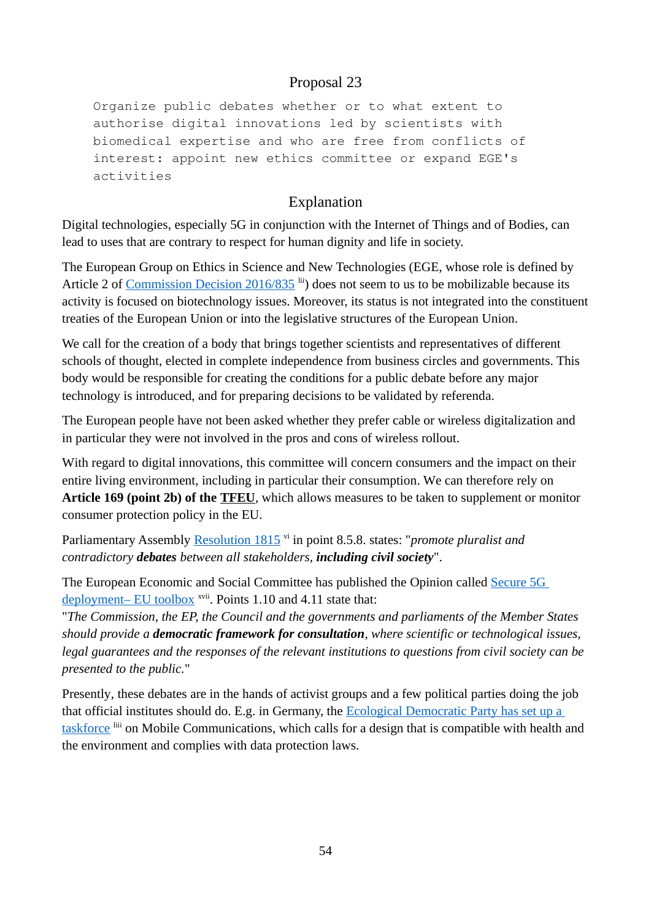Organize public debates whether or to what extent to authorise digital innovations led by scientists with biomedical expertise and who are free from conflicts of interest: appoint new ethics committee or expand EGE's activities

## Explanation

Digital technologies, especially 5G in conjunction with the Internet of Things and of Bodies, can lead to uses that are contrary to respect for human dignity and life in society.

The European Group on Ethics in Science and New Technologies (EGE, whose role is defined by Article 2 of [Commission Decision 2016/835](https://eur-lex.europa.eu/legal-content/EN/TXT/?uri=CELEX%3A32016D0835) lii) does not seem to us to be mobilizable because its activity is focused on biotechnology issues. Moreover, its status is not integrated into the constituent treaties of the European Union or into the legislative structures of the European Union.

We call for the creation of a body that brings together scientists and representatives of different schools of thought, elected in complete independence from business circles and governments. This body would be responsible for creating the conditions for a public debate before any major technology is introduced, and for preparing decisions to be validated by referenda.

The European people have not been asked whether they prefer cable or wireless digitalization and in particular they were not involved in the pros and cons of wireless rollout.

With regard to digital innovations, this committee will concern consumers and the impact on their entire living environment, including in particular their consumption. We can therefore rely on **Article 169 (point 2b) of the [TFEU](#page-67-0)**, which allows measures to be taken to supplement or monitor consumer protection policy in the EU.

Parliamentary Assembly [Resolution 1815](http://assembly.coe.int/nw/xml/XRef/Xref-XML2HTML-en.asp?fileid=17994&) vi in point 8.5.8. states: "*promote pluralist and contradictory debates between all stakeholders, including civil society*".

The European Economic and Social Committee has published the Opinion called [Secure 5G](https://www.eesc.europa.eu/en/our-work/opinions-information-reports/opinions/secure-5g-deployment-eu-toolbox)  [deployment– EU toolbox](https://www.eesc.europa.eu/en/our-work/opinions-information-reports/opinions/secure-5g-deployment-eu-toolbox) <sup>xvii</sup>. Points 1.10 and 4.11 state that:

"*The Commission, the EP, the Council and the governments and parliaments of the Member States should provide a democratic framework for consultation, where scientific or technological issues, legal guarantees and the responses of the relevant institutions to questions from civil society can be presented to the public.*"

Presently, these debates are in the hands of activist groups and a few political parties doing the job that official institutes should do. E.g. in Germany, the [Ecological Democratic Party has set up a](https://www.oedp.de/partei/bundesarbeitskreise-und-kommissionen/bak-mobilfunk)  [taskforce](https://www.oedp.de/partei/bundesarbeitskreise-und-kommissionen/bak-mobilfunk) liii on Mobile Communications, which calls for a design that is compatible with health and the environment and complies with data protection laws.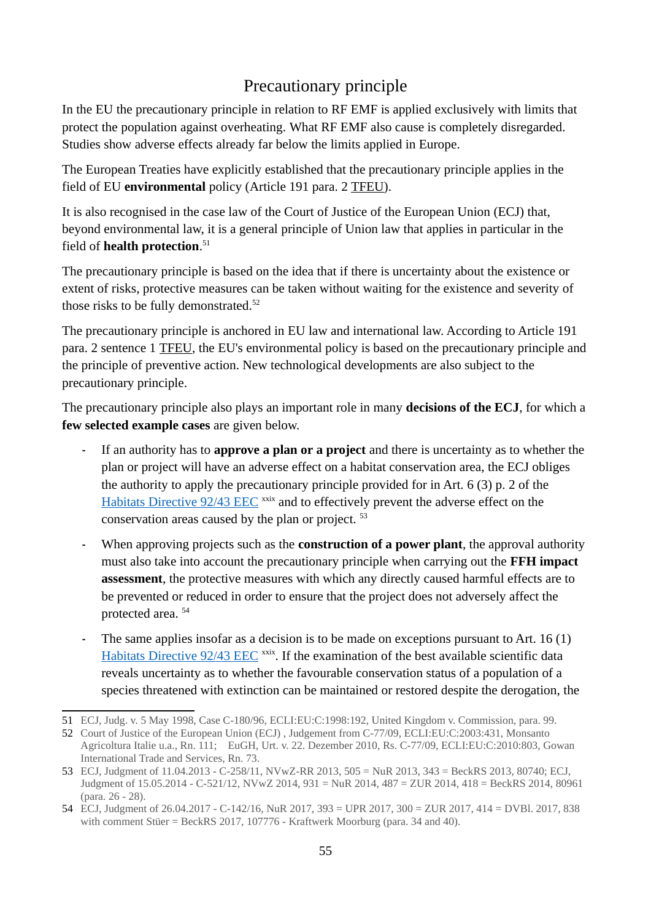# Precautionary principle

In the EU the precautionary principle in relation to RF EMF is applied exclusively with limits that protect the population against overheating. What RF EMF also cause is completely disregarded. Studies show adverse effects already far below the limits applied in Europe.

The European Treaties have explicitly established that the precautionary principle applies in the field of EU **environmental** policy (Article 191 para. 2 [TFEU](#page-67-0)).

It is also recognised in the case law of the Court of Justice of the European Union (ECJ) that, beyond environmental law, it is a general principle of Union law that applies in particular in the field of **health protection**. [51](#page-54-0)

The precautionary principle is based on the idea that if there is uncertainty about the existence or extent of risks, protective measures can be taken without waiting for the existence and severity of those risks to be fully demonstrated.<sup>[52](#page-54-1)</sup>

The precautionary principle is anchored in EU law and international law. According to Article 191 para. 2 sentence 1 [TFEU,](#page-67-0) the EU's environmental policy is based on the precautionary principle and the principle of preventive action. New technological developments are also subject to the precautionary principle.

The precautionary principle also plays an important role in many **decisions of the ECJ**, for which a **few selected example cases** are given below.

- **-** If an authority has to **approve a plan or a project** and there is uncertainty as to whether the plan or project will have an adverse effect on a habitat conservation area, the ECJ obliges the authority to apply the precautionary principle provided for in Art. 6 (3) p. 2 of the [Habitats Directive 92/43 EEC](https://eur-lex.europa.eu/legal-content/EN/TXT/?uri=celex%3A31992L0043) <sup>xxix</sup> and to effectively prevent the adverse effect on the conservation areas caused by the plan or project. [53](#page-54-2)
- **-** When approving projects such as the **construction of a power plant**, the approval authority must also take into account the precautionary principle when carrying out the **FFH impact assessment**, the protective measures with which any directly caused harmful effects are to be prevented or reduced in order to ensure that the project does not adversely affect the protected area. [54](#page-54-3)
- **-** The same applies insofar as a decision is to be made on exceptions pursuant to Art. 16 (1) [Habitats Directive 92/43 EEC](https://eur-lex.europa.eu/legal-content/EN/TXT/?uri=celex%3A31992L0043) xxix. If the examination of the best available scientific data reveals uncertainty as to whether the favourable conservation status of a population of a species threatened with extinction can be maintained or restored despite the derogation, the

<span id="page-54-0"></span><sup>51</sup> ECJ, Judg. v. 5 May 1998, Case C-180/96, ECLI:EU:C:1998:192, United Kingdom v. Commission, para. 99.

<span id="page-54-1"></span><sup>52</sup> Court of Justice of the European Union (ECJ) , Judgement from C-77/09, ECLI:EU:C:2003:431, Monsanto

Agricoltura Italie u.a., Rn. 111; EuGH, Urt. v. 22. Dezember 2010, Rs. C-77/09, ECLI:EU:C:2010:803, Gowan International Trade and Services, Rn. 73.

<span id="page-54-2"></span><sup>53</sup> ECJ, Judgment of 11.04.2013 - C-258/11, NVwZ-RR 2013, 505 = NuR 2013, 343 = BeckRS 2013, 80740; ECJ, Judgment of 15.05.2014 - C-521/12, NVwZ 2014, 931 = NuR 2014, 487 = ZUR 2014, 418 = BeckRS 2014, 80961 (para. 26 - 28).

<span id="page-54-3"></span><sup>54</sup> ECJ, Judgment of 26.04.2017 - C-142/16, NuR 2017, 393 = UPR 2017, 300 = ZUR 2017, 414 = DVBl. 2017, 838 with comment Stüer = BeckRS 2017, 107776 - Kraftwerk Moorburg (para. 34 and 40).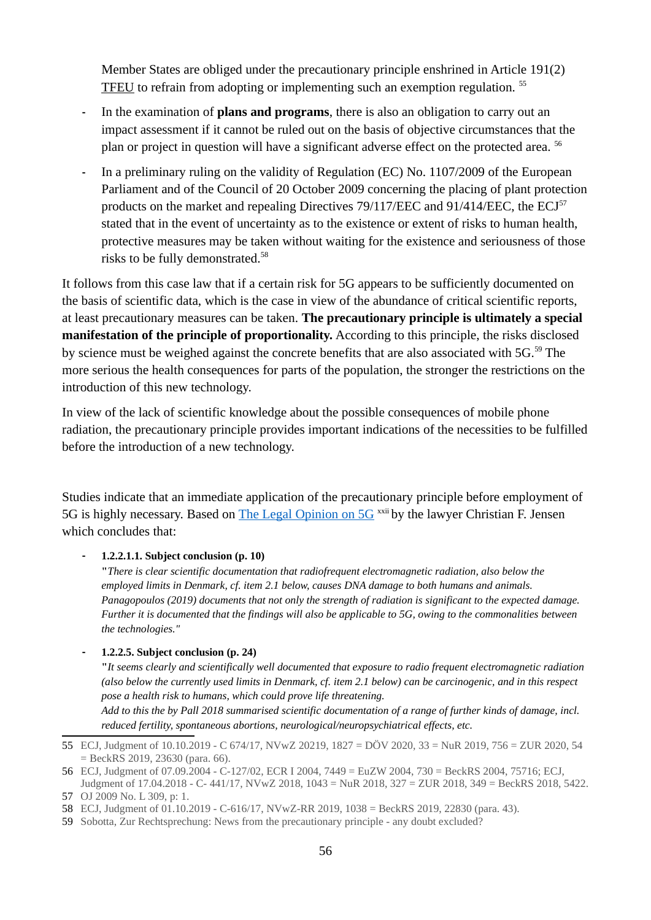Member States are obliged under the precautionary principle enshrined in Article 191(2) [TFEU](#page-67-0) to refrain from adopting or implementing such an exemption regulation. [55](#page-55-0)

- **-** In the examination of **plans and programs**, there is also an obligation to carry out an impact assessment if it cannot be ruled out on the basis of objective circumstances that the plan or project in question will have a significant adverse effect on the protected area.<sup>[56](#page-55-1)</sup>
- **-** In a preliminary ruling on the validity of Regulation (EC) No. 1107/2009 of the European Parliament and of the Council of 20 October 2009 concerning the placing of plant protection products on the market and repealing Directives 79/117/EEC and 91/414/EEC, the ECJ<sup>[57](#page-55-2)</sup> stated that in the event of uncertainty as to the existence or extent of risks to human health, protective measures may be taken without waiting for the existence and seriousness of those risks to be fully demonstrated.[58](#page-55-3)

It follows from this case law that if a certain risk for 5G appears to be sufficiently documented on the basis of scientific data, which is the case in view of the abundance of critical scientific reports, at least precautionary measures can be taken. **The precautionary principle is ultimately a special manifestation of the principle of proportionality.** According to this principle, the risks disclosed by science must be weighed against the concrete benefits that are also associated with 5G.<sup>[59](#page-55-4)</sup> The more serious the health consequences for parts of the population, the stronger the restrictions on the introduction of this new technology.

In view of the lack of scientific knowledge about the possible consequences of mobile phone radiation, the precautionary principle provides important indications of the necessities to be fulfilled before the introduction of a new technology.

Studies indicate that an immediate application of the precautionary principle before employment of 5G is highly necessary. Based on [The Legal Opinion on 5G](https://helbredssikker-telekommunikation.dk/sites/default/files/LegalOpinionOn5G.pdf) <sup>xxii</sup> by the lawyer Christian F. Jensen which concludes that:

**- 1.2.2.1.1. Subject conclusion (p. 10)**

**"***There is clear scientific documentation that radiofrequent electromagnetic radiation, also below the employed limits in Denmark, cf. item 2.1 below, causes DNA damage to both humans and animals. Panagopoulos (2019) documents that not only the strength of radiation is significant to the expected damage. Further it is documented that the findings will also be applicable to 5G, owing to the commonalities between the technologies."*

#### **- 1.2.2.5. Subject conclusion (p. 24)**

**"***It seems clearly and scientifically well documented that exposure to radio frequent electromagnetic radiation (also below the currently used limits in Denmark, cf. item 2.1 below) can be carcinogenic, and in this respect pose a health risk to humans, which could prove life threatening.*

*Add to this the by Pall 2018 summarised scientific documentation of a range of further kinds of damage, incl. reduced fertility, spontaneous abortions, neurological/neuropsychiatrical effects, etc.*

<span id="page-55-4"></span>59 Sobotta, Zur Rechtsprechung: News from the precautionary principle - any doubt excluded?

<span id="page-55-0"></span><sup>55</sup> ECJ, Judgment of 10.10.2019 - C 674/17, NVwZ 20219, 1827 = DÖV 2020, 33 = NuR 2019, 756 = ZUR 2020, 54 = BeckRS 2019, 23630 (para. 66).

<span id="page-55-1"></span><sup>56</sup> ECJ, Judgment of 07.09.2004 - C-127/02, ECR I 2004, 7449 = EuZW 2004, 730 = BeckRS 2004, 75716; ECJ, Judgment of 17.04.2018 - C- 441/17, NVwZ 2018, 1043 = NuR 2018, 327 = ZUR 2018, 349 = BeckRS 2018, 5422.

<span id="page-55-2"></span><sup>57</sup> OJ 2009 No. L 309, p: 1.

<span id="page-55-3"></span><sup>58</sup> ECJ, Judgment of 01.10.2019 - C-616/17, NVwZ-RR 2019, 1038 = BeckRS 2019, 22830 (para. 43).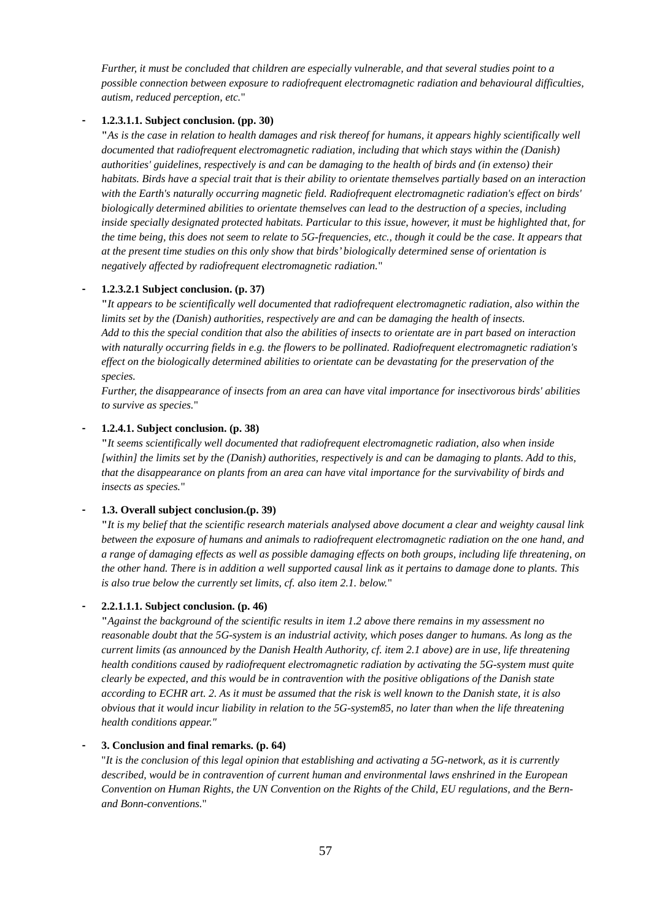*Further, it must be concluded that children are especially vulnerable, and that several studies point to a possible connection between exposure to radiofrequent electromagnetic radiation and behavioural difficulties, autism, reduced perception, etc.*"

#### **- 1.2.3.1.1. Subject conclusion. (pp. 30)**

**"***As is the case in relation to health damages and risk thereof for humans, it appears highly scientifically well documented that radiofrequent electromagnetic radiation, including that which stays within the (Danish) authorities' guidelines, respectively is and can be damaging to the health of birds and (in extenso) their habitats. Birds have a special trait that is their ability to orientate themselves partially based on an interaction with the Earth's naturally occurring magnetic field. Radiofrequent electromagnetic radiation's effect on birds' biologically determined abilities to orientate themselves can lead to the destruction of a species, including inside specially designated protected habitats. Particular to this issue, however, it must be highlighted that, for the time being, this does not seem to relate to 5G-frequencies, etc., though it could be the case. It appears that at the present time studies on this only show that birds' biologically determined sense of orientation is negatively affected by radiofrequent electromagnetic radiation.*"

#### **- 1.2.3.2.1 Subject conclusion. (p. 37)**

**"***It appears to be scientifically well documented that radiofrequent electromagnetic radiation, also within the limits set by the (Danish) authorities, respectively are and can be damaging the health of insects. Add to this the special condition that also the abilities of insects to orientate are in part based on interaction with naturally occurring fields in e.g. the flowers to be pollinated. Radiofrequent electromagnetic radiation's effect on the biologically determined abilities to orientate can be devastating for the preservation of the species.* 

*Further, the disappearance of insects from an area can have vital importance for insectivorous birds' abilities to survive as species.*"

#### **- 1.2.4.1. Subject conclusion. (p. 38)**

**"***It seems scientifically well documented that radiofrequent electromagnetic radiation, also when inside [within] the limits set by the (Danish) authorities, respectively is and can be damaging to plants. Add to this, that the disappearance on plants from an area can have vital importance for the survivability of birds and insects as species.*"

#### **- 1.3. Overall subject conclusion.(p. 39)**

**"***It is my belief that the scientific research materials analysed above document a clear and weighty causal link between the exposure of humans and animals to radiofrequent electromagnetic radiation on the one hand, and a range of damaging effects as well as possible damaging effects on both groups, including life threatening, on the other hand. There is in addition a well supported causal link as it pertains to damage done to plants. This is also true below the currently set limits, cf. also item 2.1. below.*"

#### **- 2.2.1.1.1. Subject conclusion. (p. 46)**

**"***Against the background of the scientific results in item 1.2 above there remains in my assessment no reasonable doubt that the 5G-system is an industrial activity, which poses danger to humans. As long as the current limits (as announced by the Danish Health Authority, cf. item 2.1 above) are in use, life threatening health conditions caused by radiofrequent electromagnetic radiation by activating the 5G-system must quite clearly be expected, and this would be in contravention with the positive obligations of the Danish state according to ECHR art. 2. As it must be assumed that the risk is well known to the Danish state, it is also obvious that it would incur liability in relation to the 5G-system85, no later than when the life threatening health conditions appear."*

#### **- 3. Conclusion and final remarks. (p. 64)**

"*It is the conclusion of this legal opinion that establishing and activating a 5G-network, as it is currently described, would be in contravention of current human and environmental laws enshrined in the European Convention on Human Rights, the UN Convention on the Rights of the Child, EU regulations, and the Bernand Bonn-conventions.*"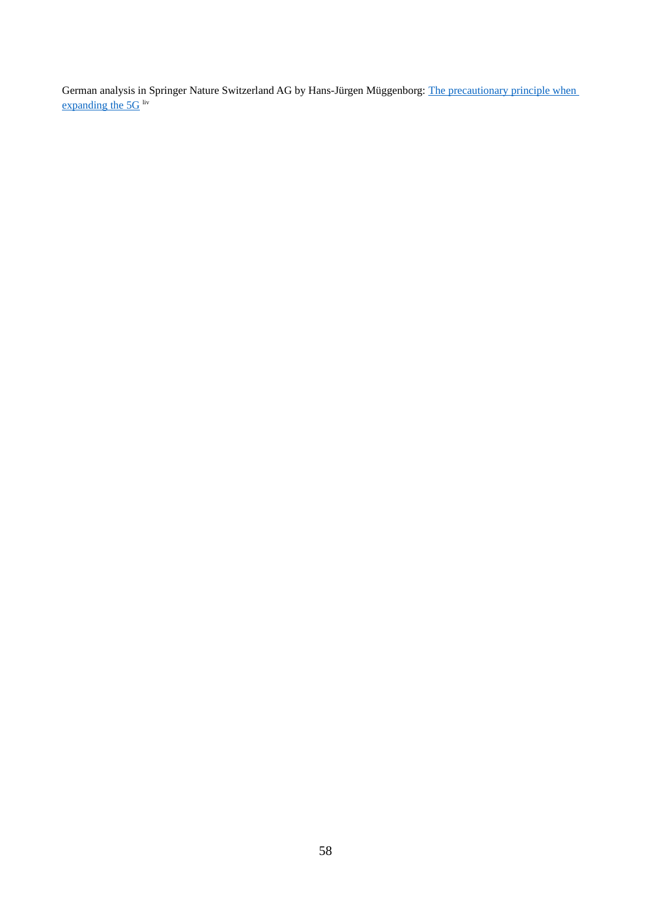German analysis in Springer Nature Switzerland AG by Hans-Jürgen Müggenborg: [The precautionary principle when](https://link.springer.com/content/pdf/10.1007/s10357-020-3785-z.pdf)  expanding the  $5G$  liv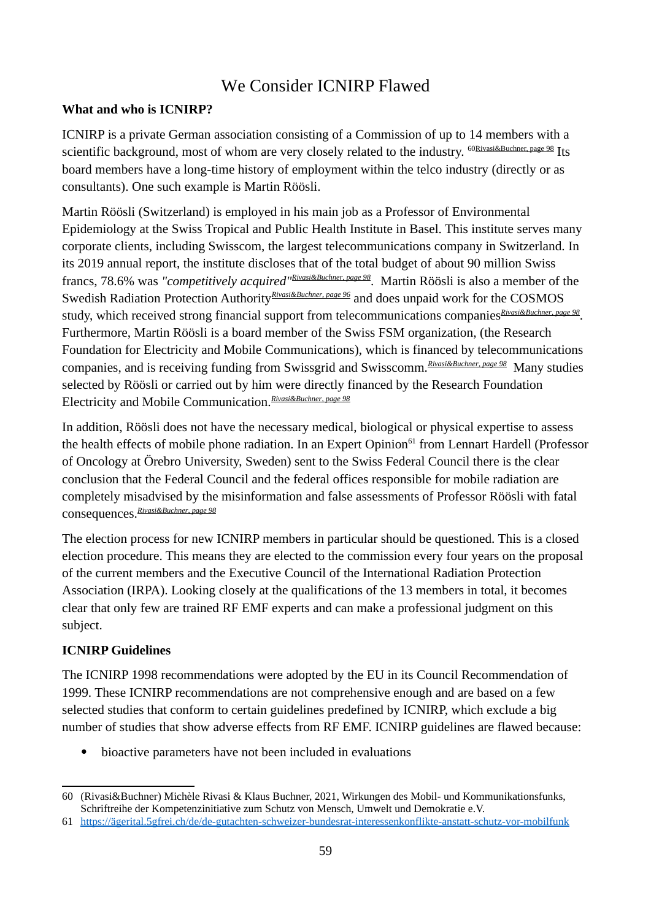# We Consider ICNIRP Flawed

#### **What and who is ICNIRP?**

ICNIRP is a private German association consisting of a Commission of up to 14 members with a scientific background, most of whom are very closely related to the industry. <sup>[60R](#page-58-1)ivasi&Buchner, page 98</sup> Its board members have a long-time history of employment within the telco industry (directly or as consultants). One such example is Martin Röösli.

Martin Röösli (Switzerland) is employed in his main job as a Professor of Environmental Epidemiology at the Swiss Tropical and Public Health Institute in Basel. This institute serves many corporate clients, including Swisscom, the largest telecommunications company in Switzerland. In its 2019 annual report, the institute discloses that of the total budget of about 90 million Swiss francs, 78.6% was *"competitively acquired"[Rivasi&Buchner](#page-58-0), page 98*. Martin Röösli is also a member of the Swedish Radiation Protection Authority<sup>[Rivasi&Buchner,](#page-58-0) page 96</sup> and does unpaid work for the COSMOS study, which received strong financial support from telecommunications companies<sup>[Rivasi&Buchner,](#page-58-0) page 98</sup>. Furthermore, Martin Röösli is a board member of the Swiss FSM organization, (the Research Foundation for Electricity and Mobile Communications), which is financed by telecommunications companies, and is receiving funding from Swissgrid and Swisscomm.*[Rivasi&Buchner,](#page-58-0) page 98* Many studies selected by Röösli or carried out by him were directly financed by the Research Foundation Electricity and Mobile Communication.*[Rivasi&Buchner](#page-58-0), page 98*

In addition, Röösli does not have the necessary medical, biological or physical expertise to assess the health effects of mobile phone radiation. In an Expert Opinion<sup>[61](#page-58-2)</sup> from Lennart Hardell (Professor of Oncology at Örebro University, Sweden) sent to the Swiss Federal Council there is the clear conclusion that the Federal Council and the federal offices responsible for mobile radiation are completely misadvised by the misinformation and false assessments of Professor Röösli with fatal consequences.*[Rivasi&Buchner](#page-58-0), page 98*

The election process for new ICNIRP members in particular should be questioned. This is a closed election procedure. This means they are elected to the commission every four years on the proposal of the current members and the Executive Council of the International Radiation Protection Association (IRPA). Looking closely at the qualifications of the 13 members in total, it becomes clear that only few are trained RF EMF experts and can make a professional judgment on this subject.

#### **ICNIRP Guidelines**

The ICNIRP 1998 recommendations were adopted by the EU in its Council Recommendation of 1999. These ICNIRP recommendations are not comprehensive enough and are based on a few selected studies that conform to certain guidelines predefined by ICNIRP, which exclude a big number of studies that show adverse effects from RF EMF. ICNIRP guidelines are flawed because:

bioactive parameters have not been included in evaluations

<span id="page-58-1"></span><span id="page-58-0"></span><sup>60</sup> (Rivasi&Buchner) Michèle Rivasi & Klaus Buchner, 2021, Wirkungen des Mobil- und Kommunikationsfunks, Schriftreihe der Kompetenzinitiative zum Schutz von Mensch, Umwelt und Demokratie e.V.

<span id="page-58-2"></span><sup>61</sup> [https://ägerital.5gfrei.ch/de/de-gutachten-schweizer-bundesrat-interessenkonflikte-anstatt-schutz-vor-mobilfunk](https://xn--gerital-4wa.5gfrei.ch/de/de-gutachten-schweizer-bundesrat-interessenkonflikte-anstatt-schutz-vor-mobilfunk)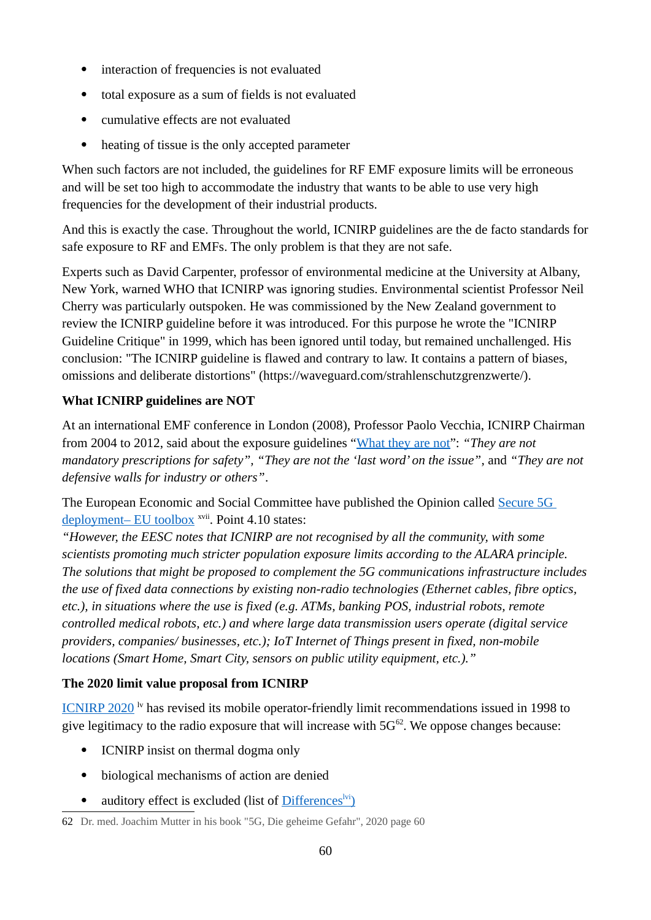- interaction of frequencies is not evaluated
- total exposure as a sum of fields is not evaluated
- cumulative effects are not evaluated
- heating of tissue is the only accepted parameter

When such factors are not included, the guidelines for RF EMF exposure limits will be erroneous and will be set too high to accommodate the industry that wants to be able to use very high frequencies for the development of their industrial products.

And this is exactly the case. Throughout the world, ICNIRP guidelines are the de facto standards for safe exposure to RF and EMFs. The only problem is that they are not safe.

Experts such as David Carpenter, professor of environmental medicine at the University at Albany, New York, warned WHO that ICNIRP was ignoring studies. Environmental scientist Professor Neil Cherry was particularly outspoken. He was commissioned by the New Zealand government to review the ICNIRP guideline before it was introduced. For this purpose he wrote the "ICNIRP Guideline Critique" in 1999, which has been ignored until today, but remained unchallenged. His conclusion: "The ICNIRP guideline is flawed and contrary to law. It contains a pattern of biases, omissions and deliberate distortions" (https://waveguard.com/strahlenschutzgrenzwerte/).

#### **What ICNIRP guidelines are NOT**

At an international EMF conference in London (2008), Professor Paolo Vecchia, ICNIRP Chairman from 2004 to 2012, said about the exposure guidelines "[What they are not"](https://www.radiationresearch.org/wp-content/uploads/2018/06/021145_vecchia.pdf): *"They are not mandatory prescriptions for safety", "They are not the 'last word' on the issue"*, and *"They are not defensive walls for industry or others"*.

The European Economic and Social Committee have published the Opinion called [Secure 5G](https://www.eesc.europa.eu/en/our-work/opinions-information-reports/opinions/secure-5g-deployment-eu-toolbox)  [deployment– EU toolbox](https://www.eesc.europa.eu/en/our-work/opinions-information-reports/opinions/secure-5g-deployment-eu-toolbox) <sup>xvii</sup>. Point 4.10 states:

*"However, the EESC notes that ICNIRP are not recognised by all the community, with some scientists promoting much stricter population exposure limits according to the ALARA principle. The solutions that might be proposed to complement the 5G communications infrastructure includes the use of fixed data connections by existing non-radio technologies (Ethernet cables, fibre optics, etc.), in situations where the use is fixed (e.g. ATMs, banking POS, industrial robots, remote controlled medical robots, etc.) and where large data transmission users operate (digital service providers, companies/ businesses, etc.); IoT Internet of Things present in fixed, non-mobile locations (Smart Home, Smart City, sensors on public utility equipment, etc.)."*

#### **The 2020 limit value proposal from ICNIRP**

[ICNIRP 2020](https://www.icnirp.org/cms/upload/publications/ICNIRPrfgdl2020.pdf)<sup> $\nu$ </sup> has revised its mobile operator-friendly limit recommendations issued in 1998 to give legitimacy to the radio exposure that will increase with  $5G^{62}$  $5G^{62}$  $5G^{62}$ . We oppose changes because:

- ICNIRP insist on thermal dogma only
- biological mechanisms of action are denied
- <span id="page-59-1"></span>• auditory effect is excluded (list of [Differences](https://www.icnirp.org/en/differences.html)<sup>lvi</sup>)

<span id="page-59-0"></span><sup>62</sup> Dr. med. Joachim Mutter in his book "5G, Die geheime Gefahr", 2020 page 60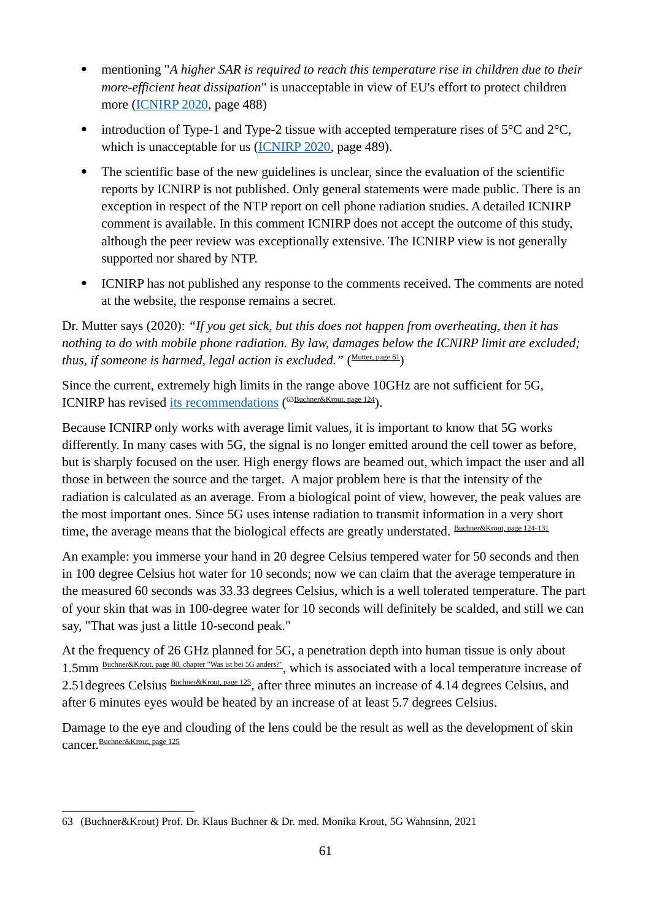- mentioning "*A higher SAR is required to reach this temperature rise in children due to their more-efficient heat dissipation*" is unacceptable in view of EU's effort to protect children more [\(ICNIRP 2020](https://www.icnirp.org/cms/upload/publications/ICNIRPrfgdl2020.pdf), page 488)
- introduction of Type-1 and Type-2 tissue with accepted temperature rises of  $5^{\circ}$ C and  $2^{\circ}$ C, which is unacceptable for us [\(ICNIRP 2020](https://www.icnirp.org/cms/upload/publications/ICNIRPrfgdl2020.pdf), page 489).
- The scientific base of the new guidelines is unclear, since the evaluation of the scientific reports by ICNIRP is not published. Only general statements were made public. There is an exception in respect of the NTP report on cell phone radiation studies. A detailed ICNIRP comment is available. In this comment ICNIRP does not accept the outcome of this study, although the peer review was exceptionally extensive. The ICNIRP view is not generally supported nor shared by NTP.
- ICNIRP has not published any response to the comments received. The comments are noted at the website, the response remains a secret.

Dr. Mutter says (2020): *"If you get sick, but this does not happen from overheating, then it has nothing to do with mobile phone radiation. By law, damages below the ICNIRP limit are excluded; thus, if someone is harmed, legal action is excluded.*" ([Mutter](#page-59-1), page 61)

Since the current, extremely high limits in the range above 10GHz are not sufficient for 5G, ICNIRP has revised [its recommendations](https://www.icnirp.org/en/activities/news/news-article/rf-guidelines-2020-published.html) ([63](#page-60-1)[Buchner&Krout](#page-60-0), page 124).

Because ICNIRP only works with average limit values, it is important to know that 5G works differently. In many cases with 5G, the signal is no longer emitted around the cell tower as before, but is sharply focused on the user. High energy flows are beamed out, which impact the user and all those in between the source and the target. A major problem here is that the intensity of the radiation is calculated as an average. From a biological point of view, however, the peak values are the most important ones. Since 5G uses intense radiation to transmit information in a very short time, the average means that the biological effects are greatly understated. **[Buchner&Krout,](#page-60-0) page 124-131** 

An example: you immerse your hand in 20 degree Celsius tempered water for 50 seconds and then in 100 degree Celsius hot water for 10 seconds; now we can claim that the average temperature in the measured 60 seconds was 33.33 degrees Celsius, which is a well tolerated temperature. The part of your skin that was in 100-degree water for 10 seconds will definitely be scalded, and still we can say, "That was just a little 10-second peak."

At the frequency of 26 GHz planned for 5G, a penetration depth into human tissue is only about 1.5mm [Buchner&Krout,](#page-60-0) page 80, chapter "Was ist bei 5G anders?", which is associated with a local temperature increase of 2.51 degrees Celsius **[Buchner&Krout,](#page-60-0) page 125**, after three minutes an increase of 4.14 degrees Celsius, and after 6 minutes eyes would be heated by an increase of at least 5.7 degrees Celsius.

Damage to the eye and clouding of the lens could be the result as well as the development of skin cancer.[Buchner&Krout,](#page-60-0) page 125

<span id="page-60-1"></span><span id="page-60-0"></span><sup>63</sup> (Buchner&Krout) Prof. Dr. Klaus Buchner & Dr. med. Monika Krout, 5G Wahnsinn, 2021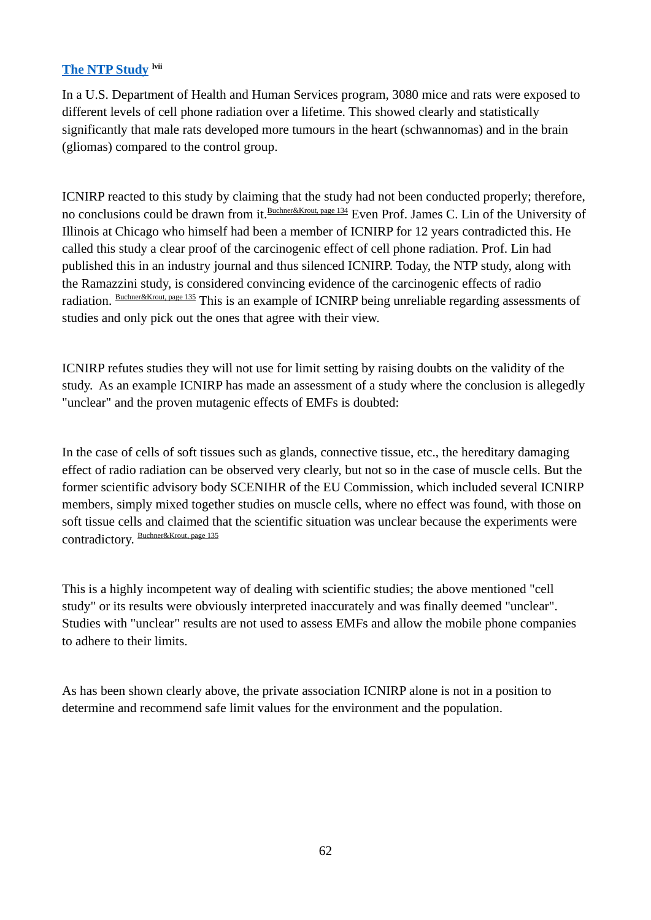#### **[The NTP Study](https://microwavenews.com/news-center/ntp-final-rf-report) lvii**

In a U.S. Department of Health and Human Services program, 3080 mice and rats were exposed to different levels of cell phone radiation over a lifetime. This showed clearly and statistically significantly that male rats developed more tumours in the heart (schwannomas) and in the brain (gliomas) compared to the control group.

ICNIRP reacted to this study by claiming that the study had not been conducted properly; therefore, no conclusions could be drawn from it. [Buchner&Krout,](#page-60-0) page 134 Even Prof. James C. Lin of the University of Illinois at Chicago who himself had been a member of ICNIRP for 12 years contradicted this. He called this study a clear proof of the carcinogenic effect of cell phone radiation. Prof. Lin had published this in an industry journal and thus silenced ICNIRP. Today, the NTP study, along with the Ramazzini study, is considered convincing evidence of the carcinogenic effects of radio radiation. **[Buchner&Krout,](#page-60-0) page 135** This is an example of ICNIRP being unreliable regarding assessments of studies and only pick out the ones that agree with their view.

ICNIRP refutes studies they will not use for limit setting by raising doubts on the validity of the study. As an example ICNIRP has made an assessment of a study where the conclusion is allegedly "unclear" and the proven mutagenic effects of EMFs is doubted:

In the case of cells of soft tissues such as glands, connective tissue, etc., the hereditary damaging effect of radio radiation can be observed very clearly, but not so in the case of muscle cells. But the former scientific advisory body SCENIHR of the EU Commission, which included several ICNIRP members, simply mixed together studies on muscle cells, where no effect was found, with those on soft tissue cells and claimed that the scientific situation was unclear because the experiments were contradictory. [Buchner&Krout](#page-60-0), page 135

This is a highly incompetent way of dealing with scientific studies; the above mentioned "cell study" or its results were obviously interpreted inaccurately and was finally deemed "unclear". Studies with "unclear" results are not used to assess EMFs and allow the mobile phone companies to adhere to their limits.

As has been shown clearly above, the private association ICNIRP alone is not in a position to determine and recommend safe limit values for the environment and the population.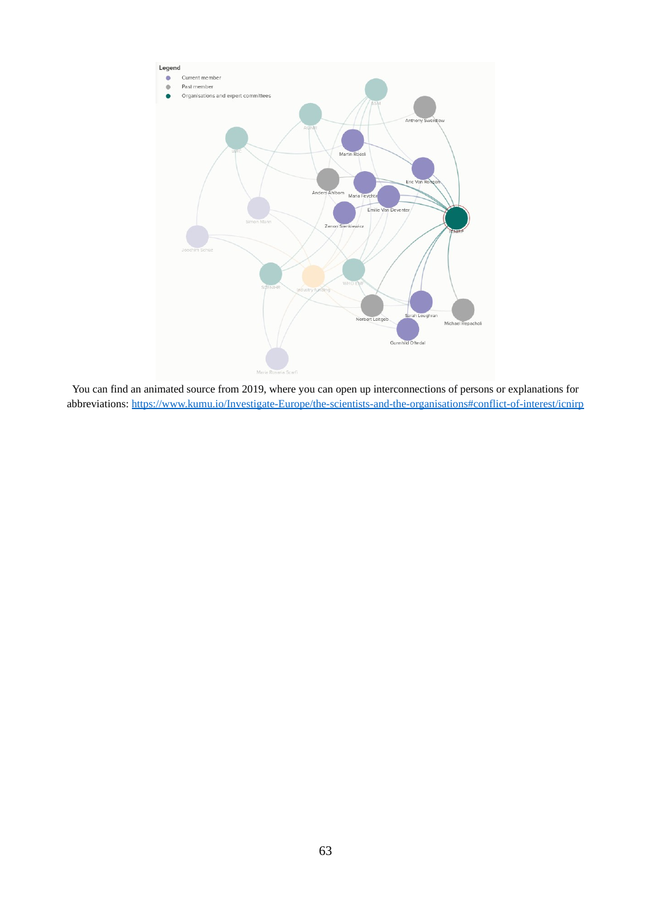

You can find an animated source from 2019, where you can open up interconnections of persons or explanations for abbreviations:<https://www.kumu.io/Investigate-Europe/the-scientists-and-the-organisations#conflict-of-interest/icnirp>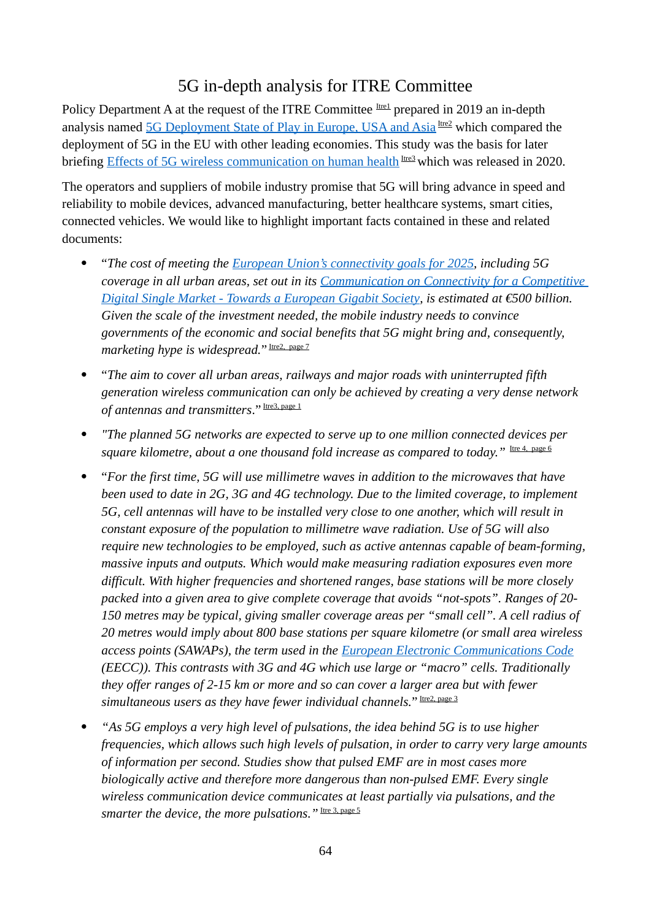# 5G in-depth analysis for ITRE Committee

Policy Department A at the request of the ITRE Committee Itre1 prepared in 2019 an in-depth analysis named [5G Deployment State of Play in Europe, USA and Asia](http://www.europarl.europa.eu/RegData/etudes/IDAN/2019/631060/IPOL_IDA(2019)631060_EN.pdf) Irea which compared the deployment of 5G in the EU with other leading economies. This study was the basis for later briefing [Effects of 5G wireless communication on human health](https://www.europarl.europa.eu/RegData/etudes/BRIE/2020/646172/EPRS_BRI(2020)646172_EN.pdf) Irres which was released in 2020.

The operators and suppliers of mobile industry promise that 5G will bring advance in speed and reliability to mobile devices, advanced manufacturing, better healthcare systems, smart cities, connected vehicles. We would like to highlight important facts contained in these and related documents:

- "*The cost of meeting the [European Union's connectivity goals for 2025](https://digital-strategy.ec.europa.eu/en/library/connectivity-european-gigabit-society-brochure), including 5G coverage in all urban areas, set out in its [Communication on Connectivity for a Competitive](https://ec.europa.eu/newsroom/dae/document.cfm?doc_id=17182)  [Digital Single Market - Towards a European Gigabit Society](https://ec.europa.eu/newsroom/dae/document.cfm?doc_id=17182), is estimated at €500 billion. Given the scale of the investment needed, the mobile industry needs to convince governments of the economic and social benefits that 5G might bring and, consequently,*  marketing hype is widespread." Itre2, page 7
- "*The aim to cover all urban areas, railways and major roads with uninterrupted fifth generation wireless communication can only be achieved by creating a very dense network*  of antennas and transmitters." Itre3, page 1
- *"The planned 5G networks are expected to serve up to one million connected devices per*  square kilometre, about a one thousand fold increase as compared to today." Itre 4, page 6
- "*For the first time, 5G will use millimetre waves in addition to the microwaves that have been used to date in 2G, 3G and 4G technology. Due to the limited coverage, to implement 5G, cell antennas will have to be installed very close to one another, which will result in constant exposure of the population to millimetre wave radiation. Use of 5G will also require new technologies to be employed, such as active antennas capable of beam-forming, massive inputs and outputs. Which would make measuring radiation exposures even more difficult. With higher frequencies and shortened ranges, base stations will be more closely packed into a given area to give complete coverage that avoids "not-spots". Ranges of 20- 150 metres may be typical, giving smaller coverage areas per "small cell". A cell radius of 20 metres would imply about 800 base stations per square kilometre (or small area wireless access points (SAWAPs), the term used in the [European Electronic Communications Code](https://www.gov.ie/en/publication/339a9-european-electronic-communications-code-eecc/) (EECC)). This contrasts with 3G and 4G which use large or "macro" cells. Traditionally they offer ranges of 2-15 km or more and so can cover a larger area but with fewer*  simultaneous users as they have fewer individual channels." Itre2. page 3
- *"As 5G employs a very high level of pulsations, the idea behind 5G is to use higher frequencies, which allows such high levels of pulsation, in order to carry very large amounts of information per second. Studies show that pulsed EMF are in most cases more biologically active and therefore more dangerous than non-pulsed EMF. Every single wireless communication device communicates at least partially via pulsations, and the*  smarter the device, the more pulsations." Itre 3, page 5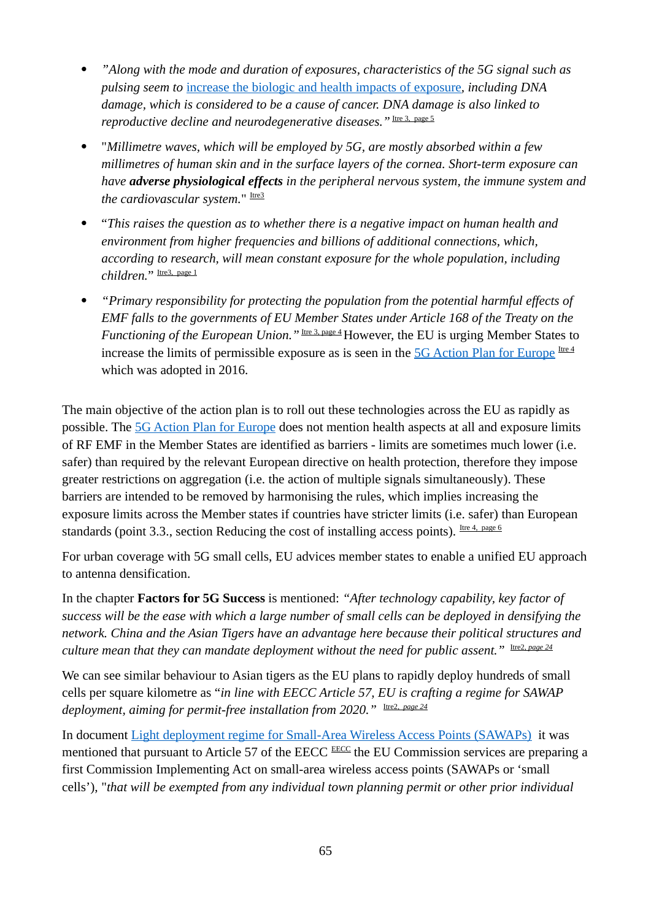- *"Along with the mode and duration of exposures, characteristics of the 5G signal such as pulsing seem to* [increase the biologic and health impacts of exposure](https://www.sciencedirect.com/science/article/abs/pii/S1383574218300991)*, including DNA damage, which is considered to be a cause of cancer. DNA damage is also linked to*  reproductive decline and neurodegenerative diseases." Itre 3, page 5
- "*Millimetre waves, which will be employed by 5G, are mostly absorbed within a few millimetres of human skin and in the surface layers of the cornea. Short-term exposure can have adverse physiological effects in the peripheral nervous system, the immune system and the cardiovascular system.*" Itre<sup>3</sup>
- "*This raises the question as to whether there is a negative impact on human health and environment from higher frequencies and billions of additional connections, which, according to research, will mean constant exposure for the whole population, including*  children." Itre3, page 1
- *"Primary responsibility for protecting the population from the potential harmful effects of EMF falls to the governments of EU Member States under Article 168 of the Treaty on the Functioning of the European Union.*" Inc<u>eral page 4</u> However, the EU is urging Member States to increase the limits of permissible exposure as is seen in the  $5G$  Action Plan for Europe Ire 4 which was adopted in 2016.

The main objective of the action plan is to roll out these technologies across the EU as rapidly as possible. The 5G Action Plan for Europe does not mention health aspects at all and exposure limits of RF EMF in the Member States are identified as barriers - limits are sometimes much lower (i.e. safer) than required by the relevant European directive on health protection, therefore they impose greater restrictions on aggregation (i.e. the action of multiple signals simultaneously). These barriers are intended to be removed by harmonising the rules, which implies increasing the exposure limits across the Member states if countries have stricter limits (i.e. safer) than European standards (point 3.3., section Reducing the cost of installing access points). Irre 4, page 6

For urban coverage with 5G small cells, EU advices member states to enable a unified EU approach to antenna densification.

In the chapter **Factors for 5G Success** is mentioned: *"After technology capability, key factor of success will be the ease with which a large number of small cells can be deployed in densifying the network. China and the Asian Tigers have an advantage here because their political structures and culture mean that they can mandate deployment without the need for public assent.*" Itre2, page 24

We can see similar behaviour to Asian tigers as the EU plans to rapidly deploy hundreds of small cells per square kilometre as "*in line with EECC Article 57, EU is crafting a regime for SAWAP deployment, aiming for permit-free installation from 2020.*" Investigated

In document [Light deployment regime for Small-Area Wireless Access Points \(SAWAPs\)](https://op.europa.eu/en/publication-detail/-/publication/463e2d3d-1d8f-11ea-95ab-01aa75ed71a1/language-en/format-PDF/source-112125706) it was mentioned that pursuant to Article 57 of the EECC EECC the EU Commission services are preparing a first Commission Implementing Act on small-area wireless access points (SAWAPs or 'small cells'), "*that will be exempted from any individual town planning permit or other prior individual*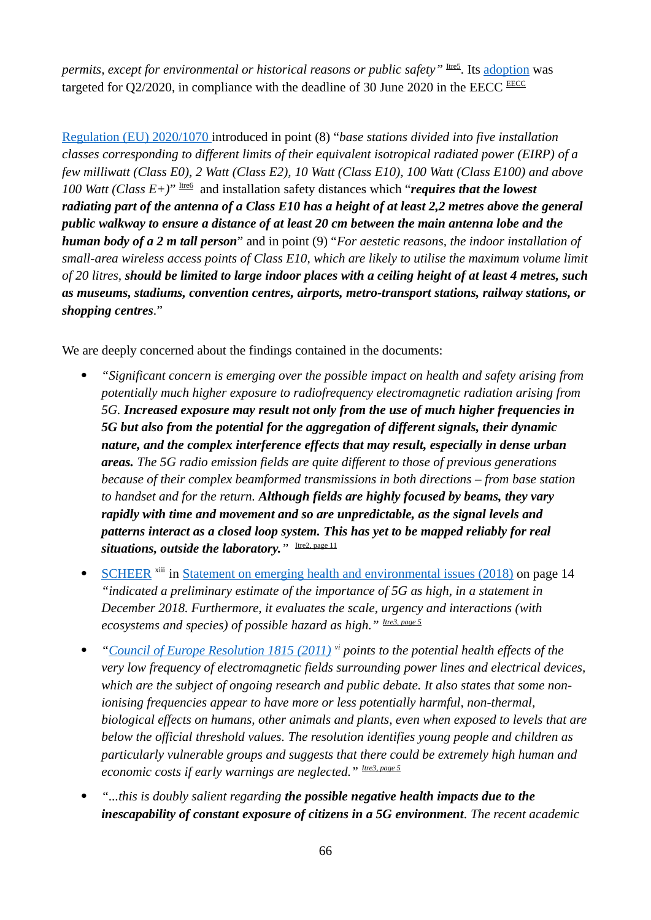*permits, except for environmental or historical reasons or public safety*" Its [adoption](https://eur-lex.europa.eu/legal-content/EN/TXT/HTML/?uri=CELEX:32020R0911&from=EN) was targeted for  $Q2/2020$ , in compliance with the deadline of 30 June 2020 in the EECC EECC

 [Regulation \(EU\) 2020/1070](https://eur-lex.europa.eu/legal-content/GA/TXT/?uri=CELEX:32020R1070) introduced in point (8) "*base stations divided into five installation classes corresponding to different limits of their equivalent isotropical radiated power (EIRP) of a few milliwatt (Class E0), 2 Watt (Class E2), 10 Watt (Class E10), 100 Watt (Class E100) and above 100 Watt (Class E+)*" Itre6 and installation safety distances which "*requires that the lowest radiating part of the antenna of a Class E10 has a height of at least 2,2 metres above the general public walkway to ensure a distance of at least 20 cm between the main antenna lobe and the human body of a 2 m tall person*" and in point (9) "*For aestetic reasons, the indoor installation of small-area wireless access points of Class E10, which are likely to utilise the maximum volume limit of 20 litres, should be limited to large indoor places with a ceiling height of at least 4 metres, such as museums, stadiums, convention centres, airports, metro-transport stations, railway stations, or shopping centres.*"

We are deeply concerned about the findings contained in the documents:

- *"Significant concern is emerging over the possible impact on health and safety arising from potentially much higher exposure to radiofrequency electromagnetic radiation arising from 5G. Increased exposure may result not only from the use of much higher frequencies in 5G but also from the potential for the aggregation of different signals, their dynamic nature, and the complex interference effects that may result, especially in dense urban areas. The 5G radio emission fields are quite different to those of previous generations because of their complex beamformed transmissions in both directions – from base station to handset and for the return. Although fields are highly focused by beams, they vary rapidly with time and movement and so are unpredictable, as the signal levels and patterns interact as a closed loop system. This has yet to be mapped reliably for real situations, outside the laboratory.*<sup>*"* Itre2, page 11</sup>
- SCHEER <sup>xiii</sup> in [Statement on emerging health and environmental issues \(2018\)](https://ec.europa.eu/health/sites/default/files/scientific_committees/scheer/docs/scheer_s_002.pdf) on page 14 *"indicated a preliminary estimate of the importance of 5G as high, in a statement in December 2018. Furthermore, it evaluates the scale, urgency and interactions (with ecosystems and species) of possible hazard as high." Itre3, page 5*
- *["Council of Europe Resolution 1815 \(2011\)](https://assembly.coe.int/nw/xml/XRef/Xref-XML2HTML-en.asp?fileid=17994) vi points to the potential health effects of the very low frequency of electromagnetic fields surrounding power lines and electrical devices, which are the subject of ongoing research and public debate. It also states that some nonionising frequencies appear to have more or less potentially harmful, non-thermal, biological effects on humans, other animals and plants, even when exposed to levels that are below the official threshold values. The resolution identifies young people and children as particularly vulnerable groups and suggests that there could be extremely high human and economic costs if early warnings are neglected." Itre3, page 5*
- *"...this is doubly salient regarding the possible negative health impacts due to the inescapability of constant exposure of citizens in a 5G environment. The recent academic*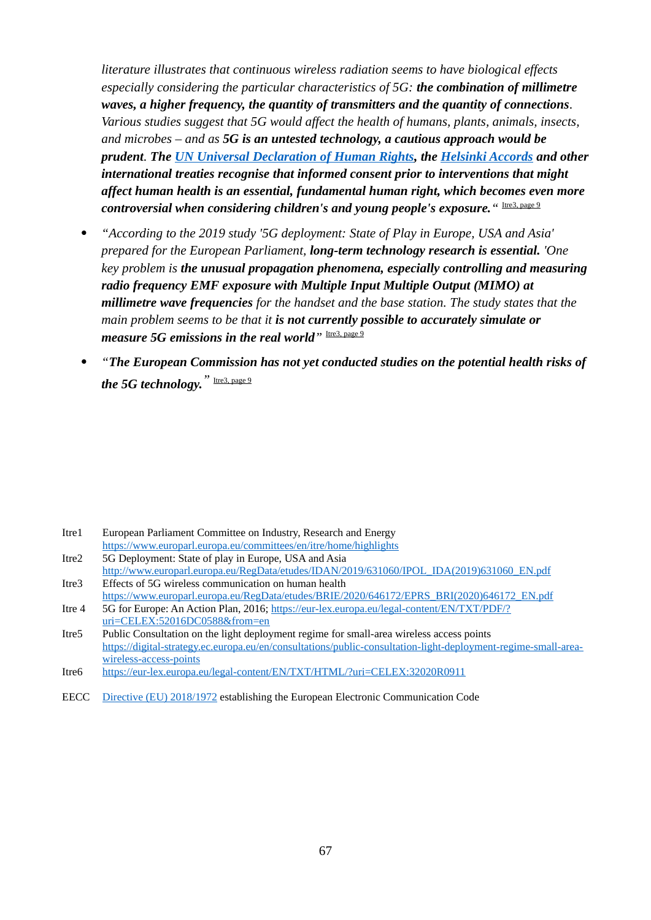*literature illustrates that continuous wireless radiation seems to have biological effects especially considering the particular characteristics of 5G: the combination of millimetre waves, a higher frequency, the quantity of transmitters and the quantity of connections. Various studies suggest that 5G would affect the health of humans, plants, animals, insects, and microbes – and as 5G is an untested technology, a cautious approach would be prudent. The [UN Universal Declaration of Human Rights,](https://www.un.org/en/universal-declaration-human-rights/) the [Helsinki Accords](https://www.osce.org/helsinki-final-act) and other international treaties recognise that informed consent prior to interventions that might affect human health is an essential, fundamental human right, which becomes even more controversial when considering children's and young people's exposure.* " Ire3, page 9

- *"According to the 2019 study '5G deployment: State of Play in Europe, USA and Asia' prepared for the European Parliament, long-term technology research is essential. 'One key problem is the unusual propagation phenomena, especially controlling and measuring radio frequency EMF exposure with Multiple Input Multiple Output (MIMO) at millimetre wave frequencies for the handset and the base station. The study states that the main problem seems to be that it is not currently possible to accurately simulate or measure 5G emissions in the real world*<sup>"</sup> Itre3, page 9
- *"The European Commission has not yet conducted studies on the potential health risks of the 5G technology.*<sup>"</sup> Itre3, page 9

- Itre2 5G Deployment: State of play in Europe, USA and Asia
- [http://www.europarl.europa.eu/RegData/etudes/IDAN/2019/631060/IPOL\\_IDA\(2019\)631060\\_EN.pdf](http://www.europarl.europa.eu/RegData/etudes/IDAN/2019/631060/IPOL_IDA(2019)631060_EN.pdf) Itre3 Effects of 5G wireless communication on human health
- [https://www.europarl.europa.eu/RegData/etudes/BRIE/2020/646172/EPRS\\_BRI\(2020\)646172\\_EN.pdf](https://www.europarl.europa.eu/RegData/etudes/BRIE/2020/646172/EPRS_BRI(2020)646172_EN.pdf) Itre 4 5G for Europe: An Action Plan, 2016; [https://eur-lex.europa.eu/legal-content/EN/TXT/PDF/?](https://eur-lex.europa.eu/legal-content/EN/TXT/PDF/?uri=CELEX:52016DC0588&from=en) [uri=CELEX:52016DC0588&from=en](https://eur-lex.europa.eu/legal-content/EN/TXT/PDF/?uri=CELEX:52016DC0588&from=en)
- Itre5 Public Consultation on the light deployment regime for small-area wireless access points [https://digital-strategy.ec.europa.eu/en/consultations/public-consultation-light-deployment-regime-small-area](https://digital-strategy.ec.europa.eu/en/consultations/public-consultation-light-deployment-regime-small-area-wireless-access-points)[wireless-access-points](https://digital-strategy.ec.europa.eu/en/consultations/public-consultation-light-deployment-regime-small-area-wireless-access-points)

EECC [Directive \(EU\) 2018/1972](https://eur-lex.europa.eu/legal-content/EN/TXT/?uri=CELEX%3A32018L1972) establishing the European Electronic Communication Code

Itre1 European Parliament Committee on Industry, Research and Energy <https://www.europarl.europa.eu/committees/en/itre/home/highlights>

Itre6 <https://eur-lex.europa.eu/legal-content/EN/TXT/HTML/?uri=CELEX:32020R0911>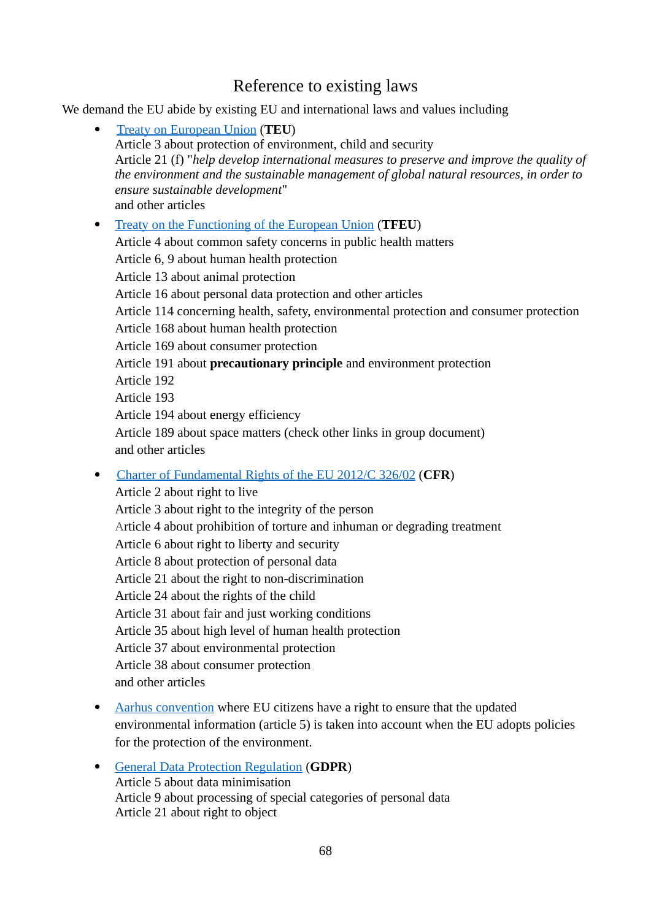# <span id="page-67-2"></span><span id="page-67-0"></span>Reference to existing laws

We demand the EU abide by existing EU and international laws and values including

- [Treaty on European Union](https://eur-lex.europa.eu/legal-content/EN/TXT/?uri=CELEX%3A12012M%2FTXT) (**TEU**) Article 3 about protection of environment, child and security Article 21 (f) "*help develop international measures to preserve and improve the quality of the environment and the sustainable management of global natural resources, in order to ensure sustainable development*" and other articles  [Treaty on the Functioning of the European Union](https://eur-lex.europa.eu/legal-content/EN/TXT/?uri=celex%3A12012E%2FTXT) (**TFEU**) Article 4 about common safety concerns in public health matters Article 6, 9 about human health protection Article 13 about animal protection Article 16 about personal data protection and other articles Article 114 concerning health, safety, environmental protection and consumer protection Article 168 about human health protection Article 169 about consumer protection Article 191 about **precautionary principle** and environment protection Article 192 Article 193 Article 194 about energy efficiency Article 189 about space matters (check other links in group document) and other articles [Charter of Fundamental Rights of the EU 2012/C 326/02](https://eur-lex.europa.eu/legal-content/EN/TXT/?uri=uriserv%3AOJ.C_.2012.326.01.0391.01.ENG) (**CFR**)
- 

<span id="page-67-1"></span>Article 2 about right to live Article 3 about right to the integrity of the person Article 4 about prohibition of torture and inhuman or degrading treatment Article 6 about right to liberty and security Article 8 about protection of personal data Article 21 about the right to non-discrimination Article 24 about the rights of the child Article 31 about fair and just working conditions Article 35 about high level of human health protection Article 37 about environmental protection Article 38 about consumer protection and other articles

- <span id="page-67-3"></span>• [Aarhus convention](https://unece.org/environment-policy/public-participation/aarhus-convention/text) where EU citizens have a right to ensure that the updated environmental information (article 5) is taken into account when the EU adopts policies for the protection of the environment.
- <span id="page-67-4"></span> [General Data Protection Regulation](https://eur-lex.europa.eu/legal-content/EN/TXT/?uri=CELEX:32016R0679) (**GDPR**) Article 5 about data minimisation Article 9 about processing of special categories of personal data Article 21 about right to object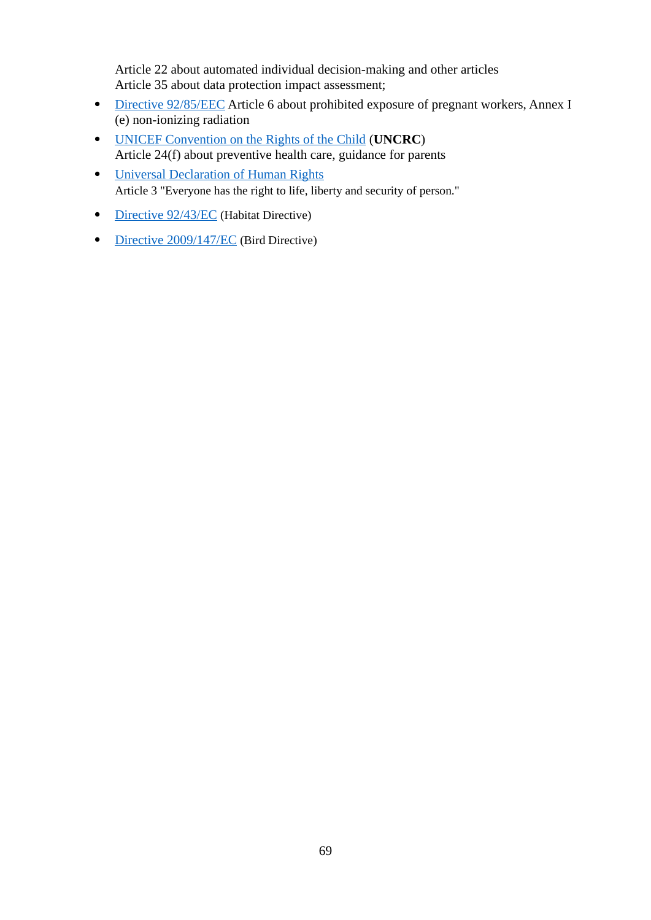Article 22 about automated individual decision-making and other articles Article 35 about data protection impact assessment;

- • [Directive 92/85/EEC](https://eur-lex.europa.eu/legal-content/EN/TXT/?uri=CELEX%3A31992L0085) Article 6 about prohibited exposure of pregnant workers, Annex I (e) non-ionizing radiation
- [UNICEF Convention on the Rights of the Child](https://www.unicef.org/child-rights-convention/convention-text) (**UNCRC**) Article 24(f) about preventive health care, guidance for parents
- [Universal Declaration of Human Rights](https://www.un.org/en/about-us/universal-declaration-of-human-rights) Article 3 "Everyone has the right to life, liberty and security of person."
- <span id="page-68-1"></span>• [Directive 92/43/EC](https://eur-lex.europa.eu/legal-content/EN/TXT/?uri=CELEX:31992L0043) (Habitat Directive)
- <span id="page-68-0"></span>• [Directive 2009/147/EC](https://eur-lex.europa.eu/legal-content/EN/TXT/?uri=CELEX%3A32009L0147) (Bird Directive)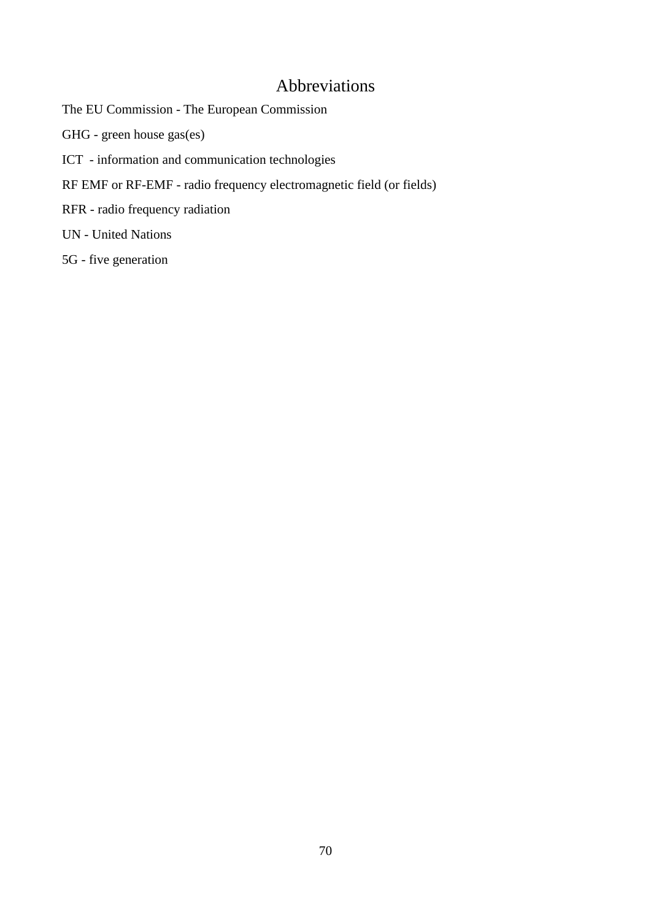# Abbreviations

The EU Commission - The European Commission

GHG - green house gas(es)

- ICT information and communication technologies
- RF EMF or RF-EMF radio frequency electromagnetic field (or fields)
- RFR radio frequency radiation

UN - United Nations

5G - five generation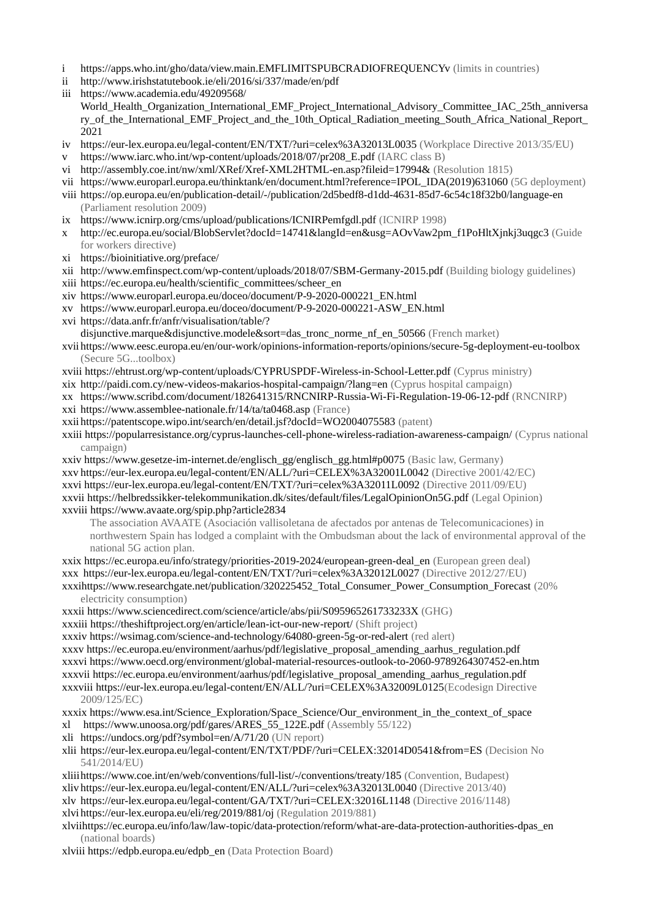- i https://apps.who.int/gho/data/view.main.EMFLIMITSPUBCRADIOFREQUENCYv (limits in countries)
- ii http://www.irishstatutebook.ie/eli/2016/si/337/made/en/pdf
- iii https://www.academia.edu/49209568/ World Health Organization International EMF Project International Advisory Committee IAC 25th anniversa ry of the International EMF Project and the 10th Optical Radiation meeting South Africa National Report 2021
- iv https://eur-lex.europa.eu/legal-content/EN/TXT/?uri=celex%3A32013L0035 (Workplace Directive 2013/35/EU)
- v https://www.iarc.who.int/wp-content/uploads/2018/07/pr208\_E.pdf (IARC class B)
- vi http://assembly.coe.int/nw/xml/XRef/Xref-XML2HTML-en.asp?fileid=17994& (Resolution 1815)
- vii https://www.europarl.europa.eu/thinktank/en/document.html?reference=IPOL\_IDA(2019)631060 (5G deployment)
- viii https://op.europa.eu/en/publication-detail/-/publication/2d5bedf8-d1dd-4631-85d7-6c54c18f32b0/language-en (Parliament resolution 2009)
- ix https://www.icnirp.org/cms/upload/publications/ICNIRPemfgdl.pdf (ICNIRP 1998)
- x http://ec.europa.eu/social/BlobServlet?docId=14741&langId=en&usg=AOvVaw2pm\_f1PoHltXjnkj3uqgc3 (Guide for workers directive)
- xi https://bioinitiative.org/preface/
- xii http://www.emfinspect.com/wp-content/uploads/2018/07/SBM-Germany-2015.pdf (Building biology guidelines)
- xiii https://ec.europa.eu/health/scientific\_committees/scheer\_en
- xiv https://www.europarl.europa.eu/doceo/document/P-9-2020-000221\_EN.html
- xv https://www.europarl.europa.eu/doceo/document/P-9-2020-000221-ASW\_EN.html
- xvi https://data.anfr.fr/anfr/visualisation/table/?

disjunctive.marque&disjunctive.modele&sort=das\_tronc\_norme\_nf\_en\_50566 (French market)

- xvii https://www.eesc.europa.eu/en/our-work/opinions-information-reports/opinions/secure-5g-deployment-eu-toolbox (Secure 5G...toolbox)
- xviii https://ehtrust.org/wp-content/uploads/CYPRUSPDF-Wireless-in-School-Letter.pdf (Cyprus ministry)
- xix http://paidi.com.cy/new-videos-makarios-hospital-campaign/?lang=en (Cyprus hospital campaign)
- xx https://www.scribd.com/document/182641315/RNCNIRP-Russia-Wi-Fi-Regulation-19-06-12-pdf (RNCNIRP) xxi https://www.assemblee-nationale.fr/14/ta/ta0468.asp (France)
- xxii https://patentscope.wipo.int/search/en/detail.jsf?docId=WO2004075583 (patent)

xxiii https://popularresistance.org/cyprus-launches-cell-phone-wireless-radiation-awareness-campaign/ (Cyprus national campaign)

xxiv https://www.gesetze-im-internet.de/englisch\_gg/englisch\_gg.html#p0075 (Basic law, Germany) xxv https://eur-lex.europa.eu/legal-content/EN/ALL/?uri=CELEX%3A32001L0042 (Directive 2001/42/EC) xxvi https://eur-lex.europa.eu/legal-content/EN/TXT/?uri=celex%3A32011L0092 (Directive 2011/09/EU) xxvii https://helbredssikker-telekommunikation.dk/sites/default/files/LegalOpinionOn5G.pdf (Legal Opinion) xxviii https://www.avaate.org/spip.php?article2834

The association AVAATE (Asociación vallisoletana de afectados por antenas de Telecomunicaciones) in northwestern Spain has lodged a complaint with the Ombudsman about the lack of environmental approval of the national 5G action plan.

xxix https://ec.europa.eu/info/strategy/priorities-2019-2024/european-green-deal\_en (European green deal) xxx https://eur-lex.europa.eu/legal-content/EN/TXT/?uri=celex%3A32012L0027 (Directive 2012/27/EU) xxxihttps://www.researchgate.net/publication/320225452\_Total\_Consumer\_Power\_Consumption\_Forecast (20%

electricity consumption)

xxxii https://www.sciencedirect.com/science/article/abs/pii/S095965261733233X (GHG)

xxxiii https://theshiftproject.org/en/article/lean-ict-our-new-report/ (Shift project)

xxxiv https://wsimag.com/science-and-technology/64080-green-5g-or-red-alert (red alert)

xxxv https://ec.europa.eu/environment/aarhus/pdf/legislative\_proposal\_amending\_aarhus\_regulation.pdf xxxvi https://www.oecd.org/environment/global-material-resources-outlook-to-2060-9789264307452-en.htm xxxvii https://ec.europa.eu/environment/aarhus/pdf/legislative\_proposal\_amending\_aarhus\_regulation.pdf xxxviii https://eur-lex.europa.eu/legal-content/EN/ALL/?uri=CELEX%3A32009L0125(Ecodesign Directive 2009/125/EC)

xxxix https://www.esa.int/Science\_Exploration/Space\_Science/Our\_environment\_in\_the\_context\_of\_space xl https://www.unoosa.org/pdf/gares/ARES\_55\_122E.pdf (Assembly 55/122)

- xli https://undocs.org/pdf?symbol=en/A/71/20 (UN report)
- xlii https://eur-lex.europa.eu/legal-content/EN/TXT/PDF/?uri=CELEX:32014D0541&from=ES (Decision No 541/2014/EU)

xliiihttps://www.coe.int/en/web/conventions/full-list/-/conventions/treaty/185 (Convention, Budapest) xliv https://eur-lex.europa.eu/legal-content/EN/ALL/?uri=celex%3A32013L0040 (Directive 2013/40) xlv https://eur-lex.europa.eu/legal-content/GA/TXT/?uri=CELEX:32016L1148 (Directive 2016/1148) xlvi https://eur-lex.europa.eu/eli/reg/2019/881/oj (Regulation 2019/881)

xlviihttps://ec.europa.eu/info/law/law-topic/data-protection/reform/what-are-data-protection-authorities-dpas\_en (national boards)

xlviii https://edpb.europa.eu/edpb\_en (Data Protection Board)